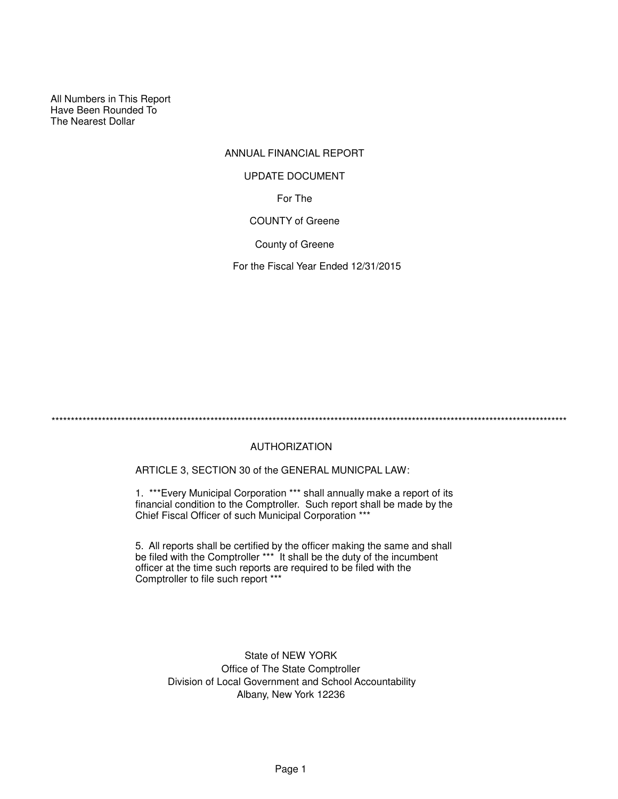All Numbers in This Report Have Been Rounded To The Nearest Dollar

# ANNUAL FINANCIAL REPORT For The COUNTY of Greene UPDATE DOCUMENT

County of Greene

For the Fiscal Year Ended 12/31/2015

\*\*\*\*\*\*\*\*\*\*\*\*\*\*\*\*\*\*\*\*\*\*\*\*\*\*\*\*\*\*\*\*\*\*\*\*\*\*\*\*\*\*\*\*\*\*\*\*\*\*\*\*\*\*\*\*\*\*\*\*\*\*\*\*\*\*\*\*\*\*\*\*\*\*\*\*\*\*\*\*\*\*\*\*\*\*\*\*\*\*\*\*\*\*\*\*\*\*\*\*\*\*\*\*\*\*\*\*\*\*\*\*\*\*\*\*\*\*\*\*\*\*\*\*\*\*\*\*\*\*\*\*\*

# AUTHORIZATION

ARTICLE 3, SECTION 30 of the GENERAL MUNICPAL LAW:

1. \*\*\*Every Municipal Corporation \*\*\* shall annually make a report of its financial condition to the Comptroller. Such report shall be made by the Chief Fiscal Officer of such Municipal Corporation \*\*\*

5. All reports shall be certified by the officer making the same and shall be filed with the Comptroller \*\*\* It shall be the duty of the incumbent officer at the time such reports are required to be filed with the Comptroller to file such report \*\*\*

> State of NEW YORK Office of The State Comptroller Division of Local Government and School Accountability Albany, New York 12236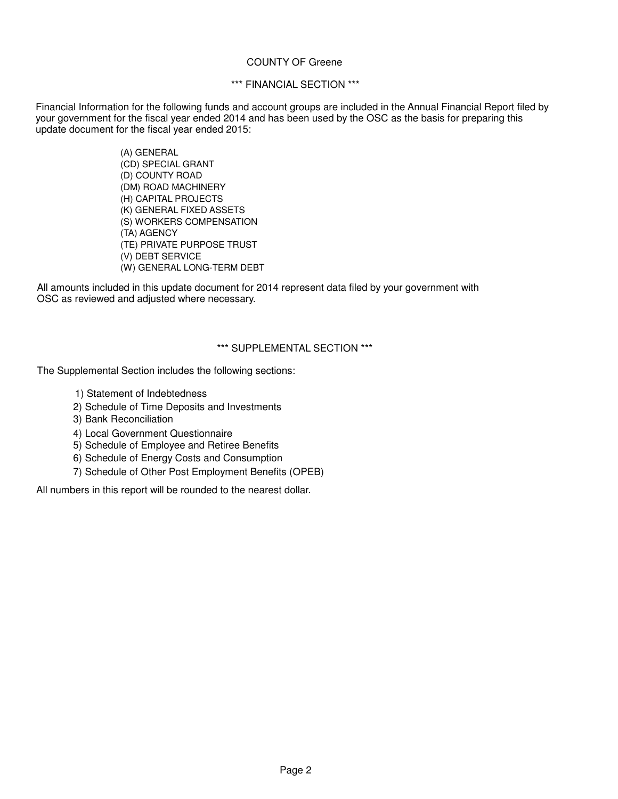# COUNTY OF Greene

# \*\*\* FINANCIAL SECTION \*\*\*

Financial Information for the following funds and account groups are included in the Annual Financial Report filed by your government for the fiscal year ended 2014 and has been used by the OSC as the basis for preparing this update document for the fiscal year ended 2015:

> (A) GENERAL (CD) SPECIAL GRANT (D) COUNTY ROAD (DM) ROAD MACHINERY (H) CAPITAL PROJECTS (K) GENERAL FIXED ASSETS (S) WORKERS COMPENSATION (TA) AGENCY (TE) PRIVATE PURPOSE TRUST (V) DEBT SERVICE (W) GENERAL LONG-TERM DEBT

All amounts included in this update document for 2014 represent data filed by your government with OSC as reviewed and adjusted where necessary.

# \*\*\* SUPPLEMENTAL SECTION \*\*\*

The Supplemental Section includes the following sections:

- 1) Statement of Indebtedness
- 2) Schedule of Time Deposits and Investments
- 3) Bank Reconciliation
- 4) Local Government Questionnaire
- 5) Schedule of Employee and Retiree Benefits
- 6) Schedule of Energy Costs and Consumption
- 7) Schedule of Other Post Employment Benefits (OPEB)

All numbers in this report will be rounded to the nearest dollar.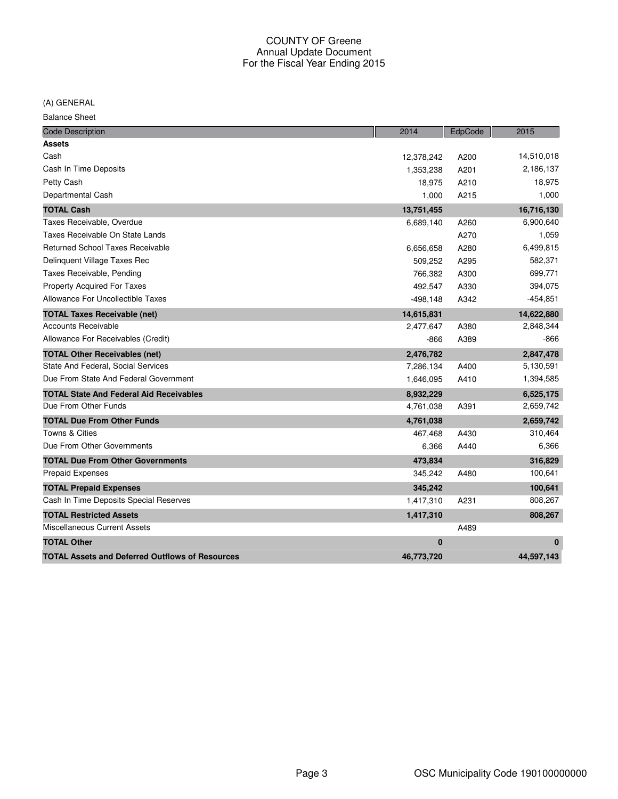(A) GENERAL

Balance Sheet

| <b>Code Description</b>                                | 2014        | EdpCode | 2015       |
|--------------------------------------------------------|-------------|---------|------------|
| <b>Assets</b>                                          |             |         |            |
| Cash                                                   | 12,378,242  | A200    | 14,510,018 |
| Cash In Time Deposits                                  | 1,353,238   | A201    | 2,186,137  |
| Petty Cash                                             | 18,975      | A210    | 18,975     |
| Departmental Cash                                      | 1,000       | A215    | 1,000      |
| <b>TOTAL Cash</b>                                      | 13,751,455  |         | 16,716,130 |
| Taxes Receivable, Overdue                              | 6,689,140   | A260    | 6,900,640  |
| Taxes Receivable On State Lands                        |             | A270    | 1,059      |
| Returned School Taxes Receivable                       | 6,656,658   | A280    | 6,499,815  |
| Delinguent Village Taxes Rec                           | 509,252     | A295    | 582,371    |
| Taxes Receivable, Pending                              | 766,382     | A300    | 699,771    |
| <b>Property Acquired For Taxes</b>                     | 492,547     | A330    | 394,075    |
| Allowance For Uncollectible Taxes                      | $-498, 148$ | A342    | $-454,851$ |
| <b>TOTAL Taxes Receivable (net)</b>                    | 14,615,831  |         | 14,622,880 |
| <b>Accounts Receivable</b>                             | 2,477,647   | A380    | 2,848,344  |
| Allowance For Receivables (Credit)                     | $-866$      | A389    | -866       |
| <b>TOTAL Other Receivables (net)</b>                   | 2,476,782   |         | 2,847,478  |
| State And Federal, Social Services                     | 7,286,134   | A400    | 5,130,591  |
| Due From State And Federal Government                  | 1,646,095   | A410    | 1,394,585  |
| <b>TOTAL State And Federal Aid Receivables</b>         | 8,932,229   |         | 6,525,175  |
| Due From Other Funds                                   | 4,761,038   | A391    | 2,659,742  |
| <b>TOTAL Due From Other Funds</b>                      | 4,761,038   |         | 2,659,742  |
| <b>Towns &amp; Cities</b>                              | 467,468     | A430    | 310,464    |
| Due From Other Governments                             | 6,366       | A440    | 6,366      |
| <b>TOTAL Due From Other Governments</b>                | 473,834     |         | 316,829    |
| <b>Prepaid Expenses</b>                                | 345,242     | A480    | 100,641    |
| <b>TOTAL Prepaid Expenses</b>                          | 345,242     |         | 100,641    |
| Cash In Time Deposits Special Reserves                 | 1,417,310   | A231    | 808,267    |
| <b>TOTAL Restricted Assets</b>                         | 1,417,310   |         | 808,267    |
| <b>Miscellaneous Current Assets</b>                    |             | A489    |            |
| <b>TOTAL Other</b>                                     | $\bf{0}$    |         | $\bf{0}$   |
| <b>TOTAL Assets and Deferred Outflows of Resources</b> | 46,773,720  |         | 44,597,143 |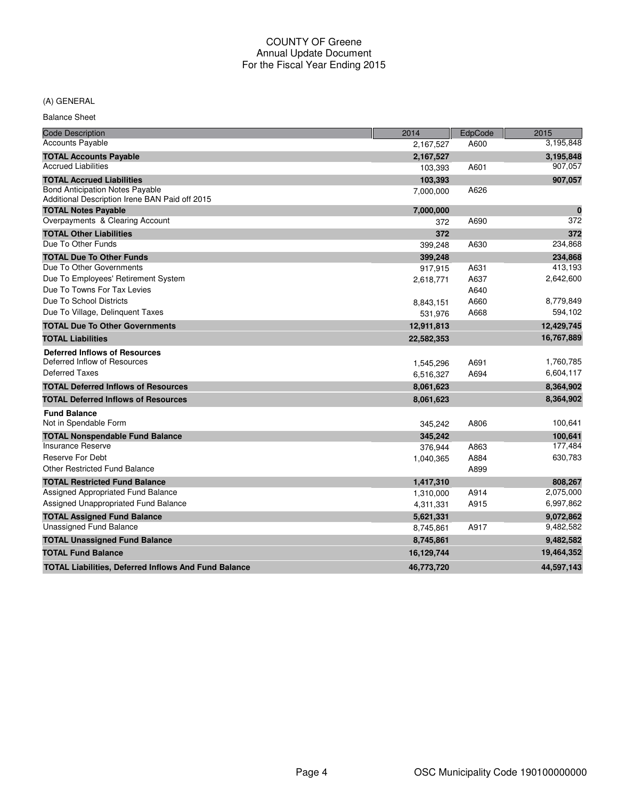# (A) GENERAL

Balance Sheet

| <b>Code Description</b>                                                                  | 2014       | EdpCode | 2015       |
|------------------------------------------------------------------------------------------|------------|---------|------------|
| <b>Accounts Payable</b>                                                                  | 2,167,527  | A600    | 3,195,848  |
| <b>TOTAL Accounts Payable</b>                                                            | 2,167,527  |         | 3,195,848  |
| <b>Accrued Liabilities</b>                                                               | 103,393    | A601    | 907,057    |
| <b>TOTAL Accrued Liabilities</b>                                                         | 103,393    |         | 907,057    |
| <b>Bond Anticipation Notes Payable</b><br>Additional Description Irene BAN Paid off 2015 | 7,000,000  | A626    |            |
| <b>TOTAL Notes Payable</b>                                                               | 7,000,000  |         | $\bf{0}$   |
| Overpayments & Clearing Account                                                          | 372        | A690    | 372        |
| <b>TOTAL Other Liabilities</b>                                                           | 372        |         | 372        |
| Due To Other Funds                                                                       | 399,248    | A630    | 234,868    |
| <b>TOTAL Due To Other Funds</b>                                                          | 399,248    |         | 234,868    |
| Due To Other Governments                                                                 | 917,915    | A631    | 413,193    |
| Due To Employees' Retirement System                                                      | 2,618,771  | A637    | 2,642,600  |
| Due To Towns For Tax Levies                                                              |            | A640    |            |
| Due To School Districts                                                                  | 8,843,151  | A660    | 8,779,849  |
| Due To Village, Delinquent Taxes                                                         | 531,976    | A668    | 594,102    |
| <b>TOTAL Due To Other Governments</b>                                                    | 12,911,813 |         | 12,429,745 |
| <b>TOTAL Liabilities</b>                                                                 | 22,582,353 |         | 16,767,889 |
| <b>Deferred Inflows of Resources</b>                                                     |            |         |            |
| Deferred Inflow of Resources                                                             | 1,545,296  | A691    | 1,760,785  |
| Deferred Taxes                                                                           | 6,516,327  | A694    | 6,604,117  |
| <b>TOTAL Deferred Inflows of Resources</b>                                               | 8,061,623  |         | 8,364,902  |
| <b>TOTAL Deferred Inflows of Resources</b>                                               | 8,061,623  |         | 8,364,902  |
| <b>Fund Balance</b>                                                                      |            |         |            |
| Not in Spendable Form                                                                    | 345,242    | A806    | 100,641    |
| <b>TOTAL Nonspendable Fund Balance</b>                                                   | 345,242    |         | 100,641    |
| Insurance Reserve                                                                        | 376,944    | A863    | 177,484    |
| Reserve For Debt                                                                         | 1,040,365  | A884    | 630,783    |
| <b>Other Restricted Fund Balance</b>                                                     |            | A899    |            |
| <b>TOTAL Restricted Fund Balance</b>                                                     | 1,417,310  |         | 808,267    |
| Assigned Appropriated Fund Balance                                                       | 1,310,000  | A914    | 2,075,000  |
| Assigned Unappropriated Fund Balance                                                     | 4,311,331  | A915    | 6,997,862  |
| <b>TOTAL Assigned Fund Balance</b>                                                       | 5,621,331  |         | 9,072,862  |
| Unassigned Fund Balance                                                                  | 8,745,861  | A917    | 9,482,582  |
| <b>TOTAL Unassigned Fund Balance</b>                                                     | 8,745,861  |         | 9,482,582  |
| <b>TOTAL Fund Balance</b>                                                                | 16,129,744 |         | 19,464,352 |
| <b>TOTAL Liabilities, Deferred Inflows And Fund Balance</b>                              | 46,773,720 |         | 44,597,143 |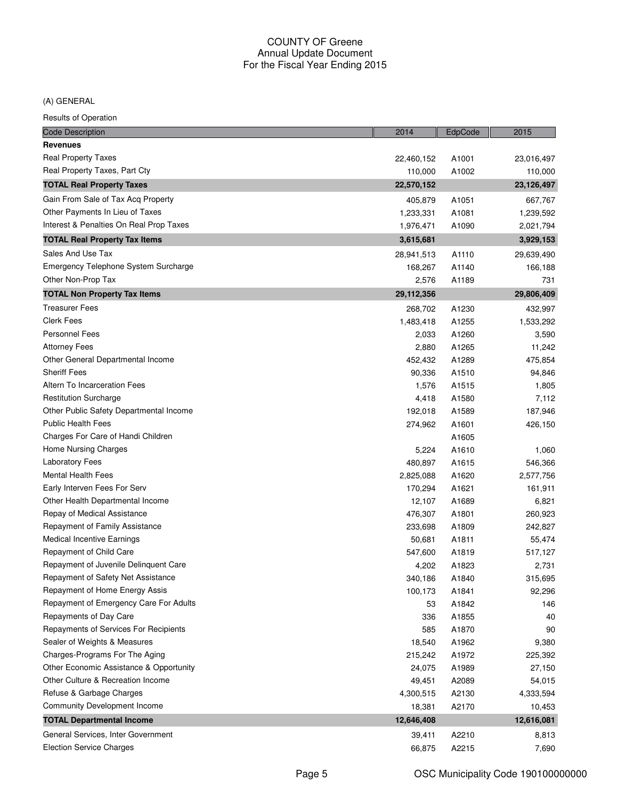# (A) GENERAL

| <b>Code Description</b>                 | 2014       | EdpCode | 2015       |
|-----------------------------------------|------------|---------|------------|
| <b>Revenues</b>                         |            |         |            |
| <b>Real Property Taxes</b>              | 22,460,152 | A1001   | 23,016,497 |
| Real Property Taxes, Part Cty           | 110,000    | A1002   | 110,000    |
| <b>TOTAL Real Property Taxes</b>        | 22,570,152 |         | 23,126,497 |
| Gain From Sale of Tax Acq Property      | 405,879    | A1051   | 667,767    |
| Other Payments In Lieu of Taxes         | 1,233,331  | A1081   | 1,239,592  |
| Interest & Penalties On Real Prop Taxes | 1,976,471  | A1090   | 2,021,794  |
| <b>TOTAL Real Property Tax Items</b>    | 3,615,681  |         | 3,929,153  |
| Sales And Use Tax                       | 28,941,513 | A1110   | 29,639,490 |
| Emergency Telephone System Surcharge    | 168,267    | A1140   | 166,188    |
| Other Non-Prop Tax                      | 2,576      | A1189   | 731        |
| <b>TOTAL Non Property Tax Items</b>     | 29,112,356 |         | 29,806,409 |
| <b>Treasurer Fees</b>                   | 268,702    | A1230   | 432,997    |
| <b>Clerk Fees</b>                       | 1,483,418  | A1255   | 1,533,292  |
| <b>Personnel Fees</b>                   | 2,033      | A1260   | 3,590      |
| <b>Attorney Fees</b>                    | 2,880      | A1265   | 11,242     |
| Other General Departmental Income       | 452,432    | A1289   | 475,854    |
| <b>Sheriff Fees</b>                     | 90,336     | A1510   | 94,846     |
| Altern To Incarceration Fees            | 1,576      | A1515   | 1,805      |
| <b>Restitution Surcharge</b>            | 4,418      | A1580   | 7,112      |
| Other Public Safety Departmental Income | 192,018    | A1589   | 187,946    |
| <b>Public Health Fees</b>               | 274,962    | A1601   | 426,150    |
| Charges For Care of Handi Children      |            | A1605   |            |
| Home Nursing Charges                    | 5,224      | A1610   | 1,060      |
| <b>Laboratory Fees</b>                  | 480,897    | A1615   | 546,366    |
| <b>Mental Health Fees</b>               | 2,825,088  | A1620   | 2,577,756  |
| Early Interven Fees For Serv            | 170,294    | A1621   | 161,911    |
| Other Health Departmental Income        | 12,107     | A1689   | 6,821      |
| Repay of Medical Assistance             | 476,307    | A1801   | 260,923    |
| Repayment of Family Assistance          | 233,698    | A1809   | 242,827    |
| <b>Medical Incentive Earnings</b>       | 50,681     | A1811   | 55,474     |
| Repayment of Child Care                 | 547,600    | A1819   | 517,127    |
| Repayment of Juvenile Delinquent Care   | 4,202      | A1823   | 2,731      |
| Repayment of Safety Net Assistance      | 340,186    | A1840   | 315,695    |
| Repayment of Home Energy Assis          | 100,173    | A1841   | 92,296     |
| Repayment of Emergency Care For Adults  | 53         | A1842   | 146        |
| Repayments of Day Care                  | 336        | A1855   | 40         |
| Repayments of Services For Recipients   | 585        | A1870   | 90         |
| Sealer of Weights & Measures            | 18,540     | A1962   | 9,380      |
| Charges-Programs For The Aging          | 215,242    | A1972   | 225,392    |
| Other Economic Assistance & Opportunity | 24,075     | A1989   | 27,150     |
| Other Culture & Recreation Income       | 49,451     | A2089   | 54,015     |
| Refuse & Garbage Charges                | 4,300,515  | A2130   | 4,333,594  |
| <b>Community Development Income</b>     | 18,381     | A2170   | 10,453     |
| <b>TOTAL Departmental Income</b>        | 12,646,408 |         | 12,616,081 |
| General Services, Inter Government      | 39,411     | A2210   | 8,813      |
| <b>Election Service Charges</b>         | 66,875     | A2215   | 7,690      |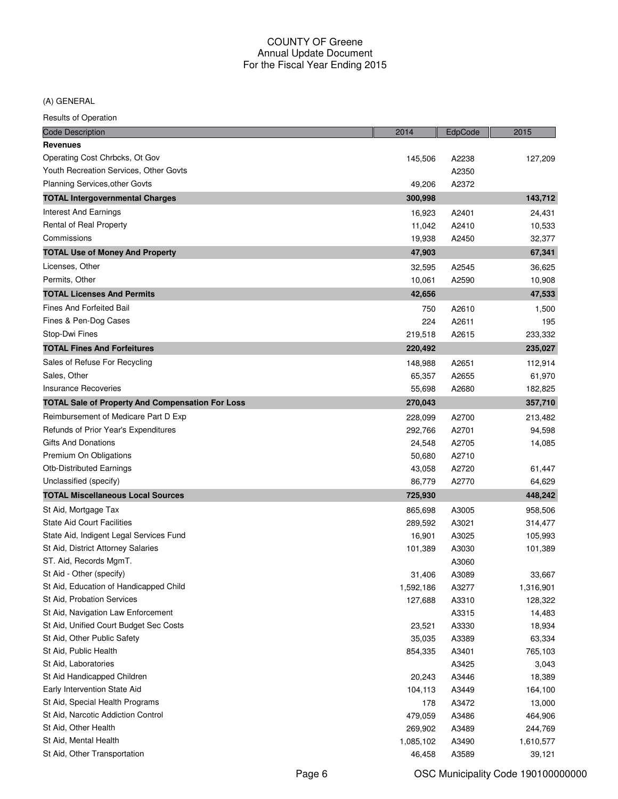# (A) GENERAL

| <b>Results of Operation</b>                             |           |         |           |
|---------------------------------------------------------|-----------|---------|-----------|
| <b>Code Description</b>                                 | 2014      | EdpCode | 2015      |
| <b>Revenues</b>                                         |           |         |           |
| Operating Cost Chrbcks, Ot Gov                          | 145,506   | A2238   | 127,209   |
| Youth Recreation Services, Other Govts                  |           | A2350   |           |
| <b>Planning Services, other Govts</b>                   | 49,206    | A2372   |           |
| <b>TOTAL Intergovernmental Charges</b>                  | 300,998   |         | 143,712   |
| <b>Interest And Earnings</b>                            | 16,923    | A2401   | 24,431    |
| Rental of Real Property                                 | 11,042    | A2410   | 10,533    |
| Commissions                                             | 19,938    | A2450   | 32,377    |
| <b>TOTAL Use of Money And Property</b>                  | 47,903    |         | 67,341    |
| Licenses, Other                                         | 32,595    | A2545   | 36,625    |
| Permits, Other                                          | 10,061    | A2590   | 10,908    |
| <b>TOTAL Licenses And Permits</b>                       | 42,656    |         | 47,533    |
| <b>Fines And Forfeited Bail</b>                         | 750       | A2610   | 1,500     |
| Fines & Pen-Dog Cases                                   | 224       | A2611   | 195       |
| Stop-Dwi Fines                                          | 219,518   | A2615   | 233,332   |
| <b>TOTAL Fines And Forfeitures</b>                      | 220,492   |         | 235,027   |
| Sales of Refuse For Recycling                           | 148,988   | A2651   | 112,914   |
| Sales, Other                                            | 65,357    | A2655   | 61,970    |
| <b>Insurance Recoveries</b>                             | 55,698    | A2680   | 182,825   |
| <b>TOTAL Sale of Property And Compensation For Loss</b> | 270,043   |         | 357,710   |
| Reimbursement of Medicare Part D Exp                    | 228,099   | A2700   | 213,482   |
| Refunds of Prior Year's Expenditures                    | 292,766   | A2701   | 94,598    |
| <b>Gifts And Donations</b>                              | 24,548    | A2705   | 14,085    |
| Premium On Obligations                                  | 50,680    | A2710   |           |
| <b>Otb-Distributed Earnings</b>                         | 43,058    | A2720   | 61,447    |
| Unclassified (specify)                                  | 86,779    | A2770   | 64,629    |
| <b>TOTAL Miscellaneous Local Sources</b>                | 725,930   |         | 448,242   |
| St Aid, Mortgage Tax                                    | 865,698   | A3005   | 958,506   |
| <b>State Aid Court Facilities</b>                       | 289,592   | A3021   | 314,477   |
| State Aid, Indigent Legal Services Fund                 | 16,901    | A3025   | 105,993   |
| St Aid, District Attorney Salaries                      | 101,389   | A3030   | 101,389   |
| ST. Aid, Records MgmT.                                  |           | A3060   |           |
| St Aid - Other (specify)                                | 31,406    | A3089   | 33,667    |
| St Aid, Education of Handicapped Child                  | 1,592,186 | A3277   | 1,316,901 |
| St Aid, Probation Services                              | 127,688   | A3310   | 128,322   |
| St Aid, Navigation Law Enforcement                      |           | A3315   | 14,483    |
| St Aid, Unified Court Budget Sec Costs                  | 23,521    | A3330   | 18,934    |
| St Aid, Other Public Safety                             | 35,035    | A3389   | 63,334    |
| St Aid, Public Health                                   | 854,335   | A3401   | 765,103   |
| St Aid, Laboratories                                    |           | A3425   | 3,043     |
| St Aid Handicapped Children                             | 20,243    | A3446   | 18,389    |
| Early Intervention State Aid                            | 104,113   | A3449   | 164,100   |
| St Aid, Special Health Programs                         | 178       | A3472   | 13,000    |
| St Aid, Narcotic Addiction Control                      | 479,059   | A3486   | 464,906   |
| St Aid, Other Health                                    | 269,902   | A3489   | 244,769   |
| St Aid, Mental Health                                   | 1,085,102 | A3490   | 1,610,577 |
| St Aid, Other Transportation                            | 46,458    | A3589   | 39,121    |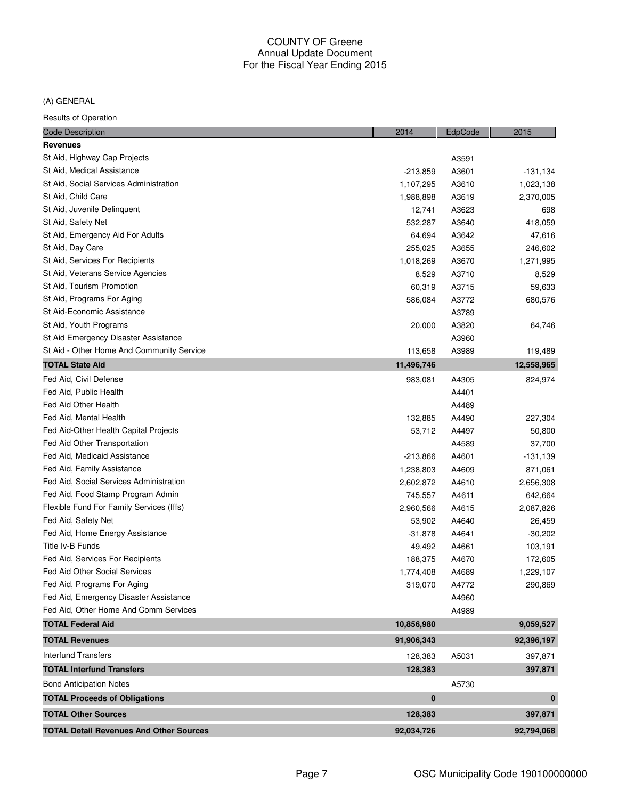(A) GENERAL

| <b>Code Description</b>                        | 2014       | EdpCode | 2015       |
|------------------------------------------------|------------|---------|------------|
| <b>Revenues</b>                                |            |         |            |
| St Aid, Highway Cap Projects                   |            | A3591   |            |
| St Aid, Medical Assistance                     | $-213,859$ | A3601   | $-131,134$ |
| St Aid, Social Services Administration         | 1,107,295  | A3610   | 1,023,138  |
| St Aid, Child Care                             | 1,988,898  | A3619   | 2,370,005  |
| St Aid, Juvenile Delinquent                    | 12,741     | A3623   | 698        |
| St Aid, Safety Net                             | 532,287    | A3640   | 418,059    |
| St Aid, Emergency Aid For Adults               | 64,694     | A3642   | 47,616     |
| St Aid, Day Care                               | 255,025    | A3655   | 246,602    |
| St Aid, Services For Recipients                | 1,018,269  | A3670   | 1,271,995  |
| St Aid, Veterans Service Agencies              | 8,529      | A3710   | 8,529      |
| St Aid, Tourism Promotion                      | 60,319     | A3715   | 59,633     |
| St Aid, Programs For Aging                     | 586,084    | A3772   | 680,576    |
| St Aid-Economic Assistance                     |            | A3789   |            |
| St Aid, Youth Programs                         | 20,000     | A3820   | 64,746     |
| St Aid Emergency Disaster Assistance           |            | A3960   |            |
| St Aid - Other Home And Community Service      | 113,658    | A3989   | 119,489    |
| <b>TOTAL State Aid</b>                         | 11,496,746 |         | 12,558,965 |
| Fed Aid, Civil Defense                         | 983,081    | A4305   | 824,974    |
| Fed Aid, Public Health                         |            | A4401   |            |
| Fed Aid Other Health                           |            | A4489   |            |
| Fed Aid, Mental Health                         | 132,885    | A4490   | 227,304    |
| Fed Aid-Other Health Capital Projects          | 53,712     | A4497   | 50,800     |
| Fed Aid Other Transportation                   |            | A4589   | 37,700     |
| Fed Aid, Medicaid Assistance                   | $-213,866$ | A4601   | $-131,139$ |
| Fed Aid, Family Assistance                     | 1,238,803  | A4609   | 871,061    |
| Fed Aid, Social Services Administration        | 2,602,872  | A4610   | 2,656,308  |
| Fed Aid, Food Stamp Program Admin              | 745,557    | A4611   | 642,664    |
| Flexible Fund For Family Services (fffs)       | 2,960,566  | A4615   | 2,087,826  |
| Fed Aid, Safety Net                            | 53,902     | A4640   | 26,459     |
| Fed Aid, Home Energy Assistance                | $-31,878$  | A4641   | $-30,202$  |
| Title Iv-B Funds                               | 49,492     | A4661   | 103,191    |
| Fed Aid, Services For Recipients               | 188,375    | A4670   | 172,605    |
| <b>Fed Aid Other Social Services</b>           | 1,774,408  | A4689   | 1,229,107  |
| Fed Aid, Programs For Aging                    | 319,070    | A4772   | 290,869    |
| Fed Aid, Emergency Disaster Assistance         |            | A4960   |            |
| Fed Aid, Other Home And Comm Services          |            | A4989   |            |
| <b>TOTAL Federal Aid</b>                       | 10,856,980 |         | 9,059,527  |
| <b>TOTAL Revenues</b>                          | 91,906,343 |         | 92,396,197 |
| <b>Interfund Transfers</b>                     | 128,383    | A5031   | 397,871    |
| <b>TOTAL Interfund Transfers</b>               | 128,383    |         | 397,871    |
| <b>Bond Anticipation Notes</b>                 |            | A5730   |            |
| <b>TOTAL Proceeds of Obligations</b>           | $\bf{0}$   |         | 0          |
|                                                |            |         |            |
| <b>TOTAL Other Sources</b>                     | 128,383    |         | 397,871    |
| <b>TOTAL Detail Revenues And Other Sources</b> | 92,034,726 |         | 92,794,068 |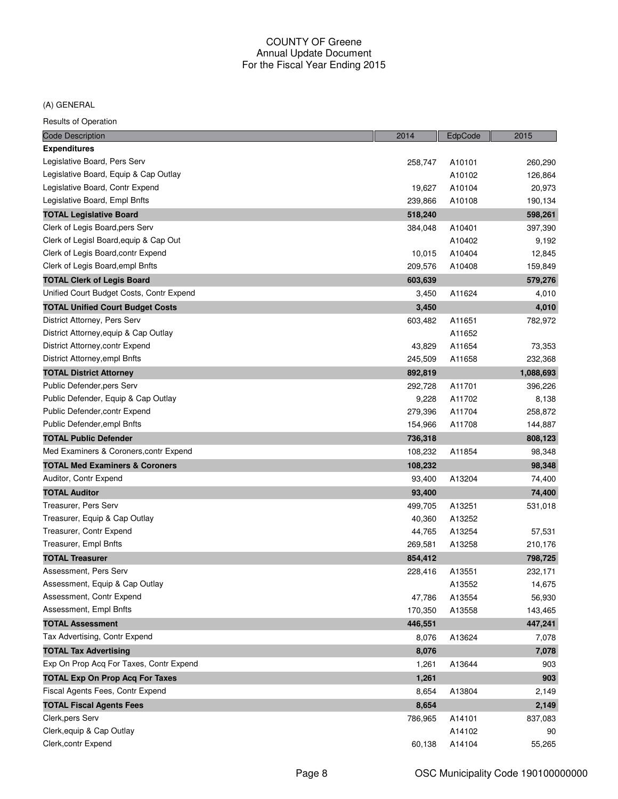#### (A) GENERAL

| <b>Code Description</b>                   | 2014    | EdpCode | 2015      |
|-------------------------------------------|---------|---------|-----------|
| <b>Expenditures</b>                       |         |         |           |
| Legislative Board, Pers Serv              | 258,747 | A10101  | 260,290   |
| Legislative Board, Equip & Cap Outlay     |         | A10102  | 126,864   |
| Legislative Board, Contr Expend           | 19,627  | A10104  | 20,973    |
| Legislative Board, Empl Bnfts             | 239,866 | A10108  | 190,134   |
| <b>TOTAL Legislative Board</b>            | 518,240 |         | 598,261   |
| Clerk of Legis Board, pers Serv           | 384,048 | A10401  | 397,390   |
| Clerk of Legisl Board, equip & Cap Out    |         | A10402  | 9,192     |
| Clerk of Legis Board, contr Expend        | 10,015  | A10404  | 12,845    |
| Clerk of Legis Board, empl Bnfts          | 209,576 | A10408  | 159,849   |
| <b>TOTAL Clerk of Legis Board</b>         | 603,639 |         | 579,276   |
| Unified Court Budget Costs, Contr Expend  | 3,450   | A11624  | 4,010     |
| <b>TOTAL Unified Court Budget Costs</b>   | 3,450   |         | 4,010     |
| District Attorney, Pers Serv              | 603,482 | A11651  | 782,972   |
| District Attorney, equip & Cap Outlay     |         | A11652  |           |
| District Attorney, contr Expend           | 43,829  | A11654  | 73,353    |
| District Attorney, empl Bnfts             | 245,509 | A11658  | 232,368   |
| <b>TOTAL District Attorney</b>            | 892,819 |         | 1,088,693 |
| Public Defender, pers Serv                | 292,728 | A11701  | 396,226   |
| Public Defender, Equip & Cap Outlay       | 9,228   | A11702  | 8,138     |
| Public Defender, contr Expend             | 279,396 | A11704  | 258,872   |
| Public Defender, empl Bnfts               | 154,966 | A11708  | 144,887   |
| <b>TOTAL Public Defender</b>              | 736,318 |         | 808,123   |
| Med Examiners & Coroners, contr Expend    | 108,232 | A11854  | 98,348    |
| <b>TOTAL Med Examiners &amp; Coroners</b> | 108,232 |         | 98,348    |
| Auditor, Contr Expend                     | 93,400  | A13204  | 74,400    |
| <b>TOTAL Auditor</b>                      | 93,400  |         | 74,400    |
| Treasurer, Pers Serv                      | 499,705 | A13251  | 531,018   |
| Treasurer, Equip & Cap Outlay             | 40,360  | A13252  |           |
| Treasurer, Contr Expend                   | 44,765  | A13254  | 57,531    |
| Treasurer, Empl Bnfts                     | 269,581 | A13258  | 210,176   |
| <b>TOTAL Treasurer</b>                    | 854,412 |         | 798,725   |
| Assessment, Pers Serv                     | 228,416 | A13551  | 232,171   |
| Assessment, Equip & Cap Outlay            |         | A13552  | 14,675    |
| Assessment, Contr Expend                  | 47,786  | A13554  | 56,930    |
| Assessment, Empl Bnfts                    | 170,350 | A13558  | 143,465   |
| <b>TOTAL Assessment</b>                   | 446,551 |         | 447,241   |
| Tax Advertising, Contr Expend             | 8,076   | A13624  | 7,078     |
| <b>TOTAL Tax Advertising</b>              | 8,076   |         | 7,078     |
| Exp On Prop Acq For Taxes, Contr Expend   | 1,261   | A13644  | 903       |
| <b>TOTAL Exp On Prop Acq For Taxes</b>    | 1,261   |         | 903       |
| Fiscal Agents Fees, Contr Expend          | 8,654   | A13804  | 2,149     |
| <b>TOTAL Fiscal Agents Fees</b>           | 8,654   |         | 2,149     |
| Clerk, pers Serv                          | 786,965 | A14101  | 837,083   |
| Clerk, equip & Cap Outlay                 |         | A14102  | 90        |
| Clerk, contr Expend                       | 60,138  | A14104  | 55,265    |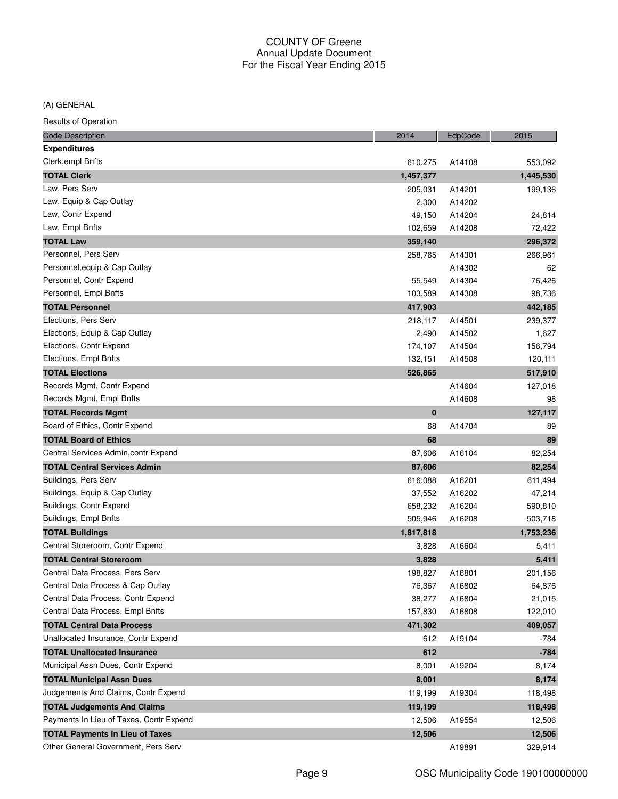(A) GENERAL

| <b>Code Description</b>                 | 2014      | EdpCode | 2015      |
|-----------------------------------------|-----------|---------|-----------|
| <b>Expenditures</b>                     |           |         |           |
| Clerk, empl Bnfts                       | 610,275   | A14108  | 553,092   |
| <b>TOTAL Clerk</b>                      | 1,457,377 |         | 1,445,530 |
| Law, Pers Serv                          | 205,031   | A14201  | 199,136   |
| Law, Equip & Cap Outlay                 | 2,300     | A14202  |           |
| Law, Contr Expend                       | 49,150    | A14204  | 24,814    |
| Law, Empl Bnfts                         | 102,659   | A14208  | 72,422    |
| <b>TOTAL Law</b>                        | 359,140   |         | 296,372   |
| Personnel, Pers Serv                    | 258,765   | A14301  | 266,961   |
| Personnel, equip & Cap Outlay           |           | A14302  | 62        |
| Personnel, Contr Expend                 | 55,549    | A14304  | 76,426    |
| Personnel, Empl Bnfts                   | 103,589   | A14308  | 98,736    |
| <b>TOTAL Personnel</b>                  | 417,903   |         | 442,185   |
| Elections, Pers Serv                    | 218,117   | A14501  | 239,377   |
| Elections, Equip & Cap Outlay           | 2,490     | A14502  | 1,627     |
| Elections, Contr Expend                 | 174,107   | A14504  | 156,794   |
| Elections, Empl Bnfts                   | 132,151   | A14508  | 120,111   |
| <b>TOTAL Elections</b>                  | 526,865   |         | 517,910   |
| Records Mgmt, Contr Expend              |           | A14604  | 127,018   |
| Records Mgmt, Empl Bnfts                |           | A14608  | 98        |
| <b>TOTAL Records Mamt</b>               | $\bf{0}$  |         | 127,117   |
| Board of Ethics, Contr Expend           | 68        | A14704  | 89        |
| <b>TOTAL Board of Ethics</b>            | 68        |         | 89        |
| Central Services Admin, contr Expend    | 87,606    | A16104  | 82,254    |
| <b>TOTAL Central Services Admin</b>     | 87,606    |         | 82,254    |
| Buildings, Pers Serv                    | 616,088   | A16201  | 611,494   |
| Buildings, Equip & Cap Outlay           | 37,552    | A16202  | 47,214    |
| Buildings, Contr Expend                 | 658,232   | A16204  | 590,810   |
| Buildings, Empl Bnfts                   | 505,946   | A16208  | 503,718   |
| <b>TOTAL Buildings</b>                  | 1,817,818 |         | 1,753,236 |
| Central Storeroom, Contr Expend         | 3,828     | A16604  | 5,411     |
| <b>TOTAL Central Storeroom</b>          | 3,828     |         | 5,411     |
| Central Data Process, Pers Serv         | 198,827   | A16801  | 201,156   |
| Central Data Process & Cap Outlay       | 76,367    | A16802  | 64,876    |
| Central Data Process, Contr Expend      | 38,277    | A16804  | 21,015    |
| Central Data Process, Empl Bnfts        | 157,830   | A16808  | 122,010   |
| <b>TOTAL Central Data Process</b>       | 471,302   |         | 409,057   |
| Unallocated Insurance, Contr Expend     | 612       | A19104  | $-784$    |
| <b>TOTAL Unallocated Insurance</b>      | 612       |         | $-784$    |
| Municipal Assn Dues, Contr Expend       | 8,001     | A19204  | 8,174     |
| <b>TOTAL Municipal Assn Dues</b>        | 8,001     |         | 8,174     |
| Judgements And Claims, Contr Expend     | 119,199   | A19304  | 118,498   |
| <b>TOTAL Judgements And Claims</b>      | 119,199   |         | 118,498   |
| Payments In Lieu of Taxes, Contr Expend | 12,506    | A19554  | 12,506    |
| <b>TOTAL Payments In Lieu of Taxes</b>  | 12,506    |         | 12,506    |
| Other General Government, Pers Serv     |           | A19891  | 329,914   |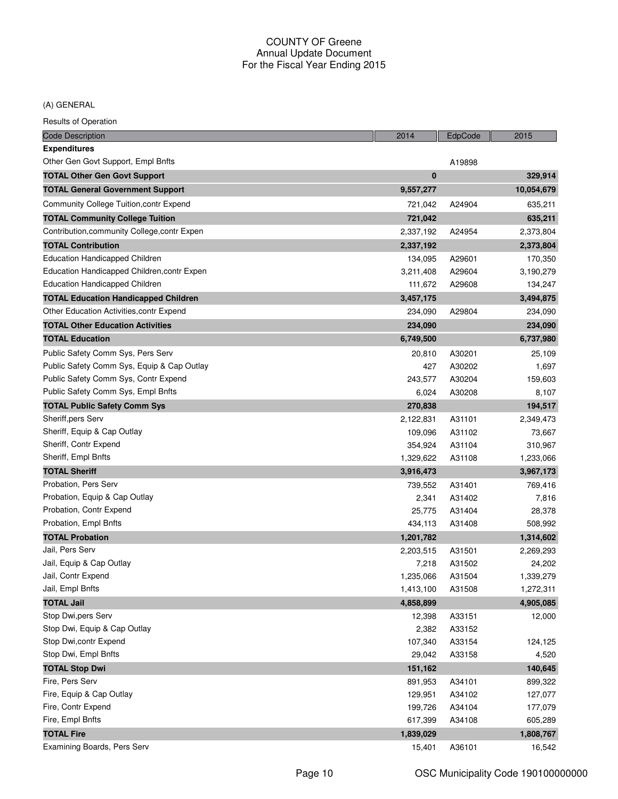#### (A) GENERAL

| <b>Code Description</b>                      | 2014      | EdpCode | 2015       |
|----------------------------------------------|-----------|---------|------------|
| <b>Expenditures</b>                          |           |         |            |
| Other Gen Govt Support, Empl Bnfts           |           | A19898  |            |
| <b>TOTAL Other Gen Govt Support</b>          | $\bf{0}$  |         | 329,914    |
| <b>TOTAL General Government Support</b>      | 9,557,277 |         | 10,054,679 |
| Community College Tuition, contr Expend      | 721,042   | A24904  | 635,211    |
| <b>TOTAL Community College Tuition</b>       | 721,042   |         | 635,211    |
| Contribution, community College, contr Expen | 2,337,192 | A24954  | 2,373,804  |
| <b>TOTAL Contribution</b>                    | 2,337,192 |         | 2,373,804  |
| Education Handicapped Children               | 134,095   | A29601  | 170,350    |
| Education Handicapped Children, contr Expen  | 3,211,408 | A29604  | 3,190,279  |
| <b>Education Handicapped Children</b>        | 111,672   | A29608  | 134,247    |
| <b>TOTAL Education Handicapped Children</b>  | 3,457,175 |         | 3,494,875  |
| Other Education Activities, contr Expend     | 234,090   | A29804  | 234,090    |
| <b>TOTAL Other Education Activities</b>      | 234,090   |         | 234,090    |
| <b>TOTAL Education</b>                       | 6,749,500 |         | 6,737,980  |
| Public Safety Comm Sys, Pers Serv            | 20,810    | A30201  | 25,109     |
| Public Safety Comm Sys, Equip & Cap Outlay   | 427       | A30202  | 1,697      |
| Public Safety Comm Sys, Contr Expend         | 243,577   | A30204  | 159,603    |
| Public Safety Comm Sys, Empl Bnfts           | 6,024     | A30208  | 8,107      |
| <b>TOTAL Public Safety Comm Sys</b>          | 270,838   |         | 194,517    |
| Sheriff, pers Serv                           | 2,122,831 | A31101  | 2,349,473  |
| Sheriff, Equip & Cap Outlay                  | 109,096   | A31102  | 73,667     |
| Sheriff, Contr Expend                        | 354,924   | A31104  | 310,967    |
| Sheriff, Empl Bnfts                          | 1,329,622 | A31108  | 1,233,066  |
| <b>TOTAL Sheriff</b>                         | 3,916,473 |         | 3,967,173  |
| Probation, Pers Serv                         | 739,552   | A31401  | 769,416    |
| Probation, Equip & Cap Outlay                | 2,341     | A31402  | 7,816      |
| Probation, Contr Expend                      | 25,775    | A31404  | 28,378     |
| Probation, Empl Bnfts                        | 434,113   | A31408  | 508,992    |
| <b>TOTAL Probation</b>                       | 1,201,782 |         | 1,314,602  |
| Jail, Pers Serv                              | 2,203,515 | A31501  | 2,269,293  |
| Jail, Equip & Cap Outlay                     | 7,218     | A31502  | 24,202     |
| Jail, Contr Expend                           | 1,235,066 | A31504  | 1,339,279  |
| Jail, Empl Bnfts                             | 1,413,100 | A31508  | 1,272,311  |
| <b>TOTAL Jail</b>                            | 4,858,899 |         | 4,905,085  |
| Stop Dwi, pers Serv                          | 12,398    | A33151  | 12,000     |
| Stop Dwi, Equip & Cap Outlay                 | 2,382     | A33152  |            |
| Stop Dwi,contr Expend                        | 107,340   | A33154  | 124,125    |
| Stop Dwi, Empl Bnfts                         | 29,042    | A33158  | 4,520      |
| <b>TOTAL Stop Dwi</b>                        | 151,162   |         | 140,645    |
| Fire, Pers Serv                              | 891,953   | A34101  | 899,322    |
| Fire, Equip & Cap Outlay                     | 129,951   | A34102  | 127,077    |
| Fire, Contr Expend                           | 199,726   | A34104  | 177,079    |
| Fire, Empl Bnfts                             | 617,399   | A34108  | 605,289    |
| <b>TOTAL Fire</b>                            | 1,839,029 |         | 1,808,767  |
| Examining Boards, Pers Serv                  | 15,401    | A36101  | 16,542     |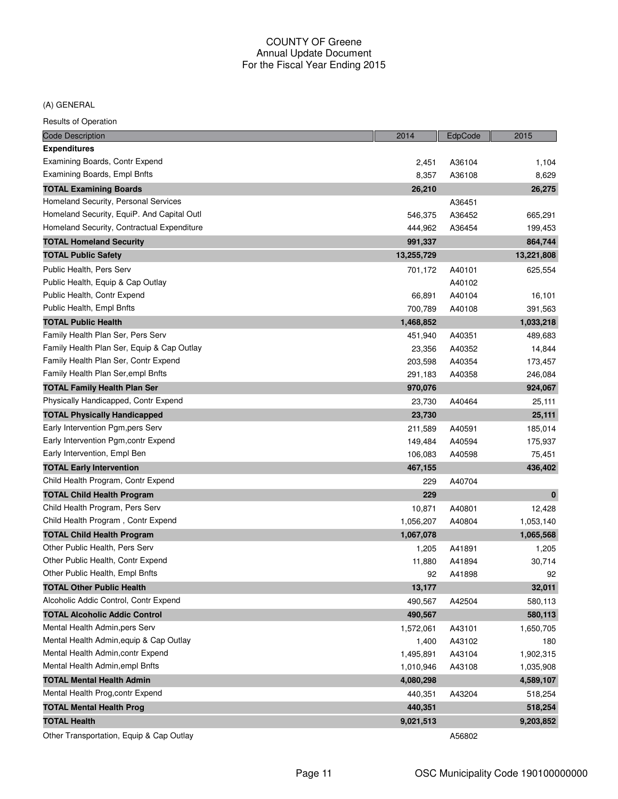#### (A) GENERAL

Results of Operation

| <b>Code Description</b>                    | 2014       | EdpCode | 2015       |
|--------------------------------------------|------------|---------|------------|
| <b>Expenditures</b>                        |            |         |            |
| Examining Boards, Contr Expend             | 2,451      | A36104  | 1,104      |
| Examining Boards, Empl Bnfts               | 8,357      | A36108  | 8,629      |
| <b>TOTAL Examining Boards</b>              | 26,210     |         | 26,275     |
| Homeland Security, Personal Services       |            | A36451  |            |
| Homeland Security, EquiP. And Capital Outl | 546,375    | A36452  | 665,291    |
| Homeland Security, Contractual Expenditure | 444,962    | A36454  | 199,453    |
| <b>TOTAL Homeland Security</b>             | 991,337    |         | 864,744    |
| <b>TOTAL Public Safety</b>                 | 13,255,729 |         | 13,221,808 |
| Public Health, Pers Serv                   | 701,172    | A40101  | 625,554    |
| Public Health, Equip & Cap Outlay          |            | A40102  |            |
| Public Health, Contr Expend                | 66,891     | A40104  | 16,101     |
| Public Health, Empl Bnfts                  | 700,789    | A40108  | 391,563    |
| <b>TOTAL Public Health</b>                 | 1,468,852  |         | 1,033,218  |
| Family Health Plan Ser, Pers Serv          | 451,940    | A40351  | 489,683    |
| Family Health Plan Ser, Equip & Cap Outlay | 23,356     | A40352  | 14,844     |
| Family Health Plan Ser, Contr Expend       | 203,598    | A40354  | 173,457    |
| Family Health Plan Ser, empl Bnfts         | 291,183    | A40358  | 246,084    |
| <b>TOTAL Family Health Plan Ser</b>        | 970,076    |         | 924,067    |
| Physically Handicapped, Contr Expend       | 23,730     | A40464  | 25,111     |
| <b>TOTAL Physically Handicapped</b>        | 23,730     |         | 25,111     |
| Early Intervention Pgm, pers Serv          | 211,589    | A40591  | 185,014    |
| Early Intervention Pgm, contr Expend       | 149,484    | A40594  | 175,937    |
| Early Intervention, Empl Ben               | 106,083    | A40598  | 75,451     |
| <b>TOTAL Early Intervention</b>            | 467,155    |         | 436,402    |
| Child Health Program, Contr Expend         | 229        | A40704  |            |
| <b>TOTAL Child Health Program</b>          | 229        |         | $\bf{0}$   |
| Child Health Program, Pers Serv            | 10,871     | A40801  | 12,428     |
| Child Health Program, Contr Expend         | 1,056,207  | A40804  | 1,053,140  |
| <b>TOTAL Child Health Program</b>          | 1,067,078  |         | 1,065,568  |
| Other Public Health, Pers Serv             | 1,205      | A41891  | 1,205      |
| Other Public Health, Contr Expend          | 11,880     | A41894  | 30,714     |
| Other Public Health, Empl Bnfts            | 92         | A41898  | 92         |
| <b>TOTAL Other Public Health</b>           | 13,177     |         | 32,011     |
| Alcoholic Addic Control, Contr Expend      | 490,567    | A42504  | 580,113    |
| <b>TOTAL Alcoholic Addic Control</b>       | 490,567    |         | 580,113    |
| Mental Health Admin, pers Serv             | 1,572,061  | A43101  | 1,650,705  |
| Mental Health Admin, equip & Cap Outlay    | 1,400      | A43102  | 180        |
| Mental Health Admin, contr Expend          | 1,495,891  | A43104  | 1,902,315  |
| Mental Health Admin, empl Bnfts            | 1,010,946  | A43108  | 1,035,908  |
| <b>TOTAL Mental Health Admin</b>           | 4,080,298  |         | 4,589,107  |
| Mental Health Prog, contr Expend           | 440,351    | A43204  | 518,254    |
| <b>TOTAL Mental Health Prog</b>            | 440,351    |         | 518,254    |
| <b>TOTAL Health</b>                        | 9,021,513  |         | 9,203,852  |
| Other Transportation, Equip & Cap Outlay   |            | A56802  |            |

Page 11 **OSC Municipality Code 190100000000**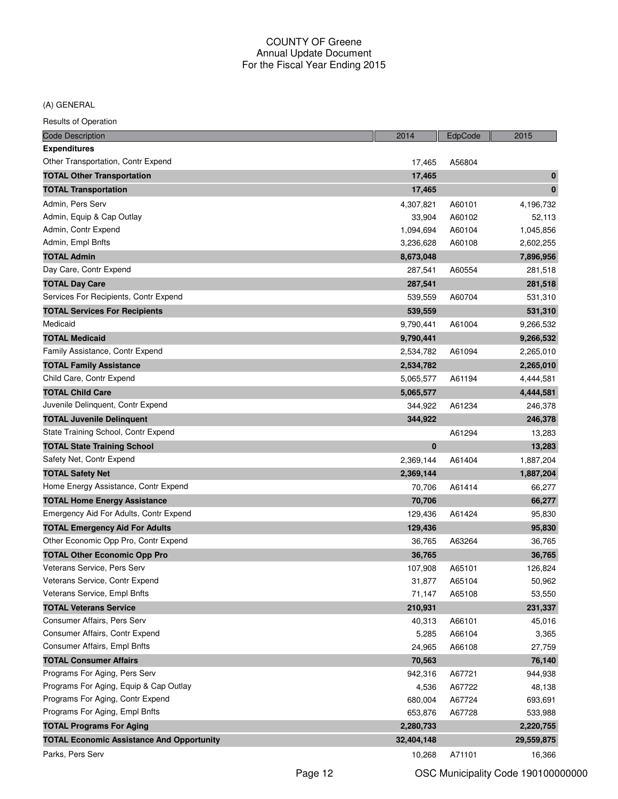(A) GENERAL

| <b>Code Description</b>                          | 2014              | EdpCode | 2015              |
|--------------------------------------------------|-------------------|---------|-------------------|
| <b>Expenditures</b>                              |                   |         |                   |
| Other Transportation, Contr Expend               | 17,465            | A56804  |                   |
| <b>TOTAL Other Transportation</b>                | 17,465            |         | 0                 |
| <b>TOTAL Transportation</b>                      | 17,465            |         | 0                 |
| Admin, Pers Serv                                 | 4,307,821         | A60101  | 4,196,732         |
| Admin, Equip & Cap Outlay                        | 33,904            | A60102  | 52,113            |
| Admin, Contr Expend                              | 1,094,694         | A60104  | 1,045,856         |
| Admin, Empl Bnfts                                | 3,236,628         | A60108  | 2,602,255         |
| <b>TOTAL Admin</b>                               | 8,673,048         |         | 7,896,956         |
| Day Care, Contr Expend                           | 287,541           | A60554  | 281,518           |
| <b>TOTAL Day Care</b>                            | 287,541           |         | 281,518           |
| Services For Recipients, Contr Expend            | 539,559           | A60704  | 531,310           |
| <b>TOTAL Services For Recipients</b>             | 539,559           |         | 531,310           |
| Medicaid                                         | 9,790,441         | A61004  | 9,266,532         |
| <b>TOTAL Medicaid</b>                            | 9,790,441         |         | 9,266,532         |
| Family Assistance, Contr Expend                  | 2,534,782         | A61094  | 2,265,010         |
| <b>TOTAL Family Assistance</b>                   | 2,534,782         |         | 2,265,010         |
| Child Care, Contr Expend                         | 5,065,577         | A61194  | 4,444,581         |
| <b>TOTAL Child Care</b>                          | 5,065,577         |         | 4,444,581         |
| Juvenile Delinquent, Contr Expend                | 344,922           | A61234  | 246,378           |
| <b>TOTAL Juvenile Delinquent</b>                 | 344,922           |         | 246,378           |
| State Training School, Contr Expend              |                   | A61294  | 13,283            |
| <b>TOTAL State Training School</b>               | 0                 |         | 13,283            |
| Safety Net, Contr Expend                         | 2,369,144         | A61404  | 1,887,204         |
| <b>TOTAL Safety Net</b>                          | 2,369,144         |         | 1,887,204         |
| Home Energy Assistance, Contr Expend             | 70,706            | A61414  | 66,277            |
| <b>TOTAL Home Energy Assistance</b>              | 70,706            |         | 66,277            |
| Emergency Aid For Adults, Contr Expend           | 129,436           | A61424  | 95,830            |
| <b>TOTAL Emergency Aid For Adults</b>            | 129,436           |         | 95,830            |
| Other Economic Opp Pro, Contr Expend             | 36,765            | A63264  | 36,765            |
| <b>TOTAL Other Economic Opp Pro</b>              | 36,765            |         | 36,765            |
| Veterans Service, Pers Serv                      |                   | A65101  |                   |
| Veterans Service, Contr Expend                   | 107,908<br>31,877 | A65104  | 126,824<br>50,962 |
| Veterans Service, Empl Bnfts                     | 71,147            | A65108  | 53,550            |
| <b>TOTAL Veterans Service</b>                    | 210,931           |         | 231,337           |
| Consumer Affairs, Pers Serv                      | 40,313            | A66101  | 45,016            |
| Consumer Affairs, Contr Expend                   | 5,285             | A66104  | 3,365             |
| Consumer Affairs, Empl Bnfts                     | 24,965            | A66108  | 27,759            |
| <b>TOTAL Consumer Affairs</b>                    | 70,563            |         | 76,140            |
| Programs For Aging, Pers Serv                    | 942,316           | A67721  | 944,938           |
| Programs For Aging, Equip & Cap Outlay           | 4,536             | A67722  | 48,138            |
| Programs For Aging, Contr Expend                 | 680,004           | A67724  | 693,691           |
| Programs For Aging, Empl Bnfts                   | 653,876           | A67728  | 533,988           |
| <b>TOTAL Programs For Aging</b>                  | 2,280,733         |         | 2,220,755         |
| <b>TOTAL Economic Assistance And Opportunity</b> | 32,404,148        |         | 29,559,875        |
| Parks, Pers Serv                                 | 10,268            | A71101  | 16,366            |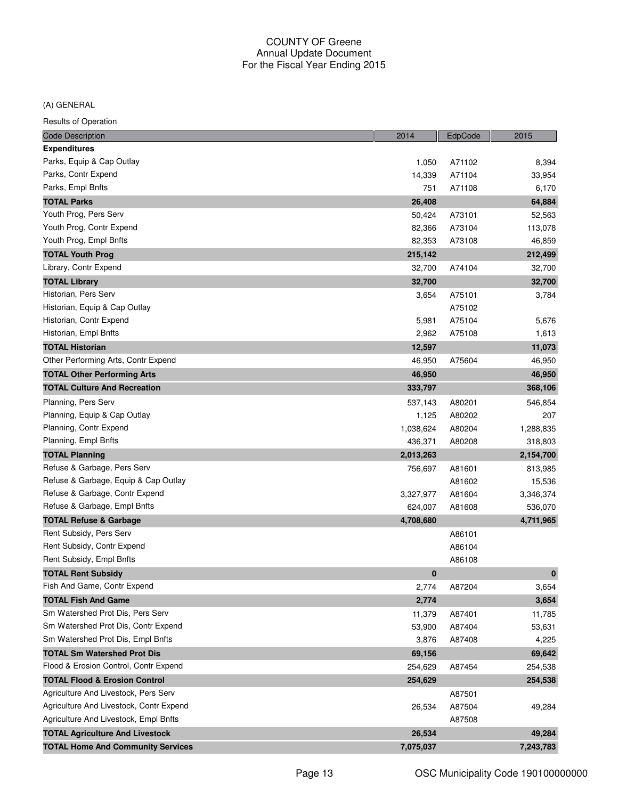(A) GENERAL

| <b>Code Description</b>                  | 2014      | EdpCode | 2015      |
|------------------------------------------|-----------|---------|-----------|
| <b>Expenditures</b>                      |           |         |           |
| Parks, Equip & Cap Outlay                | 1,050     | A71102  | 8,394     |
| Parks, Contr Expend                      | 14,339    | A71104  | 33,954    |
| Parks, Empl Bnfts                        | 751       | A71108  | 6,170     |
| <b>TOTAL Parks</b>                       | 26,408    |         | 64,884    |
| Youth Prog, Pers Serv                    | 50,424    | A73101  | 52,563    |
| Youth Prog, Contr Expend                 | 82,366    | A73104  | 113,078   |
| Youth Prog, Empl Bnfts                   | 82,353    | A73108  | 46,859    |
| <b>TOTAL Youth Prog</b>                  | 215,142   |         | 212,499   |
| Library, Contr Expend                    | 32,700    | A74104  | 32,700    |
| <b>TOTAL Library</b>                     | 32,700    |         | 32,700    |
| Historian, Pers Serv                     | 3,654     | A75101  | 3,784     |
| Historian, Equip & Cap Outlay            |           | A75102  |           |
| Historian, Contr Expend                  | 5,981     | A75104  | 5,676     |
| Historian, Empl Bnfts                    | 2,962     | A75108  | 1,613     |
| <b>TOTAL Historian</b>                   | 12,597    |         | 11,073    |
| Other Performing Arts, Contr Expend      | 46,950    | A75604  | 46,950    |
| <b>TOTAL Other Performing Arts</b>       | 46,950    |         | 46,950    |
| <b>TOTAL Culture And Recreation</b>      | 333,797   |         | 368,106   |
| Planning, Pers Serv                      | 537,143   | A80201  | 546,854   |
| Planning, Equip & Cap Outlay             | 1,125     | A80202  | 207       |
| Planning, Contr Expend                   | 1,038,624 | A80204  | 1,288,835 |
| Planning, Empl Bnfts                     | 436,371   | A80208  | 318,803   |
| <b>TOTAL Planning</b>                    | 2,013,263 |         | 2,154,700 |
| Refuse & Garbage, Pers Serv              | 756,697   | A81601  | 813,985   |
| Refuse & Garbage, Equip & Cap Outlay     |           | A81602  | 15,536    |
| Refuse & Garbage, Contr Expend           | 3,327,977 | A81604  | 3,346,374 |
| Refuse & Garbage, Empl Bnfts             | 624,007   | A81608  | 536,070   |
| <b>TOTAL Refuse &amp; Garbage</b>        | 4,708,680 |         | 4,711,965 |
| Rent Subsidy, Pers Serv                  |           | A86101  |           |
| Rent Subsidy, Contr Expend               |           | A86104  |           |
| Rent Subsidy, Empl Bnfts                 |           | A86108  |           |
| <b>TOTAL Rent Subsidy</b>                | 0         |         | 0         |
| Fish And Game, Contr Expend              | 2,774     | A87204  | 3,654     |
| <b>TOTAL Fish And Game</b>               | 2,774     |         | 3,654     |
| Sm Watershed Prot Dis, Pers Serv         | 11,379    | A87401  | 11,785    |
| Sm Watershed Prot Dis, Contr Expend      | 53,900    | A87404  | 53,631    |
| Sm Watershed Prot Dis, Empl Bnfts        | 3,876     | A87408  | 4,225     |
| <b>TOTAL Sm Watershed Prot Dis</b>       | 69,156    |         | 69,642    |
| Flood & Erosion Control, Contr Expend    | 254,629   | A87454  | 254,538   |
| <b>TOTAL Flood &amp; Erosion Control</b> | 254,629   |         | 254,538   |
| Agriculture And Livestock, Pers Serv     |           | A87501  |           |
| Agriculture And Livestock, Contr Expend  | 26,534    | A87504  | 49,284    |
| Agriculture And Livestock, Empl Bnfts    |           | A87508  |           |
| <b>TOTAL Agriculture And Livestock</b>   | 26,534    |         | 49,284    |
| <b>TOTAL Home And Community Services</b> | 7,075,037 |         | 7,243,783 |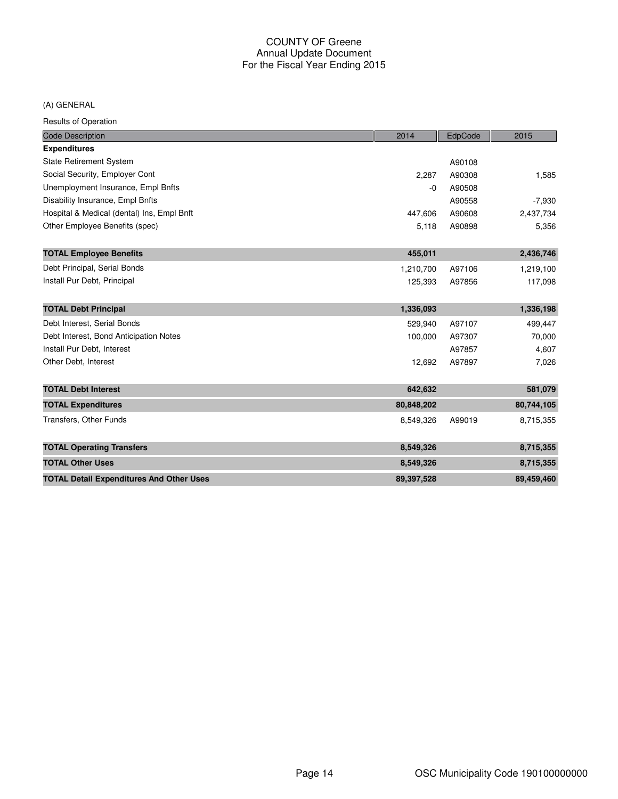#### (A) GENERAL

| <b>Code Description</b>                         | 2014       | EdpCode | 2015       |
|-------------------------------------------------|------------|---------|------------|
| <b>Expenditures</b>                             |            |         |            |
| <b>State Retirement System</b>                  |            | A90108  |            |
| Social Security, Employer Cont                  | 2,287      | A90308  | 1,585      |
| Unemployment Insurance, Empl Bnfts              | $-0$       | A90508  |            |
| Disability Insurance, Empl Bnfts                |            | A90558  | $-7,930$   |
| Hospital & Medical (dental) Ins, Empl Bnft      | 447,606    | A90608  | 2,437,734  |
| Other Employee Benefits (spec)                  | 5,118      | A90898  | 5,356      |
| <b>TOTAL Employee Benefits</b>                  | 455,011    |         | 2,436,746  |
|                                                 |            |         |            |
| Debt Principal, Serial Bonds                    | 1,210,700  | A97106  | 1,219,100  |
| Install Pur Debt, Principal                     | 125,393    | A97856  | 117,098    |
| <b>TOTAL Debt Principal</b>                     | 1,336,093  |         | 1,336,198  |
| Debt Interest, Serial Bonds                     | 529,940    | A97107  | 499,447    |
| Debt Interest, Bond Anticipation Notes          | 100,000    | A97307  | 70,000     |
| Install Pur Debt, Interest                      |            | A97857  | 4,607      |
| Other Debt, Interest                            | 12,692     | A97897  | 7,026      |
| <b>TOTAL Debt Interest</b>                      | 642,632    |         | 581,079    |
| <b>TOTAL Expenditures</b>                       | 80,848,202 |         | 80,744,105 |
|                                                 |            |         |            |
| Transfers, Other Funds                          | 8,549,326  | A99019  | 8,715,355  |
| <b>TOTAL Operating Transfers</b>                | 8,549,326  |         | 8,715,355  |
| <b>TOTAL Other Uses</b>                         | 8,549,326  |         | 8,715,355  |
| <b>TOTAL Detail Expenditures And Other Uses</b> | 89,397,528 |         | 89,459,460 |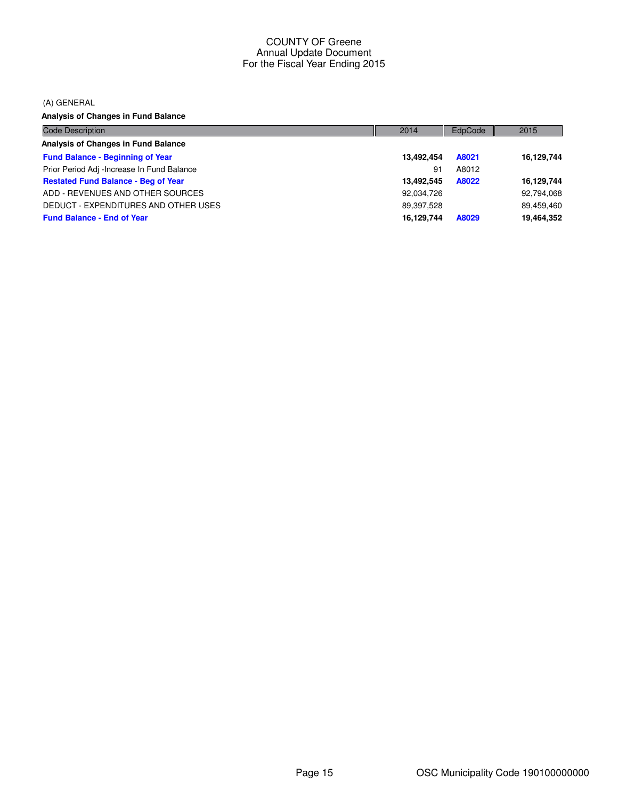(A) GENERAL

**Analysis of Changes in Fund Balance**

| <b>Code Description</b>                    | 2014       | EdpCode | 2015       |
|--------------------------------------------|------------|---------|------------|
| Analysis of Changes in Fund Balance        |            |         |            |
| <b>Fund Balance - Beginning of Year</b>    | 13,492,454 | A8021   | 16,129,744 |
| Prior Period Adj -Increase In Fund Balance | 91         | A8012   |            |
| <b>Restated Fund Balance - Beg of Year</b> | 13.492.545 | A8022   | 16,129,744 |
| ADD - REVENUES AND OTHER SOURCES           | 92,034,726 |         | 92,794,068 |
| DEDUCT - EXPENDITURES AND OTHER USES       | 89,397,528 |         | 89.459.460 |
| <b>Fund Balance - End of Year</b>          | 16,129,744 | A8029   | 19,464,352 |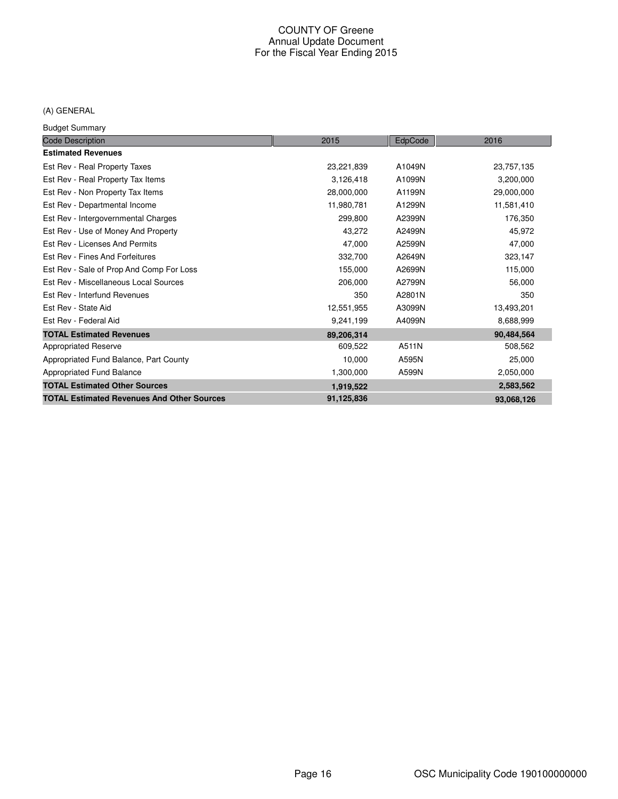# (A) GENERAL

Budget Summary

| <b>Code Description</b>                           | 2015       | EdpCode | 2016       |
|---------------------------------------------------|------------|---------|------------|
| <b>Estimated Revenues</b>                         |            |         |            |
| Est Rev - Real Property Taxes                     | 23,221,839 | A1049N  | 23,757,135 |
| Est Rev - Real Property Tax Items                 | 3,126,418  | A1099N  | 3,200,000  |
| Est Rev - Non Property Tax Items                  | 28,000,000 | A1199N  | 29,000,000 |
| Est Rev - Departmental Income                     | 11,980,781 | A1299N  | 11,581,410 |
| Est Rev - Intergovernmental Charges               | 299,800    | A2399N  | 176,350    |
| Est Rev - Use of Money And Property               | 43,272     | A2499N  | 45,972     |
| Est Rev - Licenses And Permits                    | 47,000     | A2599N  | 47,000     |
| Est Rev - Fines And Forfeitures                   | 332,700    | A2649N  | 323,147    |
| Est Rev - Sale of Prop And Comp For Loss          | 155,000    | A2699N  | 115,000    |
| Est Rev - Miscellaneous Local Sources             | 206,000    | A2799N  | 56,000     |
| Est Rev - Interfund Revenues                      | 350        | A2801N  | 350        |
| Est Rev - State Aid                               | 12,551,955 | A3099N  | 13,493,201 |
| Est Rev - Federal Aid                             | 9,241,199  | A4099N  | 8,688,999  |
| <b>TOTAL Estimated Revenues</b>                   | 89,206,314 |         | 90,484,564 |
| <b>Appropriated Reserve</b>                       | 609,522    | A511N   | 508,562    |
| Appropriated Fund Balance, Part County            | 10,000     | A595N   | 25,000     |
| Appropriated Fund Balance                         | 1,300,000  | A599N   | 2,050,000  |
| <b>TOTAL Estimated Other Sources</b>              | 1,919,522  |         | 2,583,562  |
| <b>TOTAL Estimated Revenues And Other Sources</b> | 91,125,836 |         | 93,068,126 |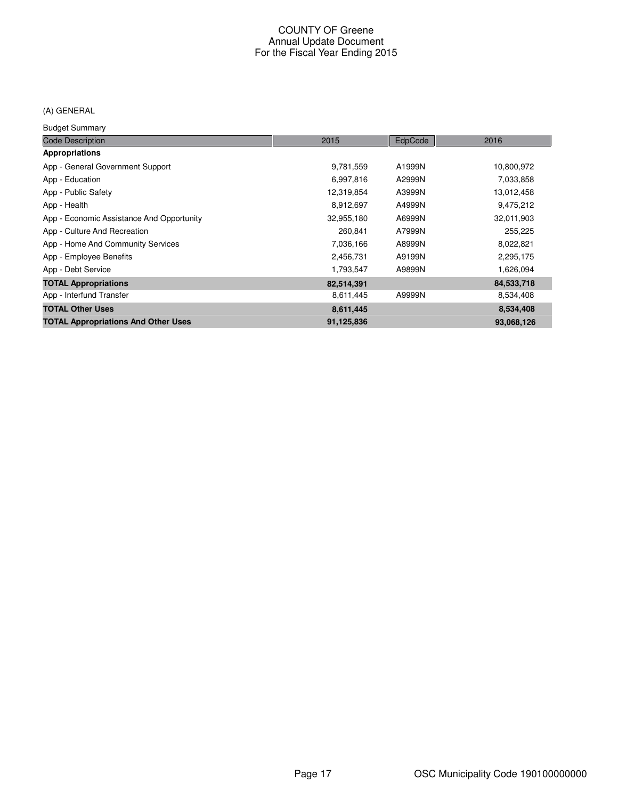# (A) GENERAL

Budget Summary

| paagot oannuary                            |            |         |            |
|--------------------------------------------|------------|---------|------------|
| <b>Code Description</b>                    | 2015       | EdpCode | 2016       |
| <b>Appropriations</b>                      |            |         |            |
| App - General Government Support           | 9,781,559  | A1999N  | 10,800,972 |
| App - Education                            | 6,997,816  | A2999N  | 7,033,858  |
| App - Public Safety                        | 12,319,854 | A3999N  | 13,012,458 |
| App - Health                               | 8,912,697  | A4999N  | 9,475,212  |
| App - Economic Assistance And Opportunity  | 32,955,180 | A6999N  | 32,011,903 |
| App - Culture And Recreation               | 260,841    | A7999N  | 255,225    |
| App - Home And Community Services          | 7,036,166  | A8999N  | 8,022,821  |
| App - Employee Benefits                    | 2,456,731  | A9199N  | 2,295,175  |
| App - Debt Service                         | 1,793,547  | A9899N  | 1,626,094  |
| <b>TOTAL Appropriations</b>                | 82,514,391 |         | 84,533,718 |
| App - Interfund Transfer                   | 8,611,445  | A9999N  | 8,534,408  |
| <b>TOTAL Other Uses</b>                    | 8,611,445  |         | 8,534,408  |
| <b>TOTAL Appropriations And Other Uses</b> | 91,125,836 |         | 93,068,126 |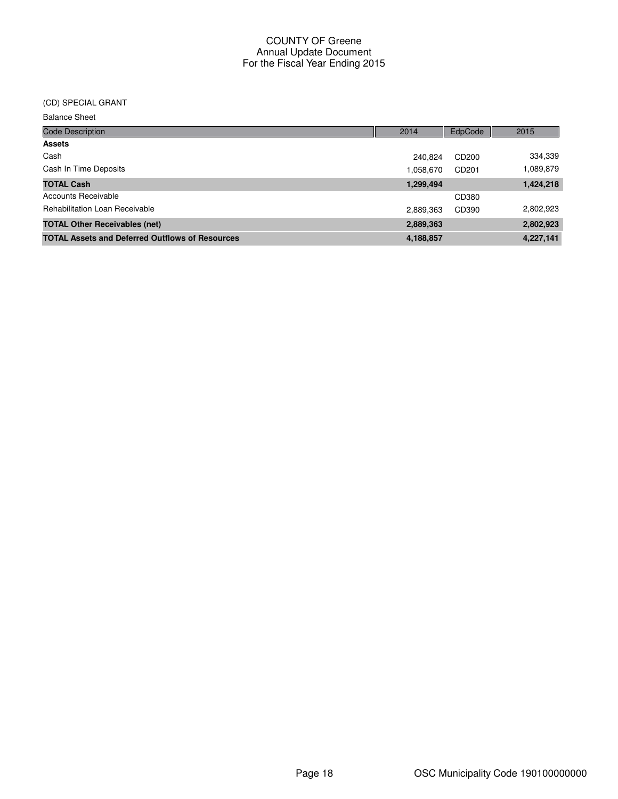## (CD) SPECIAL GRANT

| <b>Balance Sheet</b>                                   |           |                   |           |
|--------------------------------------------------------|-----------|-------------------|-----------|
| <b>Code Description</b>                                | 2014      | EdpCode           | 2015      |
| <b>Assets</b>                                          |           |                   |           |
| Cash                                                   | 240.824   | CD <sub>200</sub> | 334,339   |
| Cash In Time Deposits                                  | 1,058,670 | CD <sub>201</sub> | 1,089,879 |
| <b>TOTAL Cash</b>                                      | 1,299,494 |                   | 1,424,218 |
| Accounts Receivable                                    |           | CD380             |           |
| <b>Rehabilitation Loan Receivable</b>                  | 2,889,363 | CD390             | 2,802,923 |
| <b>TOTAL Other Receivables (net)</b>                   | 2,889,363 |                   | 2,802,923 |
| <b>TOTAL Assets and Deferred Outflows of Resources</b> | 4,188,857 |                   | 4,227,141 |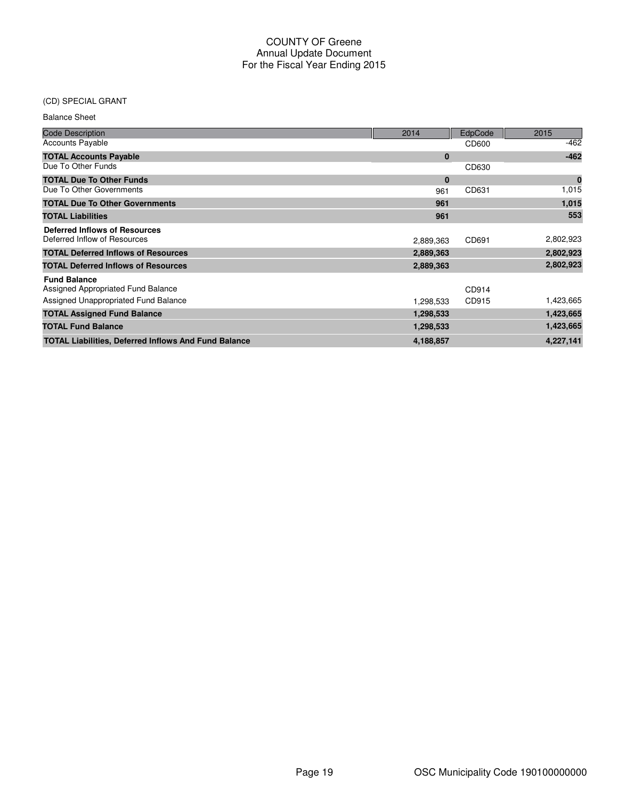# (CD) SPECIAL GRANT

| <b>Balance Sheet</b>                                                 |           |         |             |
|----------------------------------------------------------------------|-----------|---------|-------------|
| <b>Code Description</b>                                              | 2014      | EdpCode | 2015        |
| <b>Accounts Payable</b>                                              |           | CD600   | $-462$      |
| <b>TOTAL Accounts Payable</b>                                        | $\bf{0}$  |         | $-462$      |
| Due To Other Funds                                                   |           | CD630   |             |
| <b>TOTAL Due To Other Funds</b>                                      | $\bf{0}$  |         | $\mathbf 0$ |
| Due To Other Governments                                             | 961       | CD631   | 1,015       |
| <b>TOTAL Due To Other Governments</b>                                | 961       |         | 1,015       |
| <b>TOTAL Liabilities</b>                                             | 961       |         | 553         |
| <b>Deferred Inflows of Resources</b><br>Deferred Inflow of Resources | 2,889,363 | CD691   | 2,802,923   |
| <b>TOTAL Deferred Inflows of Resources</b>                           | 2,889,363 |         | 2,802,923   |
| <b>TOTAL Deferred Inflows of Resources</b>                           | 2,889,363 |         | 2,802,923   |
| <b>Fund Balance</b><br>Assigned Appropriated Fund Balance            |           | CD914   |             |
| Assigned Unappropriated Fund Balance                                 | 1,298,533 | CD915   | 1,423,665   |
| <b>TOTAL Assigned Fund Balance</b>                                   | 1,298,533 |         | 1,423,665   |
| <b>TOTAL Fund Balance</b>                                            | 1,298,533 |         | 1,423,665   |
| <b>TOTAL Liabilities, Deferred Inflows And Fund Balance</b>          | 4,188,857 |         | 4,227,141   |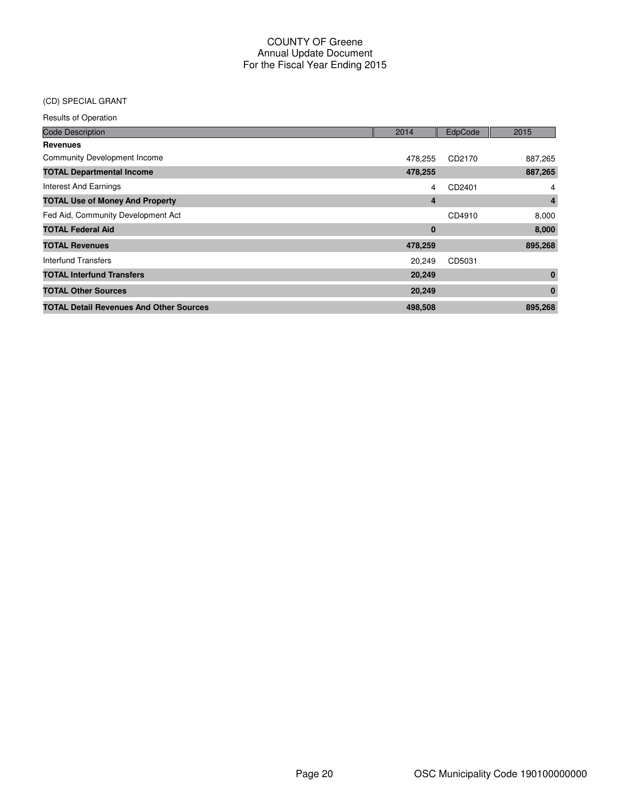# (CD) SPECIAL GRANT

| <b>Code Description</b>                        | 2014         | EdpCode | 2015           |
|------------------------------------------------|--------------|---------|----------------|
| <b>Revenues</b>                                |              |         |                |
| <b>Community Development Income</b>            | 478.255      | CD2170  | 887,265        |
| <b>TOTAL Departmental Income</b>               | 478,255      |         | 887,265        |
| Interest And Earnings                          | 4            | CD2401  | 4              |
| <b>TOTAL Use of Money And Property</b>         | 4            |         | $\overline{4}$ |
| Fed Aid, Community Development Act             |              | CD4910  | 8,000          |
| <b>TOTAL Federal Aid</b>                       | $\mathbf{0}$ |         | 8,000          |
| <b>TOTAL Revenues</b>                          | 478,259      |         | 895,268        |
| Interfund Transfers                            | 20,249       | CD5031  |                |
| <b>TOTAL Interfund Transfers</b>               | 20,249       |         | $\bf{0}$       |
| <b>TOTAL Other Sources</b>                     | 20,249       |         | $\bf{0}$       |
| <b>TOTAL Detail Revenues And Other Sources</b> | 498,508      |         | 895,268        |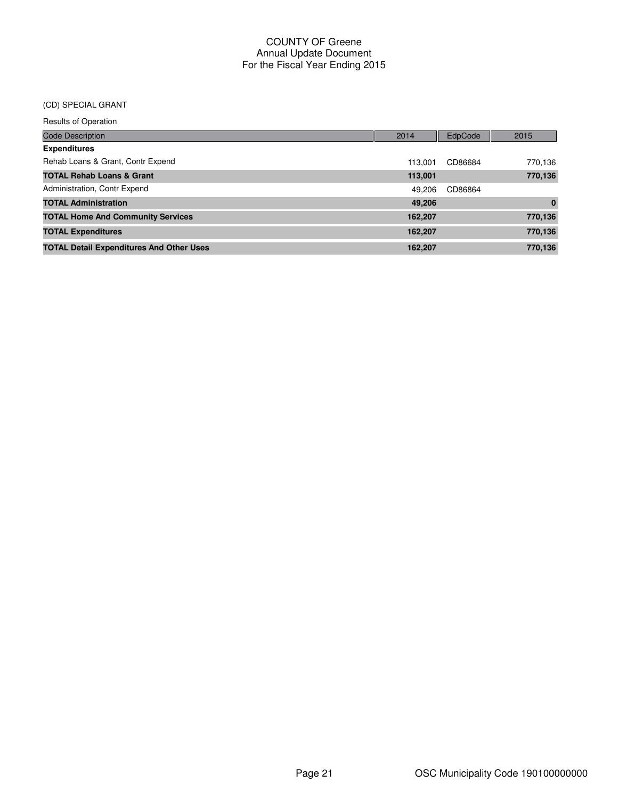#### (CD) SPECIAL GRANT

| <b>Code Description</b>                         | 2014    | EdpCode | 2015     |
|-------------------------------------------------|---------|---------|----------|
| <b>Expenditures</b>                             |         |         |          |
| Rehab Loans & Grant, Contr Expend               | 113.001 | CD86684 | 770,136  |
| <b>TOTAL Rehab Loans &amp; Grant</b>            | 113,001 |         | 770,136  |
| Administration, Contr Expend                    | 49.206  | CD86864 |          |
| <b>TOTAL Administration</b>                     | 49,206  |         | $\bf{0}$ |
| <b>TOTAL Home And Community Services</b>        | 162,207 |         | 770,136  |
| <b>TOTAL Expenditures</b>                       | 162,207 |         | 770,136  |
| <b>TOTAL Detail Expenditures And Other Uses</b> | 162,207 |         | 770,136  |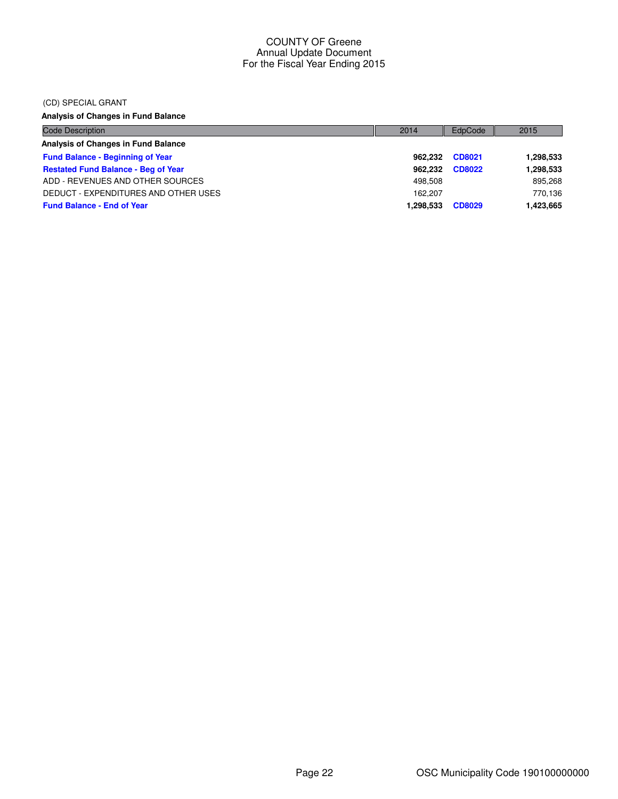#### (CD) SPECIAL GRANT

**Analysis of Changes in Fund Balance**

| <b>Code Description</b>                    | 2014      | EdpCode       | 2015      |
|--------------------------------------------|-----------|---------------|-----------|
| Analysis of Changes in Fund Balance        |           |               |           |
| <b>Fund Balance - Beginning of Year</b>    | 962.232   | CD8021        | 1,298,533 |
| <b>Restated Fund Balance - Beg of Year</b> | 962.232   | CD8022        | 1,298,533 |
| ADD - REVENUES AND OTHER SOURCES           | 498.508   |               | 895,268   |
| DEDUCT - EXPENDITURES AND OTHER USES       | 162.207   |               | 770,136   |
| <b>Fund Balance - End of Year</b>          | 1.298.533 | <b>CD8029</b> | 1,423,665 |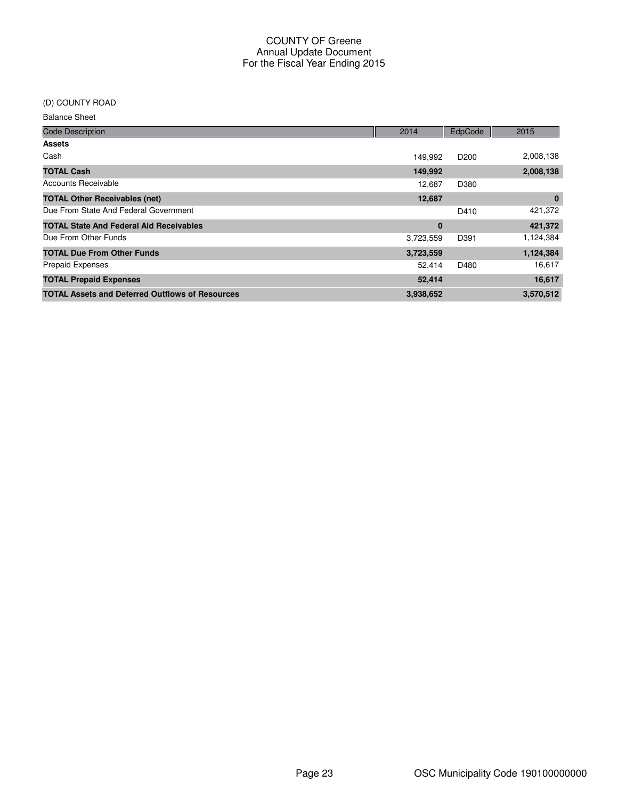# (D) COUNTY ROAD

Balance Sheet

| <b>Code Description</b>                                | 2014      | EdpCode          | 2015      |
|--------------------------------------------------------|-----------|------------------|-----------|
| <b>Assets</b>                                          |           |                  |           |
| Cash                                                   | 149.992   | D <sub>200</sub> | 2,008,138 |
| <b>TOTAL Cash</b>                                      | 149,992   |                  | 2,008,138 |
| <b>Accounts Receivable</b>                             | 12.687    | D380             |           |
| <b>TOTAL Other Receivables (net)</b>                   | 12,687    |                  | $\bf{0}$  |
| Due From State And Federal Government                  |           | D410             | 421,372   |
| <b>TOTAL State And Federal Aid Receivables</b>         | 0         |                  | 421,372   |
| Due From Other Funds                                   | 3,723,559 | D391             | 1,124,384 |
| <b>TOTAL Due From Other Funds</b>                      | 3,723,559 |                  | 1,124,384 |
| <b>Prepaid Expenses</b>                                | 52,414    | D480             | 16,617    |
| <b>TOTAL Prepaid Expenses</b>                          | 52,414    |                  | 16,617    |
| <b>TOTAL Assets and Deferred Outflows of Resources</b> | 3,938,652 |                  | 3,570,512 |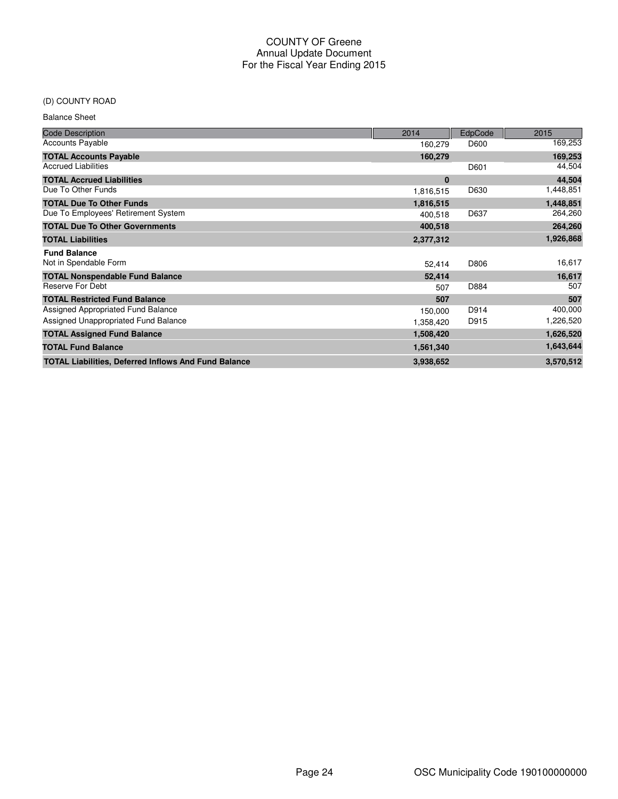# (D) COUNTY ROAD

Balance Sheet

| <b>Code Description</b>                                     | 2014      | EdpCode | 2015      |
|-------------------------------------------------------------|-----------|---------|-----------|
| <b>Accounts Payable</b>                                     | 160,279   | D600    | 169,253   |
| <b>TOTAL Accounts Payable</b>                               | 160,279   |         | 169,253   |
| <b>Accrued Liabilities</b>                                  |           | D601    | 44,504    |
| <b>TOTAL Accrued Liabilities</b>                            | $\bf{0}$  |         | 44,504    |
| Due To Other Funds                                          | 1,816,515 | D630    | 1,448,851 |
| <b>TOTAL Due To Other Funds</b>                             | 1,816,515 |         | 1,448,851 |
| Due To Employees' Retirement System                         | 400,518   | D637    | 264,260   |
| <b>TOTAL Due To Other Governments</b>                       | 400,518   |         | 264,260   |
| <b>TOTAL Liabilities</b>                                    | 2,377,312 |         | 1,926,868 |
| <b>Fund Balance</b>                                         |           |         |           |
| Not in Spendable Form                                       | 52,414    | D806    | 16,617    |
| <b>TOTAL Nonspendable Fund Balance</b>                      | 52,414    |         | 16,617    |
| Reserve For Debt                                            | 507       | D884    | 507       |
| <b>TOTAL Restricted Fund Balance</b>                        | 507       |         | 507       |
| Assigned Appropriated Fund Balance                          | 150,000   | D914    | 400,000   |
| Assigned Unappropriated Fund Balance                        | 1,358,420 | D915    | 1,226,520 |
| <b>TOTAL Assigned Fund Balance</b>                          | 1,508,420 |         | 1,626,520 |
| <b>TOTAL Fund Balance</b>                                   | 1,561,340 |         | 1,643,644 |
| <b>TOTAL Liabilities, Deferred Inflows And Fund Balance</b> | 3,938,652 |         | 3,570,512 |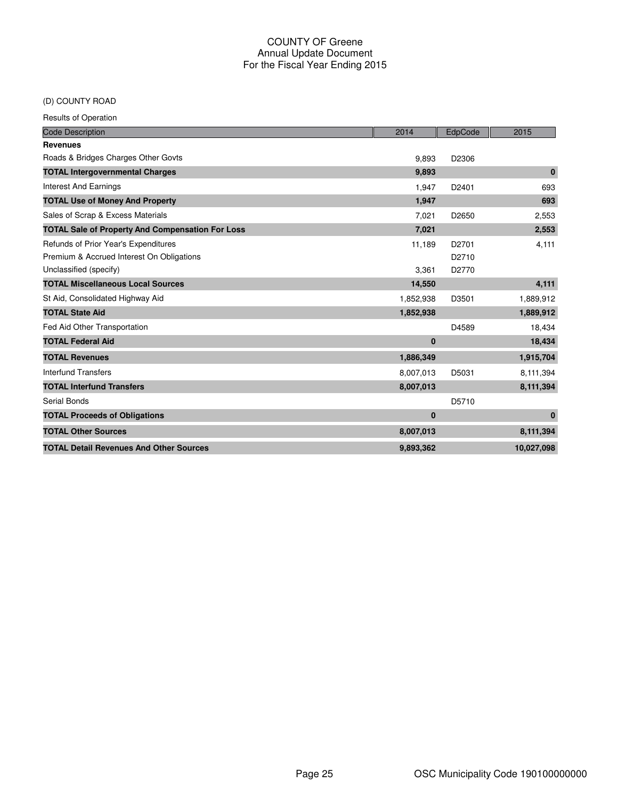# (D) COUNTY ROAD

| <b>Code Description</b>                                 | 2014      | EdpCode           | 2015         |
|---------------------------------------------------------|-----------|-------------------|--------------|
| <b>Revenues</b>                                         |           |                   |              |
| Roads & Bridges Charges Other Govts                     | 9,893     | D2306             |              |
| <b>TOTAL Intergovernmental Charges</b>                  | 9,893     |                   | $\mathbf{0}$ |
| <b>Interest And Earnings</b>                            | 1,947     | D2401             | 693          |
| <b>TOTAL Use of Money And Property</b>                  | 1,947     |                   | 693          |
| Sales of Scrap & Excess Materials                       | 7,021     | D <sub>2650</sub> | 2,553        |
| <b>TOTAL Sale of Property And Compensation For Loss</b> | 7,021     |                   | 2,553        |
| Refunds of Prior Year's Expenditures                    | 11,189    | D <sub>2701</sub> | 4,111        |
| Premium & Accrued Interest On Obligations               |           | D2710             |              |
| Unclassified (specify)                                  | 3,361     | D2770             |              |
| <b>TOTAL Miscellaneous Local Sources</b>                | 14,550    |                   | 4,111        |
| St Aid, Consolidated Highway Aid                        | 1,852,938 | D3501             | 1,889,912    |
| <b>TOTAL State Aid</b>                                  | 1,852,938 |                   | 1,889,912    |
| Fed Aid Other Transportation                            |           | D4589             | 18,434       |
| <b>TOTAL Federal Aid</b>                                | $\bf{0}$  |                   | 18,434       |
| <b>TOTAL Revenues</b>                                   | 1,886,349 |                   | 1,915,704    |
| <b>Interfund Transfers</b>                              | 8,007,013 | D5031             | 8,111,394    |
| <b>TOTAL Interfund Transfers</b>                        | 8,007,013 |                   | 8,111,394    |
| Serial Bonds                                            |           | D5710             |              |
| <b>TOTAL Proceeds of Obligations</b>                    | $\bf{0}$  |                   | $\mathbf{0}$ |
| <b>TOTAL Other Sources</b>                              | 8,007,013 |                   | 8,111,394    |
| <b>TOTAL Detail Revenues And Other Sources</b>          | 9,893,362 |                   | 10,027,098   |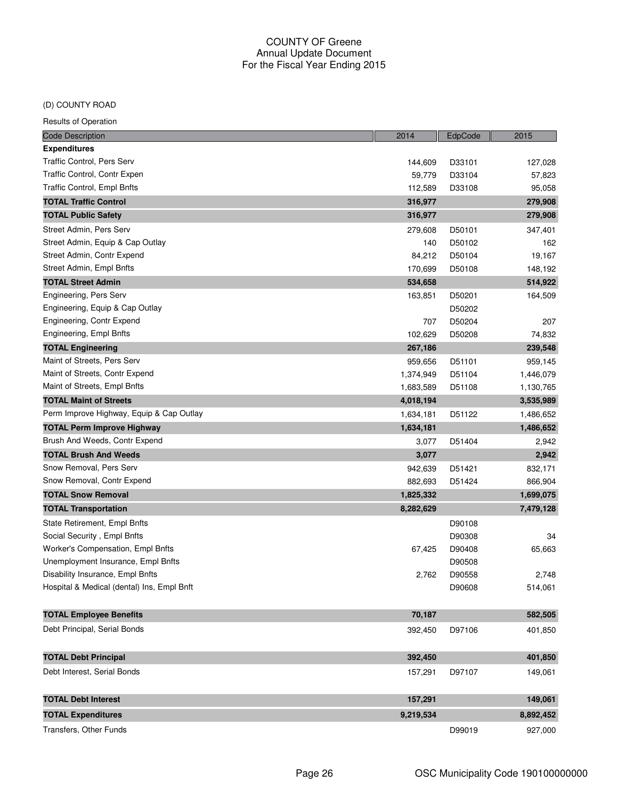#### (D) COUNTY ROAD

| <b>Code Description</b>                    | 2014      | EdpCode | 2015      |
|--------------------------------------------|-----------|---------|-----------|
| <b>Expenditures</b>                        |           |         |           |
| Traffic Control, Pers Serv                 | 144,609   | D33101  | 127,028   |
| Traffic Control, Contr Expen               | 59,779    | D33104  | 57,823    |
| Traffic Control, Empl Bnfts                | 112,589   | D33108  | 95,058    |
| <b>TOTAL Traffic Control</b>               | 316,977   |         | 279,908   |
| <b>TOTAL Public Safety</b>                 | 316,977   |         | 279,908   |
| Street Admin, Pers Serv                    | 279,608   | D50101  | 347,401   |
| Street Admin, Equip & Cap Outlay           | 140       | D50102  | 162       |
| Street Admin, Contr Expend                 | 84,212    | D50104  | 19,167    |
| Street Admin, Empl Bnfts                   | 170,699   | D50108  | 148,192   |
| <b>TOTAL Street Admin</b>                  | 534,658   |         | 514,922   |
| Engineering, Pers Serv                     | 163,851   | D50201  | 164,509   |
| Engineering, Equip & Cap Outlay            |           | D50202  |           |
| Engineering, Contr Expend                  | 707       | D50204  | 207       |
| Engineering, Empl Bnfts                    | 102,629   | D50208  | 74,832    |
| <b>TOTAL Engineering</b>                   | 267,186   |         | 239,548   |
| Maint of Streets, Pers Serv                | 959,656   | D51101  | 959,145   |
| Maint of Streets, Contr Expend             | 1,374,949 | D51104  | 1,446,079 |
| Maint of Streets, Empl Bnfts               | 1,683,589 | D51108  | 1,130,765 |
| <b>TOTAL Maint of Streets</b>              | 4,018,194 |         | 3,535,989 |
| Perm Improve Highway, Equip & Cap Outlay   | 1,634,181 | D51122  | 1,486,652 |
| <b>TOTAL Perm Improve Highway</b>          | 1,634,181 |         | 1,486,652 |
| Brush And Weeds, Contr Expend              | 3,077     | D51404  | 2,942     |
| <b>TOTAL Brush And Weeds</b>               | 3,077     |         | 2,942     |
| Snow Removal, Pers Serv                    | 942,639   | D51421  | 832,171   |
| Snow Removal, Contr Expend                 | 882,693   | D51424  | 866,904   |
| <b>TOTAL Snow Removal</b>                  | 1,825,332 |         | 1,699,075 |
| <b>TOTAL Transportation</b>                | 8,282,629 |         | 7,479,128 |
| State Retirement, Empl Bnfts               |           | D90108  |           |
| Social Security, Empl Bnfts                |           | D90308  | 34        |
| Worker's Compensation, Empl Bnfts          | 67,425    | D90408  | 65,663    |
| Unemployment Insurance, Empl Bnfts         |           | D90508  |           |
| Disability Insurance, Empl Bnfts           | 2,762     | D90558  | 2,748     |
| Hospital & Medical (dental) Ins, Empl Bnft |           | D90608  | 514,061   |
|                                            |           |         |           |
| <b>TOTAL Employee Benefits</b>             | 70,187    |         | 582,505   |
| Debt Principal, Serial Bonds               | 392,450   | D97106  | 401,850   |
|                                            |           |         |           |
| <b>TOTAL Debt Principal</b>                | 392,450   |         | 401,850   |
| Debt Interest, Serial Bonds                | 157,291   | D97107  | 149,061   |
| <b>TOTAL Debt Interest</b>                 | 157,291   |         | 149,061   |
| <b>TOTAL Expenditures</b>                  | 9,219,534 |         | 8,892,452 |
| Transfers, Other Funds                     |           | D99019  | 927,000   |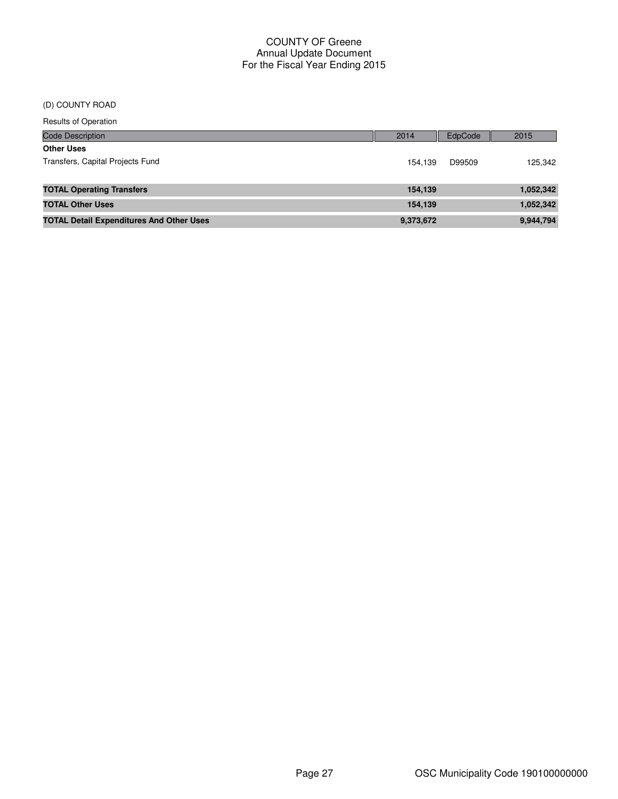#### (D) COUNTY ROAD

| Code Description                                | 2014      | EdpCode | 2015      |
|-------------------------------------------------|-----------|---------|-----------|
| <b>Other Uses</b>                               |           |         |           |
| Transfers, Capital Projects Fund                | 154.139   | D99509  | 125,342   |
| <b>TOTAL Operating Transfers</b>                | 154,139   |         | 1,052,342 |
| <b>TOTAL Other Uses</b>                         | 154,139   |         | 1,052,342 |
| <b>TOTAL Detail Expenditures And Other Uses</b> | 9,373,672 |         | 9,944,794 |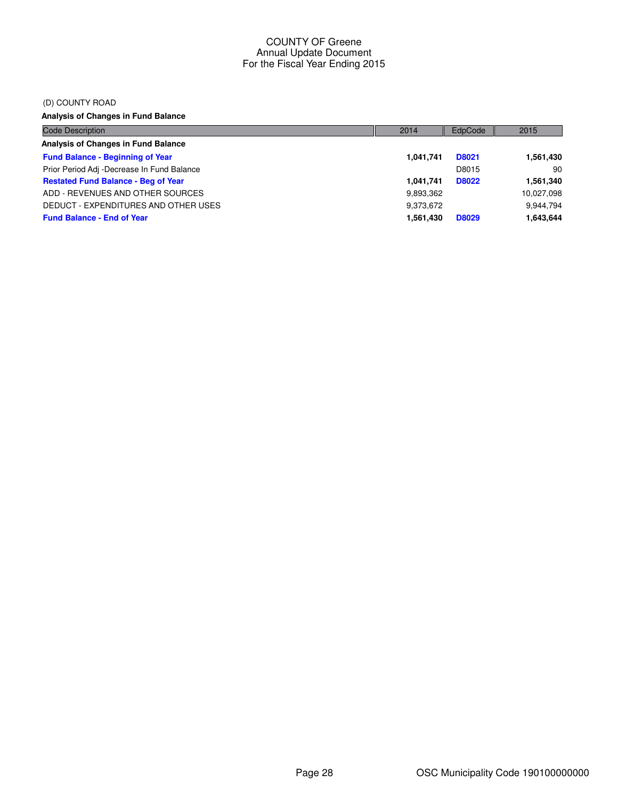#### (D) COUNTY ROAD

**Analysis of Changes in Fund Balance**

| <b>Code Description</b>                    | 2014      | EdpCode      | 2015       |
|--------------------------------------------|-----------|--------------|------------|
| Analysis of Changes in Fund Balance        |           |              |            |
| <b>Fund Balance - Beginning of Year</b>    | 1,041,741 | <b>D8021</b> | 1,561,430  |
| Prior Period Adj -Decrease In Fund Balance |           | D8015        | 90         |
| <b>Restated Fund Balance - Beg of Year</b> | 1,041,741 | <b>D8022</b> | 1,561,340  |
| ADD - REVENUES AND OTHER SOURCES           | 9,893,362 |              | 10,027,098 |
| DEDUCT - EXPENDITURES AND OTHER USES       | 9,373,672 |              | 9.944.794  |
| <b>Fund Balance - End of Year</b>          | 1.561.430 | <b>D8029</b> | 1.643.644  |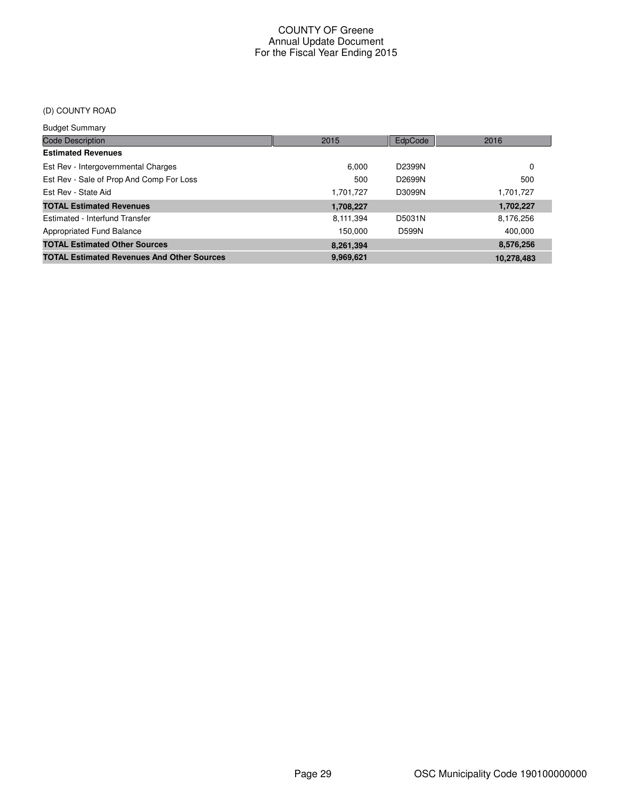# (D) COUNTY ROAD

| <b>Budget Summary</b>                             |           |              |            |
|---------------------------------------------------|-----------|--------------|------------|
| <b>Code Description</b>                           | 2015      | EdpCode      | 2016       |
| <b>Estimated Revenues</b>                         |           |              |            |
| Est Rev - Intergovernmental Charges               | 6.000     | D2399N       | 0          |
| Est Rev - Sale of Prop And Comp For Loss          | 500       | D2699N       | 500        |
| Est Rev - State Aid                               | 1,701,727 | D3099N       | 1,701,727  |
| <b>TOTAL Estimated Revenues</b>                   | 1,708,227 |              | 1,702,227  |
| Estimated - Interfund Transfer                    | 8,111,394 | D5031N       | 8,176,256  |
| Appropriated Fund Balance                         | 150.000   | <b>D599N</b> | 400.000    |
| <b>TOTAL Estimated Other Sources</b>              | 8,261,394 |              | 8,576,256  |
| <b>TOTAL Estimated Revenues And Other Sources</b> | 9,969,621 |              | 10.278.483 |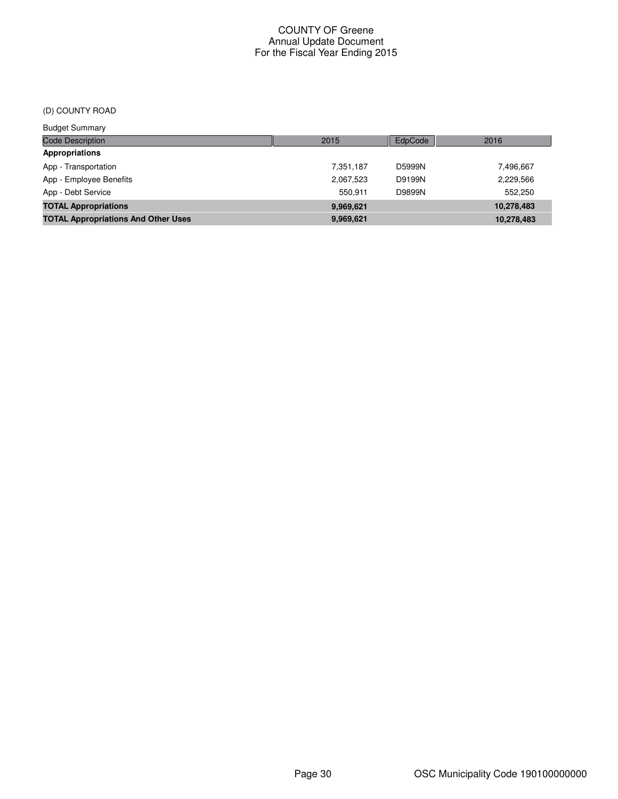# (D) COUNTY ROAD

| <b>Budget Summary</b>                      |           |         |            |
|--------------------------------------------|-----------|---------|------------|
| <b>Code Description</b>                    | 2015      | EdpCode | 2016       |
| <b>Appropriations</b>                      |           |         |            |
| App - Transportation                       | 7,351,187 | D5999N  | 7,496,667  |
| App - Employee Benefits                    | 2,067,523 | D9199N  | 2,229,566  |
| App - Debt Service                         | 550.911   | D9899N  | 552.250    |
| <b>TOTAL Appropriations</b>                | 9,969,621 |         | 10,278,483 |
| <b>TOTAL Appropriations And Other Uses</b> | 9,969,621 |         | 10,278,483 |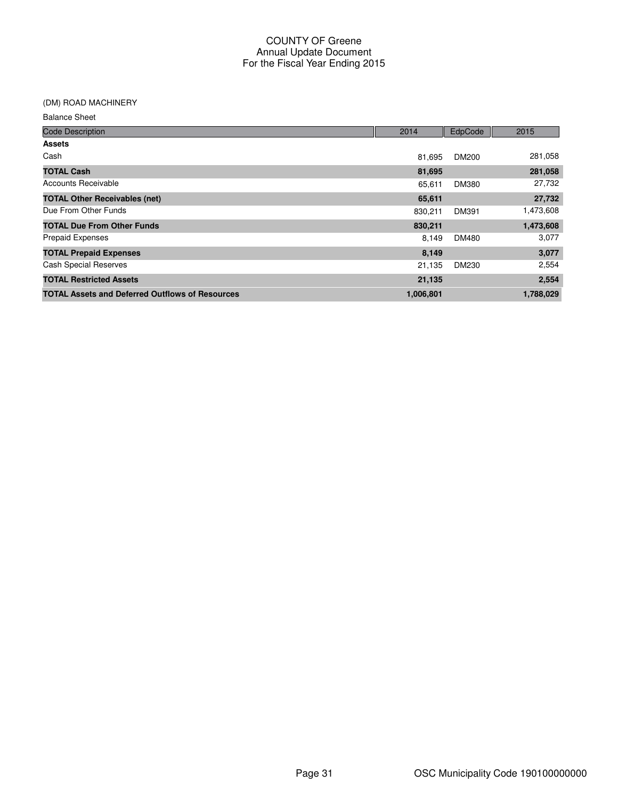## (DM) ROAD MACHINERY

Balance Sheet

| <b>Code Description</b>                                | 2014      | EdpCode      | 2015      |
|--------------------------------------------------------|-----------|--------------|-----------|
| <b>Assets</b>                                          |           |              |           |
| Cash                                                   | 81,695    | <b>DM200</b> | 281,058   |
| <b>TOTAL Cash</b>                                      | 81,695    |              | 281,058   |
| Accounts Receivable                                    | 65,611    | <b>DM380</b> | 27,732    |
| <b>TOTAL Other Receivables (net)</b>                   | 65,611    |              | 27,732    |
| Due From Other Funds                                   | 830,211   | DM391        | 1,473,608 |
| <b>TOTAL Due From Other Funds</b>                      | 830,211   |              | 1,473,608 |
| <b>Prepaid Expenses</b>                                | 8,149     | <b>DM480</b> | 3,077     |
| <b>TOTAL Prepaid Expenses</b>                          | 8,149     |              | 3,077     |
| <b>Cash Special Reserves</b>                           | 21,135    | DM230        | 2,554     |
| <b>TOTAL Restricted Assets</b>                         | 21,135    |              | 2,554     |
| <b>TOTAL Assets and Deferred Outflows of Resources</b> | 1,006,801 |              | 1,788,029 |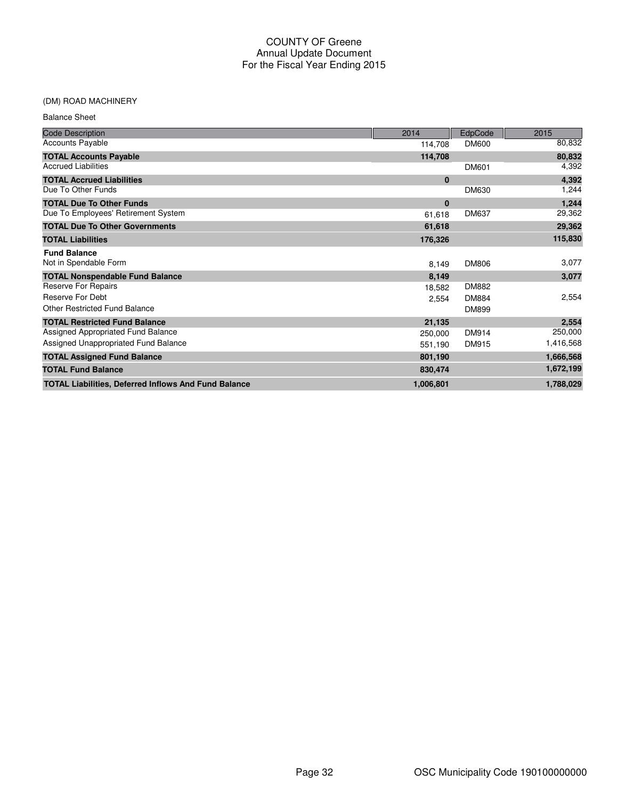# (DM) ROAD MACHINERY

| <b>Code Description</b>                                     | 2014      | EdpCode      | 2015      |
|-------------------------------------------------------------|-----------|--------------|-----------|
| <b>Accounts Payable</b>                                     | 114,708   | <b>DM600</b> | 80,832    |
| <b>TOTAL Accounts Payable</b>                               | 114,708   |              | 80,832    |
| <b>Accrued Liabilities</b>                                  |           | <b>DM601</b> | 4,392     |
| <b>TOTAL Accrued Liabilities</b>                            | $\bf{0}$  |              | 4,392     |
| Due To Other Funds                                          |           | DM630        | 1,244     |
| <b>TOTAL Due To Other Funds</b>                             | $\bf{0}$  |              | 1,244     |
| Due To Employees' Retirement System                         | 61,618    | <b>DM637</b> | 29,362    |
| <b>TOTAL Due To Other Governments</b>                       | 61,618    |              | 29,362    |
| <b>TOTAL Liabilities</b>                                    | 176,326   |              | 115,830   |
| <b>Fund Balance</b>                                         |           |              |           |
| Not in Spendable Form                                       | 8,149     | <b>DM806</b> | 3,077     |
| <b>TOTAL Nonspendable Fund Balance</b>                      | 8,149     |              | 3,077     |
| <b>Reserve For Repairs</b>                                  | 18,582    | <b>DM882</b> |           |
| <b>Reserve For Debt</b>                                     | 2,554     | <b>DM884</b> | 2,554     |
| Other Restricted Fund Balance                               |           | DM899        |           |
| <b>TOTAL Restricted Fund Balance</b>                        | 21,135    |              | 2,554     |
| Assigned Appropriated Fund Balance                          | 250,000   | <b>DM914</b> | 250,000   |
| Assigned Unappropriated Fund Balance                        | 551,190   | DM915        | 1,416,568 |
| <b>TOTAL Assigned Fund Balance</b>                          | 801,190   |              | 1,666,568 |
| <b>TOTAL Fund Balance</b>                                   | 830,474   |              | 1,672,199 |
| <b>TOTAL Liabilities, Deferred Inflows And Fund Balance</b> | 1,006,801 |              | 1,788,029 |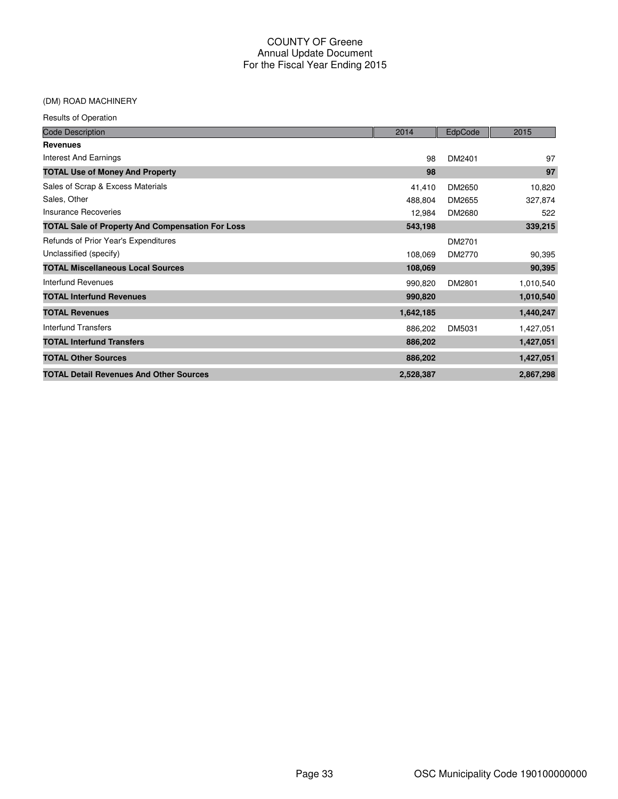# (DM) ROAD MACHINERY

| <b>Code Description</b>                                 | 2014      | EdpCode | 2015      |
|---------------------------------------------------------|-----------|---------|-----------|
| <b>Revenues</b>                                         |           |         |           |
| Interest And Earnings                                   | 98        | DM2401  | 97        |
| <b>TOTAL Use of Money And Property</b>                  | 98        |         | 97        |
| Sales of Scrap & Excess Materials                       | 41,410    | DM2650  | 10,820    |
| Sales, Other                                            | 488,804   | DM2655  | 327,874   |
| Insurance Recoveries                                    | 12,984    | DM2680  | 522       |
| <b>TOTAL Sale of Property And Compensation For Loss</b> | 543,198   |         | 339,215   |
| Refunds of Prior Year's Expenditures                    |           | DM2701  |           |
| Unclassified (specify)                                  | 108,069   | DM2770  | 90,395    |
| <b>TOTAL Miscellaneous Local Sources</b>                | 108,069   |         | 90,395    |
| Interfund Revenues                                      | 990,820   | DM2801  | 1,010,540 |
| <b>TOTAL Interfund Revenues</b>                         | 990,820   |         | 1,010,540 |
| <b>TOTAL Revenues</b>                                   | 1,642,185 |         | 1,440,247 |
| Interfund Transfers                                     | 886,202   | DM5031  | 1,427,051 |
| <b>TOTAL Interfund Transfers</b>                        | 886,202   |         | 1,427,051 |
| <b>TOTAL Other Sources</b>                              | 886,202   |         | 1,427,051 |
| <b>TOTAL Detail Revenues And Other Sources</b>          | 2,528,387 |         | 2,867,298 |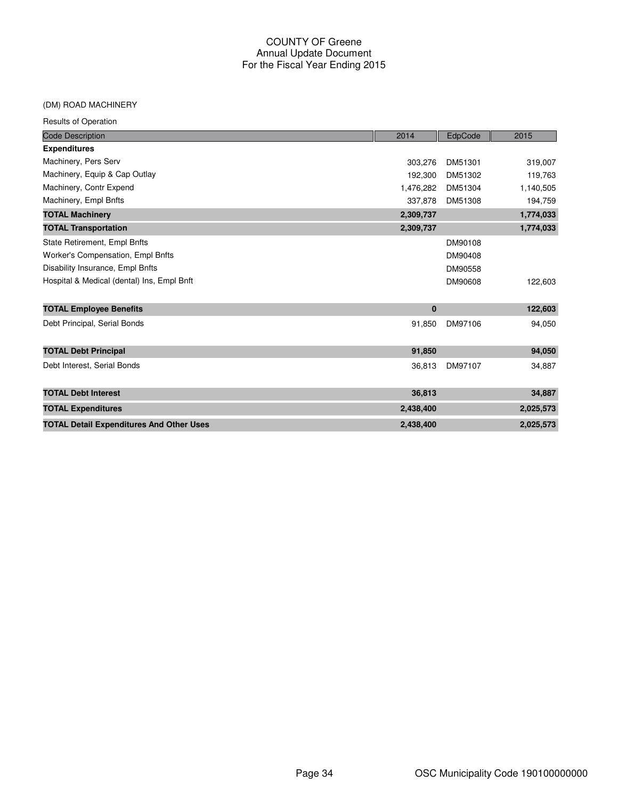#### (DM) ROAD MACHINERY

| <b>Code Description</b>                         | 2014      | EdpCode | 2015      |
|-------------------------------------------------|-----------|---------|-----------|
| <b>Expenditures</b>                             |           |         |           |
| Machinery, Pers Serv                            | 303.276   | DM51301 | 319,007   |
| Machinery, Equip & Cap Outlay                   | 192.300   | DM51302 | 119,763   |
| Machinery, Contr Expend                         | 1,476,282 | DM51304 | 1,140,505 |
| Machinery, Empl Bnfts                           | 337,878   | DM51308 | 194,759   |
| <b>TOTAL Machinery</b>                          | 2,309,737 |         | 1,774,033 |
| <b>TOTAL Transportation</b>                     | 2,309,737 |         | 1,774,033 |
| State Retirement, Empl Bnfts                    |           | DM90108 |           |
| Worker's Compensation, Empl Bnfts               |           | DM90408 |           |
| Disability Insurance, Empl Bnfts                |           | DM90558 |           |
| Hospital & Medical (dental) Ins, Empl Bnft      |           | DM90608 | 122,603   |
| <b>TOTAL Employee Benefits</b>                  | $\bf{0}$  |         | 122,603   |
| Debt Principal, Serial Bonds                    | 91,850    | DM97106 | 94,050    |
| <b>TOTAL Debt Principal</b>                     | 91,850    |         | 94,050    |
| Debt Interest, Serial Bonds                     | 36,813    | DM97107 | 34,887    |
| <b>TOTAL Debt Interest</b>                      | 36,813    |         | 34,887    |
| <b>TOTAL Expenditures</b>                       | 2,438,400 |         | 2,025,573 |
| <b>TOTAL Detail Expenditures And Other Uses</b> | 2,438,400 |         | 2,025,573 |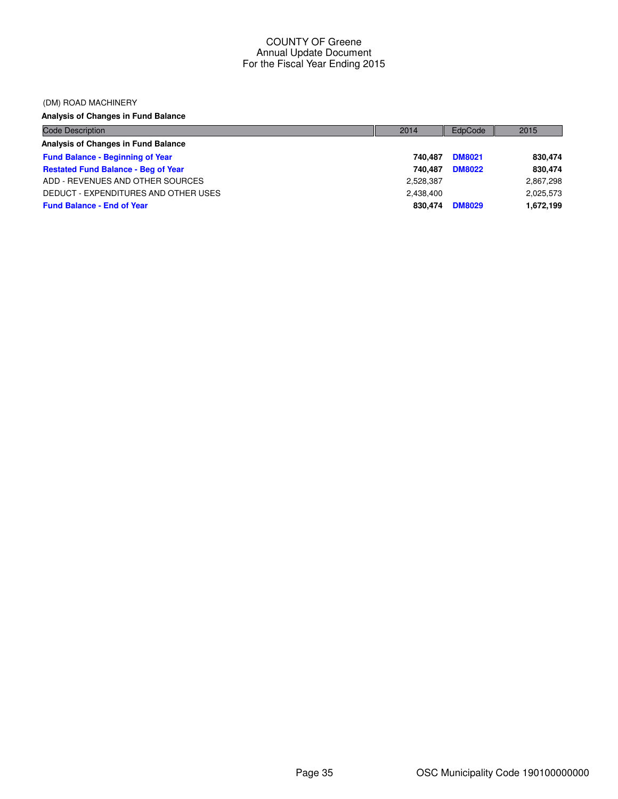#### (DM) ROAD MACHINERY

# **Analysis of Changes in Fund Balance**

| <b>Code Description</b>                    | 2014      | EdpCode       | 2015      |
|--------------------------------------------|-----------|---------------|-----------|
| Analysis of Changes in Fund Balance        |           |               |           |
| <b>Fund Balance - Beginning of Year</b>    | 740.487   | <b>DM8021</b> | 830,474   |
| <b>Restated Fund Balance - Beg of Year</b> | 740.487   | <b>DM8022</b> | 830,474   |
| ADD - REVENUES AND OTHER SOURCES           | 2,528,387 |               | 2,867,298 |
| DEDUCT - EXPENDITURES AND OTHER USES       | 2.438.400 |               | 2.025.573 |
| <b>Fund Balance - End of Year</b>          | 830.474   | <b>DM8029</b> | 1,672,199 |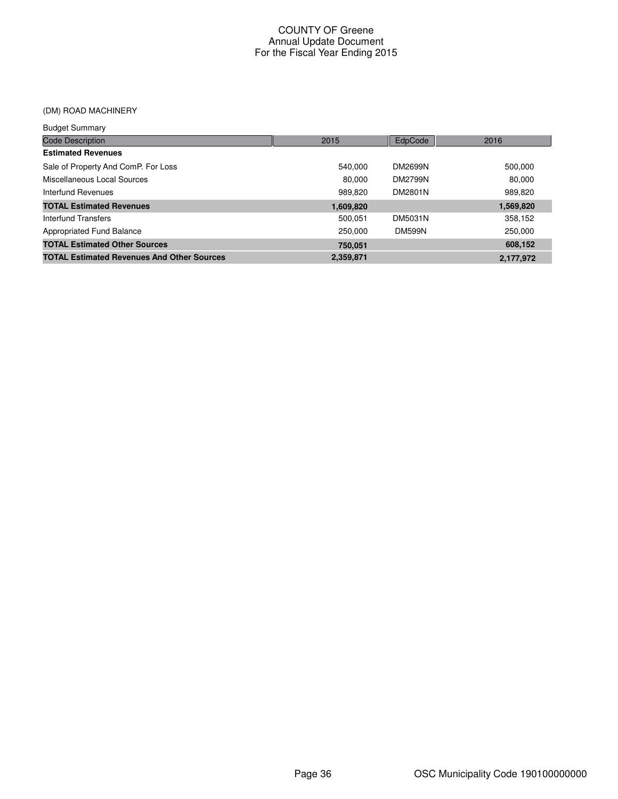# (DM) ROAD MACHINERY

| <b>Budget Summary</b>                             |           |                |           |
|---------------------------------------------------|-----------|----------------|-----------|
| <b>Code Description</b>                           | 2015      | EdpCode        | 2016      |
| <b>Estimated Revenues</b>                         |           |                |           |
| Sale of Property And ComP. For Loss               | 540.000   | DM2699N        | 500,000   |
| Miscellaneous Local Sources                       | 80,000    | <b>DM2799N</b> | 80.000    |
| Interfund Revenues                                | 989.820   | DM2801N        | 989.820   |
| <b>TOTAL Estimated Revenues</b>                   | 1,609,820 |                | 1,569,820 |
| Interfund Transfers                               | 500.051   | DM5031N        | 358,152   |
| Appropriated Fund Balance                         | 250,000   | <b>DM599N</b>  | 250,000   |
| <b>TOTAL Estimated Other Sources</b>              | 750.051   |                | 608,152   |
| <b>TOTAL Estimated Revenues And Other Sources</b> | 2,359,871 |                | 2,177,972 |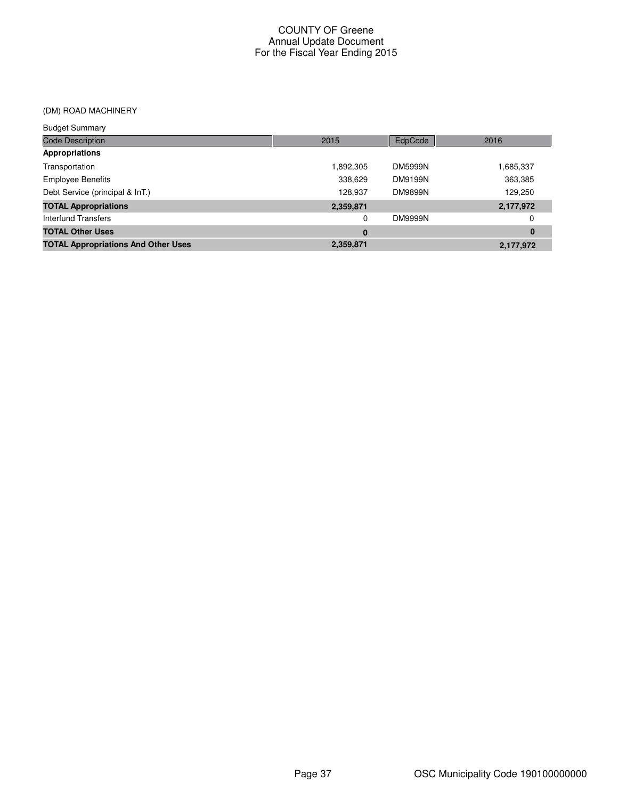### (DM) ROAD MACHINERY

| <b>Budget Summary</b>                      |           |                |           |
|--------------------------------------------|-----------|----------------|-----------|
| <b>Code Description</b>                    | 2015      | EdpCode        | 2016      |
| Appropriations                             |           |                |           |
| Transportation                             | 1,892,305 | <b>DM5999N</b> | 1,685,337 |
| <b>Employee Benefits</b>                   | 338,629   | <b>DM9199N</b> | 363,385   |
| Debt Service (principal & InT.)            | 128.937   | <b>DM9899N</b> | 129,250   |
| <b>TOTAL Appropriations</b>                | 2,359,871 |                | 2,177,972 |
| Interfund Transfers                        |           | <b>DM9999N</b> | 0         |
| <b>TOTAL Other Uses</b>                    | $\bf{0}$  |                | $\bf{0}$  |
| <b>TOTAL Appropriations And Other Uses</b> | 2,359,871 |                | 2,177,972 |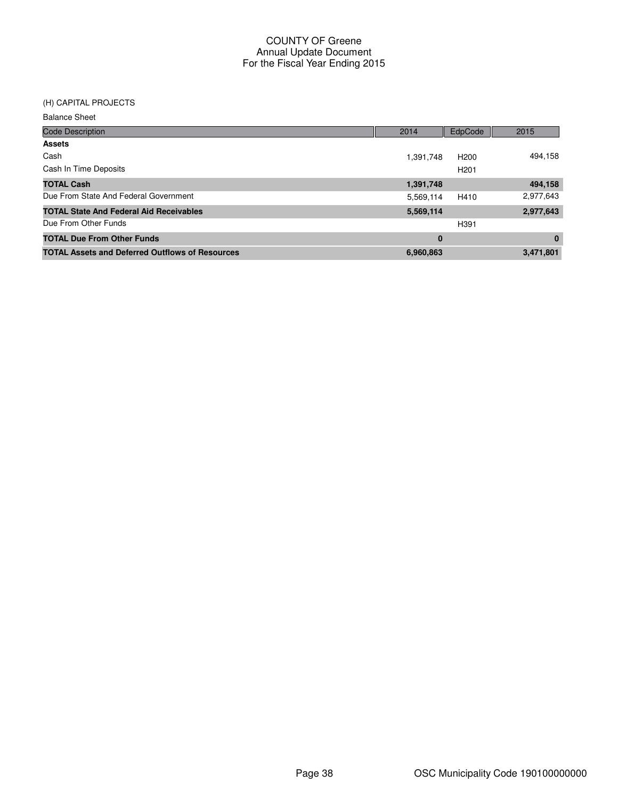### (H) CAPITAL PROJECTS

| <b>Code Description</b>                                | 2014      | EdpCode          | 2015      |
|--------------------------------------------------------|-----------|------------------|-----------|
| <b>Assets</b>                                          |           |                  |           |
| Cash                                                   | 1,391,748 | H <sub>200</sub> | 494.158   |
| Cash In Time Deposits                                  |           | H <sub>201</sub> |           |
| <b>TOTAL Cash</b>                                      | 1,391,748 |                  | 494,158   |
| Due From State And Federal Government                  | 5,569,114 | H410             | 2,977,643 |
| <b>TOTAL State And Federal Aid Receivables</b>         | 5,569,114 |                  | 2,977,643 |
| Due From Other Funds                                   |           | H <sub>391</sub> |           |
| <b>TOTAL Due From Other Funds</b>                      | 0         |                  | $\bf{0}$  |
| <b>TOTAL Assets and Deferred Outflows of Resources</b> | 6,960,863 |                  | 3,471,801 |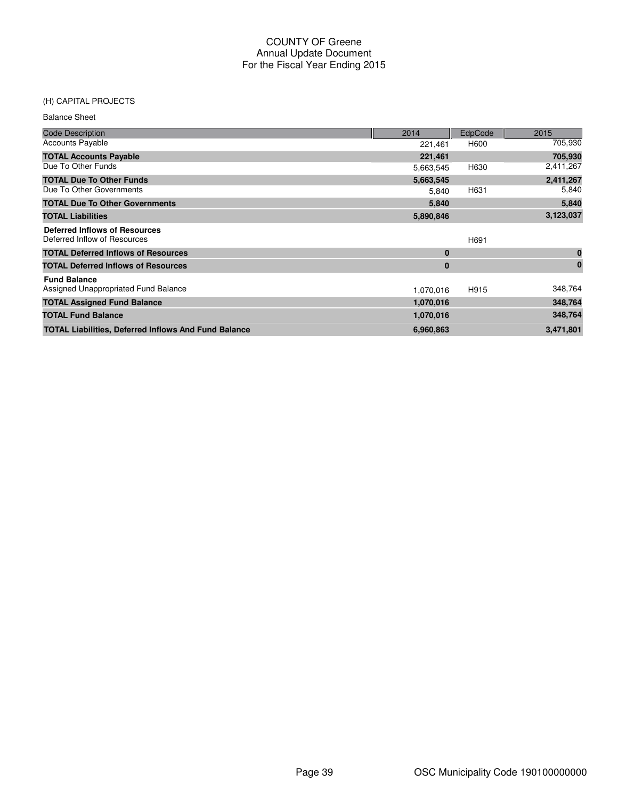### (H) CAPITAL PROJECTS

| <b>Balance Sheet</b> |  |
|----------------------|--|
|----------------------|--|

| <b>Code Description</b>                                              | 2014      | EdpCode | 2015      |
|----------------------------------------------------------------------|-----------|---------|-----------|
| <b>Accounts Payable</b>                                              | 221,461   | H600    | 705,930   |
| <b>TOTAL Accounts Payable</b>                                        | 221,461   |         | 705,930   |
| Due To Other Funds                                                   | 5,663,545 | H630    | 2,411,267 |
| <b>TOTAL Due To Other Funds</b>                                      | 5,663,545 |         | 2,411,267 |
| Due To Other Governments                                             | 5,840     | H631    | 5,840     |
| <b>TOTAL Due To Other Governments</b>                                | 5,840     |         | 5,840     |
| <b>TOTAL Liabilities</b>                                             | 5,890,846 |         | 3,123,037 |
| <b>Deferred Inflows of Resources</b><br>Deferred Inflow of Resources |           | H691    |           |
| <b>TOTAL Deferred Inflows of Resources</b>                           | $\bf{0}$  |         | $\bf{0}$  |
| <b>TOTAL Deferred Inflows of Resources</b>                           | 0         |         | 0         |
| <b>Fund Balance</b>                                                  |           |         |           |
| Assigned Unappropriated Fund Balance                                 | 1,070,016 | H915    | 348,764   |
| <b>TOTAL Assigned Fund Balance</b>                                   | 1,070,016 |         | 348,764   |
| <b>TOTAL Fund Balance</b>                                            | 1,070,016 |         | 348,764   |
| <b>TOTAL Liabilities, Deferred Inflows And Fund Balance</b>          | 6,960,863 |         | 3,471,801 |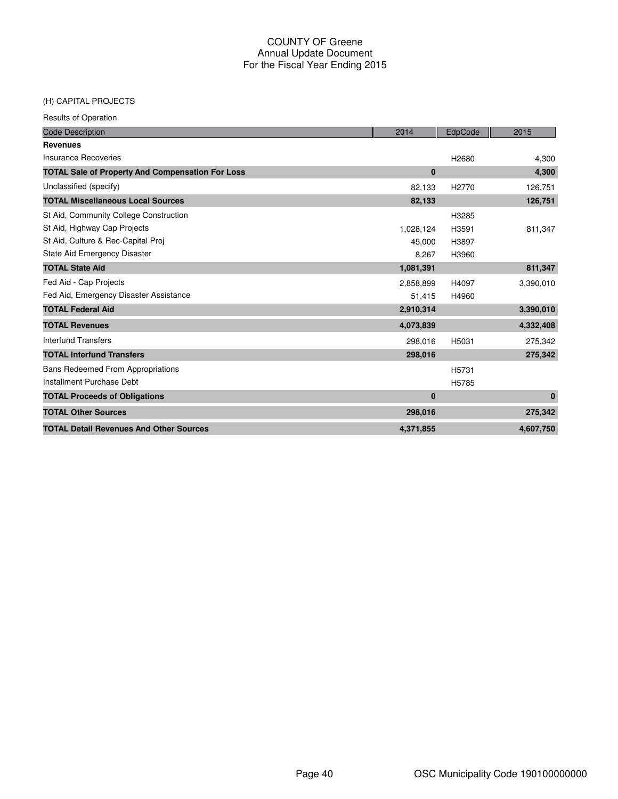### (H) CAPITAL PROJECTS

Results of Operation

| <b>Code Description</b>                                 | 2014      | EdpCode           | 2015      |
|---------------------------------------------------------|-----------|-------------------|-----------|
| <b>Revenues</b>                                         |           |                   |           |
| Insurance Recoveries                                    |           | H2680             | 4,300     |
| <b>TOTAL Sale of Property And Compensation For Loss</b> | $\bf{0}$  |                   | 4,300     |
| Unclassified (specify)                                  | 82,133    | H <sub>2770</sub> | 126,751   |
| <b>TOTAL Miscellaneous Local Sources</b>                | 82,133    |                   | 126,751   |
| St Aid, Community College Construction                  |           | H3285             |           |
| St Aid, Highway Cap Projects                            | 1,028,124 | H3591             | 811,347   |
| St Aid, Culture & Rec-Capital Proj                      | 45.000    | H3897             |           |
| State Aid Emergency Disaster                            | 8,267     | H3960             |           |
| <b>TOTAL State Aid</b>                                  | 1,081,391 |                   | 811,347   |
| Fed Aid - Cap Projects                                  | 2,858,899 | H4097             | 3,390,010 |
| Fed Aid, Emergency Disaster Assistance                  | 51,415    | H4960             |           |
| <b>TOTAL Federal Aid</b>                                | 2,910,314 |                   | 3,390,010 |
| <b>TOTAL Revenues</b>                                   | 4,073,839 |                   | 4,332,408 |
| <b>Interfund Transfers</b>                              | 298,016   | H5031             | 275,342   |
| <b>TOTAL Interfund Transfers</b>                        | 298,016   |                   | 275,342   |
| <b>Bans Redeemed From Appropriations</b>                |           | H5731             |           |
| Installment Purchase Debt                               |           | H5785             |           |
| <b>TOTAL Proceeds of Obligations</b>                    | $\bf{0}$  |                   | $\bf{0}$  |
| <b>TOTAL Other Sources</b>                              | 298,016   |                   | 275,342   |
| <b>TOTAL Detail Revenues And Other Sources</b>          | 4,371,855 |                   | 4,607,750 |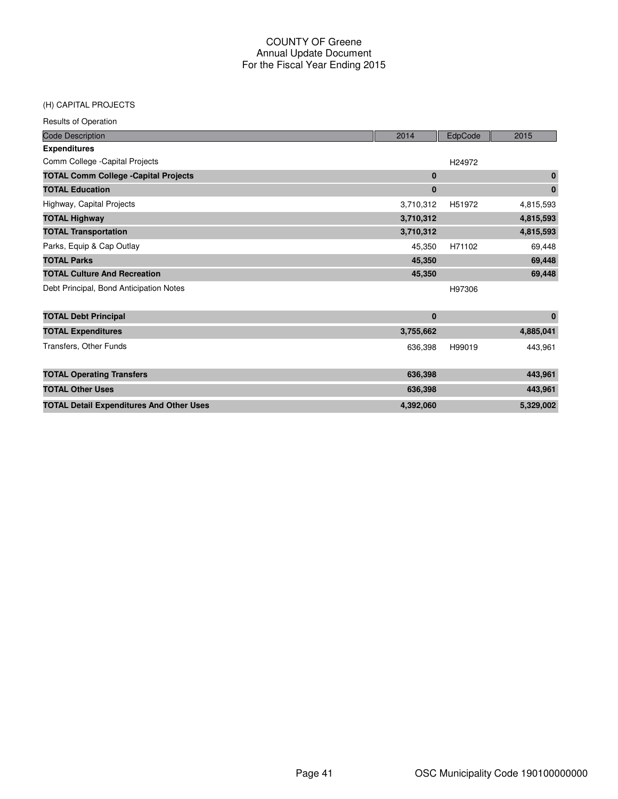#### (H) CAPITAL PROJECTS

Results of Operation

| <b>Code Description</b>                         | 2014      | EdpCode | 2015         |
|-------------------------------------------------|-----------|---------|--------------|
| <b>Expenditures</b>                             |           |         |              |
| Comm College - Capital Projects                 |           | H24972  |              |
| <b>TOTAL Comm College -Capital Projects</b>     | $\bf{0}$  |         | $\mathbf{0}$ |
| <b>TOTAL Education</b>                          | $\bf{0}$  |         | $\bf{0}$     |
| Highway, Capital Projects                       | 3,710,312 | H51972  | 4,815,593    |
| <b>TOTAL Highway</b>                            | 3,710,312 |         | 4,815,593    |
| <b>TOTAL Transportation</b>                     | 3,710,312 |         | 4,815,593    |
| Parks, Equip & Cap Outlay                       | 45,350    | H71102  | 69,448       |
| <b>TOTAL Parks</b>                              | 45,350    |         | 69,448       |
| <b>TOTAL Culture And Recreation</b>             | 45,350    |         | 69,448       |
| Debt Principal, Bond Anticipation Notes         |           | H97306  |              |
| <b>TOTAL Debt Principal</b>                     | $\bf{0}$  |         | $\bf{0}$     |
| <b>TOTAL Expenditures</b>                       | 3,755,662 |         | 4,885,041    |
| Transfers, Other Funds                          | 636,398   | H99019  | 443,961      |
| <b>TOTAL Operating Transfers</b>                | 636,398   |         | 443,961      |
| <b>TOTAL Other Uses</b>                         | 636,398   |         | 443,961      |
| <b>TOTAL Detail Expenditures And Other Uses</b> | 4,392,060 |         | 5,329,002    |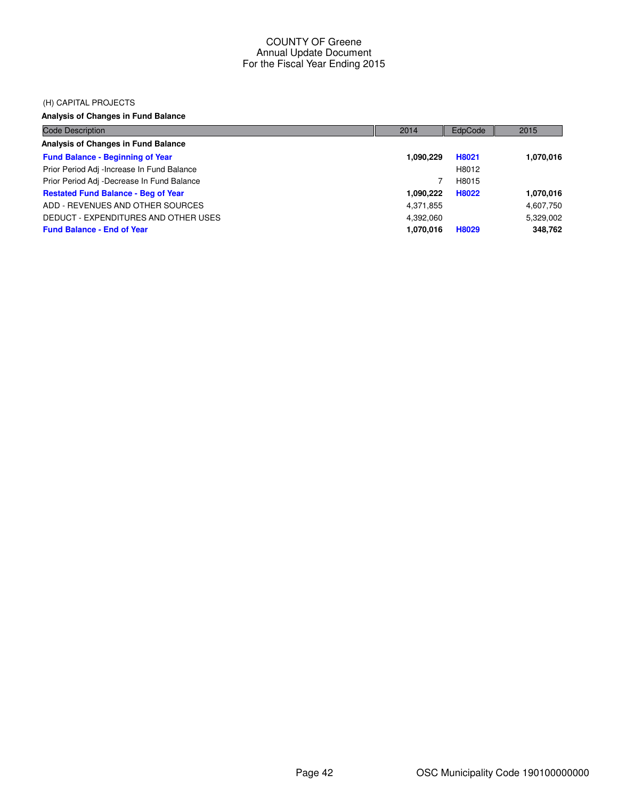### (H) CAPITAL PROJECTS

### **Analysis of Changes in Fund Balance**

| <b>Code Description</b>                    | 2014      | EdpCode | 2015      |
|--------------------------------------------|-----------|---------|-----------|
| Analysis of Changes in Fund Balance        |           |         |           |
| <b>Fund Balance - Beginning of Year</b>    | 1,090,229 | H8021   | 1,070,016 |
| Prior Period Adj -Increase In Fund Balance |           | H8012   |           |
| Prior Period Adj -Decrease In Fund Balance |           | H8015   |           |
| <b>Restated Fund Balance - Beg of Year</b> | 1,090,222 | H8022   | 1,070,016 |
| ADD - REVENUES AND OTHER SOURCES           | 4,371,855 |         | 4,607,750 |
| DEDUCT - EXPENDITURES AND OTHER USES       | 4,392,060 |         | 5,329,002 |
| <b>Fund Balance - End of Year</b>          | 1,070,016 | H8029   | 348,762   |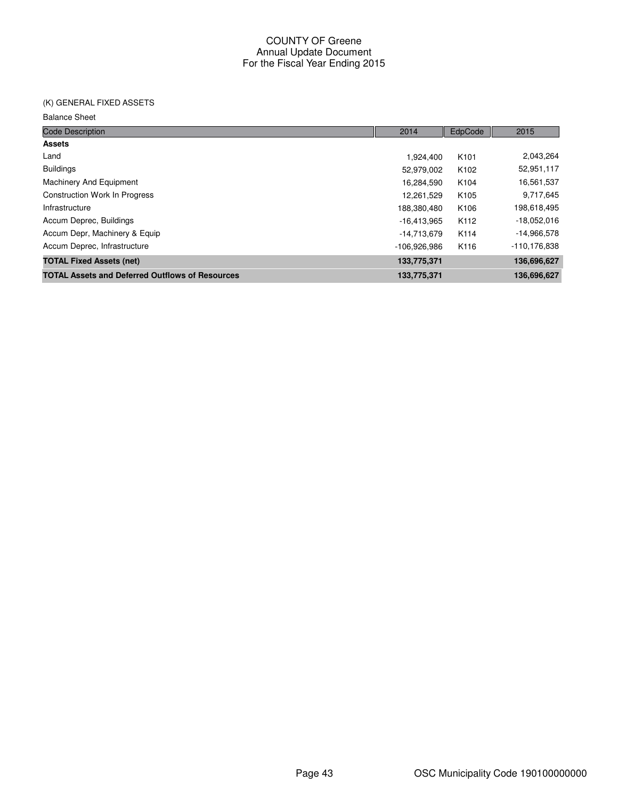### (K) GENERAL FIXED ASSETS

#### Balance Sheet

| <b>Code Description</b>                                | 2014           | EdpCode          | 2015             |
|--------------------------------------------------------|----------------|------------------|------------------|
| <b>Assets</b>                                          |                |                  |                  |
| Land                                                   | 1.924.400      | K <sub>101</sub> | 2,043,264        |
| <b>Buildings</b>                                       | 52,979,002     | K <sub>102</sub> | 52,951,117       |
| Machinery And Equipment                                | 16,284,590     | K <sub>104</sub> | 16,561,537       |
| <b>Construction Work In Progress</b>                   | 12,261,529     | K <sub>105</sub> | 9,717,645        |
| Infrastructure                                         | 188,380,480    | K106             | 198,618,495      |
| Accum Deprec, Buildings                                | $-16,413,965$  | K <sub>112</sub> | $-18,052,016$    |
| Accum Depr, Machinery & Equip                          | -14,713,679    | K114             | $-14,966,578$    |
| Accum Deprec, Infrastructure                           | $-106.926.986$ | K116             | $-110, 176, 838$ |
| <b>TOTAL Fixed Assets (net)</b>                        | 133,775,371    |                  | 136,696,627      |
| <b>TOTAL Assets and Deferred Outflows of Resources</b> | 133,775,371    |                  | 136.696.627      |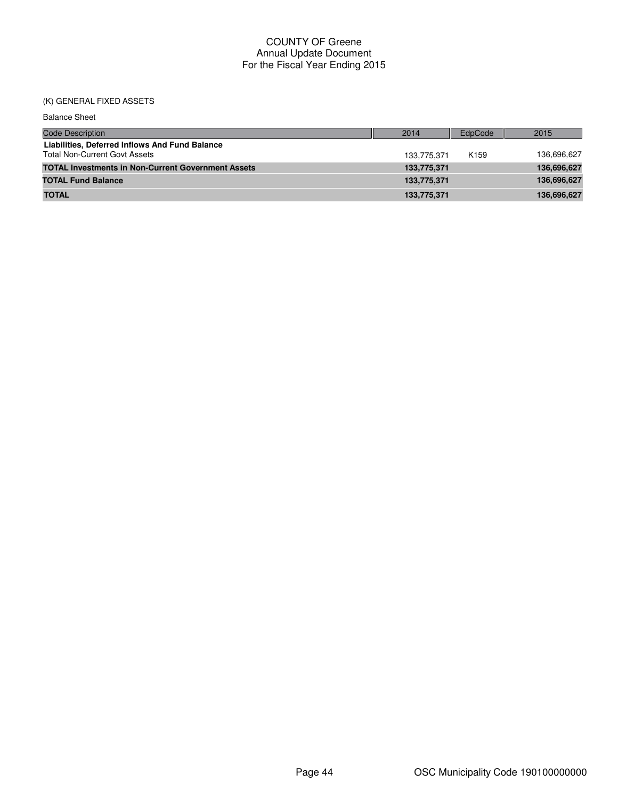### (K) GENERAL FIXED ASSETS

| <b>Balance Sheet</b>                                                                   |             |                  |             |
|----------------------------------------------------------------------------------------|-------------|------------------|-------------|
| <b>Code Description</b>                                                                | 2014        | EdpCode          | 2015        |
| Liabilities, Deferred Inflows And Fund Balance<br><b>Total Non-Current Govt Assets</b> | 133,775,371 | K <sub>159</sub> | 136,696,627 |
| <b>TOTAL Investments in Non-Current Government Assets</b>                              | 133,775,371 |                  | 136,696,627 |
| <b>TOTAL Fund Balance</b>                                                              | 133,775,371 |                  | 136,696,627 |
| <b>TOTAL</b>                                                                           | 133,775,371 |                  | 136,696,627 |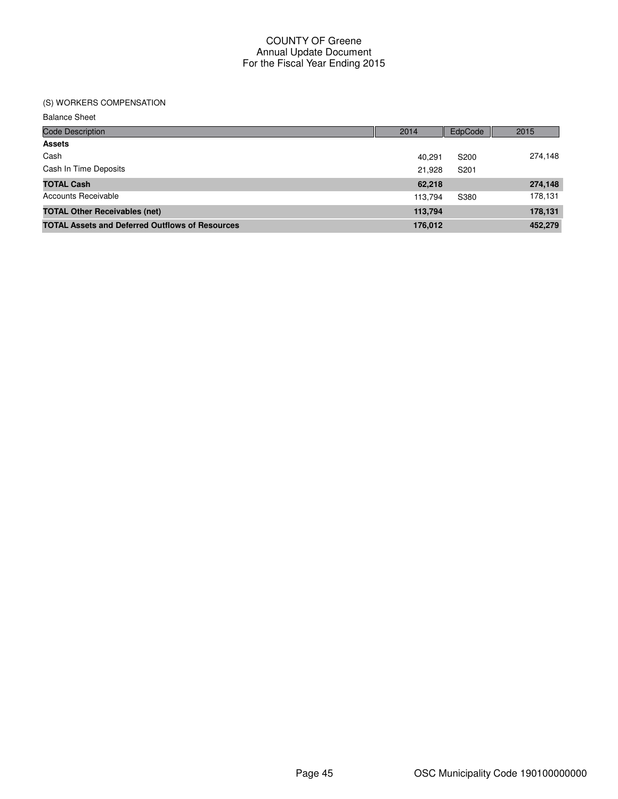### (S) WORKERS COMPENSATION

Balance Sheet

| <b>Code Description</b>                                | 2014    | EdpCode          | 2015    |
|--------------------------------------------------------|---------|------------------|---------|
| <b>Assets</b>                                          |         |                  |         |
| Cash                                                   | 40.291  | S <sub>200</sub> | 274,148 |
| Cash In Time Deposits                                  | 21,928  | S <sub>201</sub> |         |
| <b>TOTAL Cash</b>                                      | 62,218  |                  | 274,148 |
| Accounts Receivable                                    | 113.794 | S380             | 178,131 |
| <b>TOTAL Other Receivables (net)</b>                   | 113,794 |                  | 178,131 |
| <b>TOTAL Assets and Deferred Outflows of Resources</b> | 176,012 |                  | 452,279 |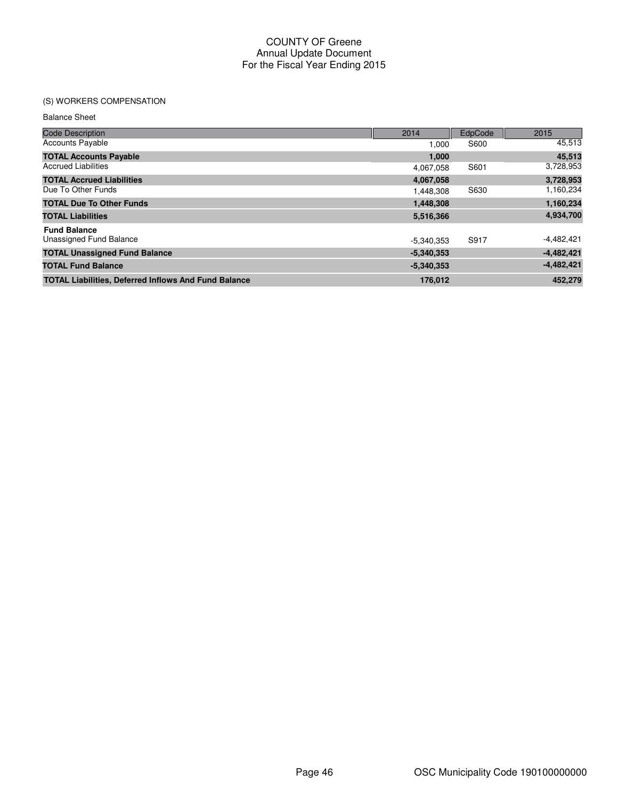## (S) WORKERS COMPENSATION

Balance Sheet

| <b>Code Description</b>                                     | 2014         | EdpCode | 2015         |
|-------------------------------------------------------------|--------------|---------|--------------|
| <b>Accounts Payable</b>                                     | 1.000        | S600    | 45,513       |
| <b>TOTAL Accounts Payable</b>                               | 1.000        |         | 45,513       |
| <b>Accrued Liabilities</b>                                  | 4,067,058    | S601    | 3,728,953    |
| <b>TOTAL Accrued Liabilities</b>                            | 4,067,058    |         | 3,728,953    |
| Due To Other Funds                                          | 1.448.308    | S630    | 1,160,234    |
| <b>TOTAL Due To Other Funds</b>                             | 1,448,308    |         | 1,160,234    |
| <b>TOTAL Liabilities</b>                                    | 5,516,366    |         | 4,934,700    |
| <b>Fund Balance</b>                                         |              |         |              |
| Unassigned Fund Balance                                     | $-5,340,353$ | S917    | $-4,482,421$ |
| <b>TOTAL Unassigned Fund Balance</b>                        | $-5,340,353$ |         | $-4,482,421$ |
| <b>TOTAL Fund Balance</b>                                   | $-5,340,353$ |         | $-4,482,421$ |
| <b>TOTAL Liabilities, Deferred Inflows And Fund Balance</b> | 176,012      |         | 452,279      |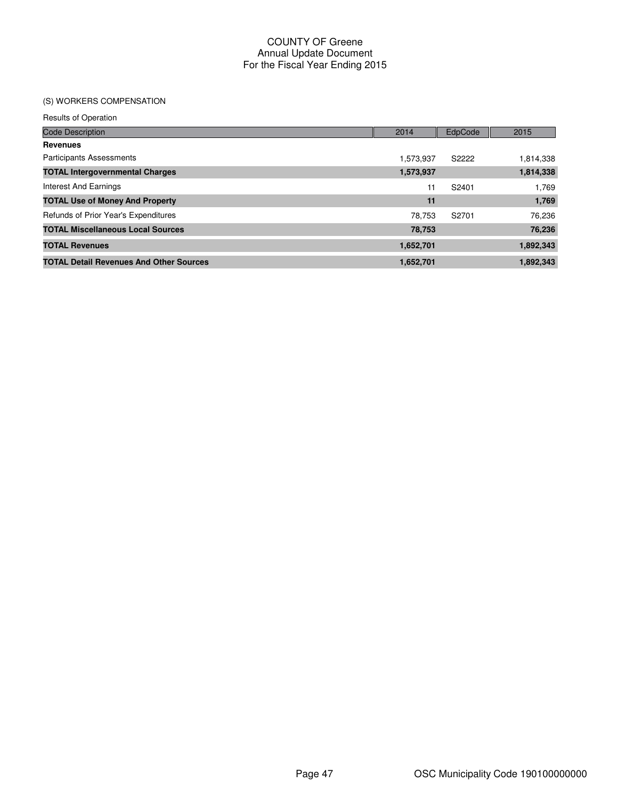## (S) WORKERS COMPENSATION

| <b>Results of Operation</b>                    |           |         |           |
|------------------------------------------------|-----------|---------|-----------|
| <b>Code Description</b>                        | 2014      | EdpCode | 2015      |
| <b>Revenues</b>                                |           |         |           |
| <b>Participants Assessments</b>                | 1,573,937 | S2222   | 1,814,338 |
| <b>TOTAL Intergovernmental Charges</b>         | 1,573,937 |         | 1,814,338 |
| Interest And Earnings                          | 11        | S2401   | 1.769     |
| <b>TOTAL Use of Money And Property</b>         | 11        |         | 1,769     |
| Refunds of Prior Year's Expenditures           | 78.753    | S2701   | 76,236    |
| <b>TOTAL Miscellaneous Local Sources</b>       | 78,753    |         | 76,236    |
| <b>TOTAL Revenues</b>                          | 1,652,701 |         | 1,892,343 |
| <b>TOTAL Detail Revenues And Other Sources</b> | 1,652,701 |         | 1,892,343 |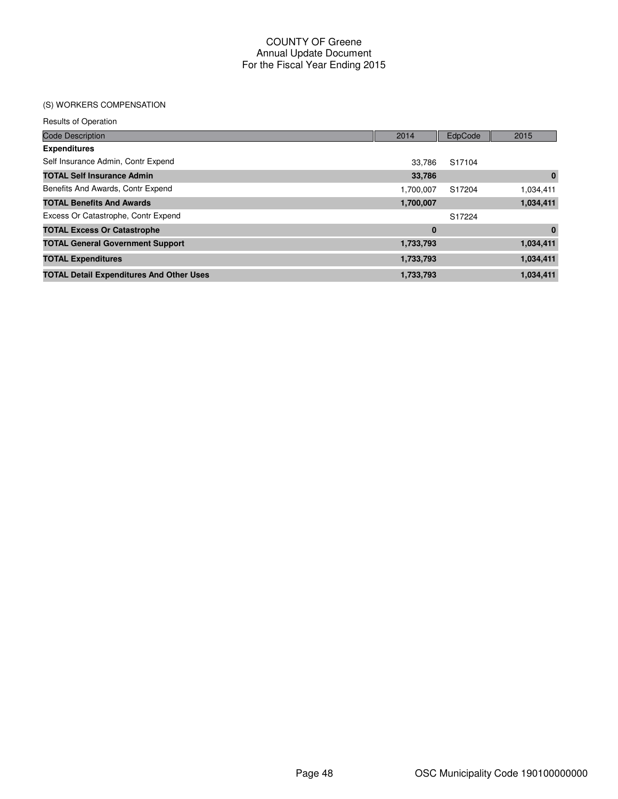### (S) WORKERS COMPENSATION

Results of Operation

| <b>Code Description</b>                         | 2014      | EdpCode            | 2015         |
|-------------------------------------------------|-----------|--------------------|--------------|
| <b>Expenditures</b>                             |           |                    |              |
| Self Insurance Admin, Contr Expend              | 33.786    | S <sub>17104</sub> |              |
| <b>TOTAL Self Insurance Admin</b>               | 33,786    |                    | $\bf{0}$     |
| Benefits And Awards, Contr Expend               | 1,700,007 | S17204             | 1,034,411    |
| <b>TOTAL Benefits And Awards</b>                | 1,700,007 |                    | 1,034,411    |
| Excess Or Catastrophe, Contr Expend             |           | S17224             |              |
| <b>TOTAL Excess Or Catastrophe</b>              | $\bf{0}$  |                    | $\mathbf{0}$ |
| <b>TOTAL General Government Support</b>         | 1,733,793 |                    | 1,034,411    |
| <b>TOTAL Expenditures</b>                       | 1,733,793 |                    | 1,034,411    |
| <b>TOTAL Detail Expenditures And Other Uses</b> | 1,733,793 |                    | 1,034,411    |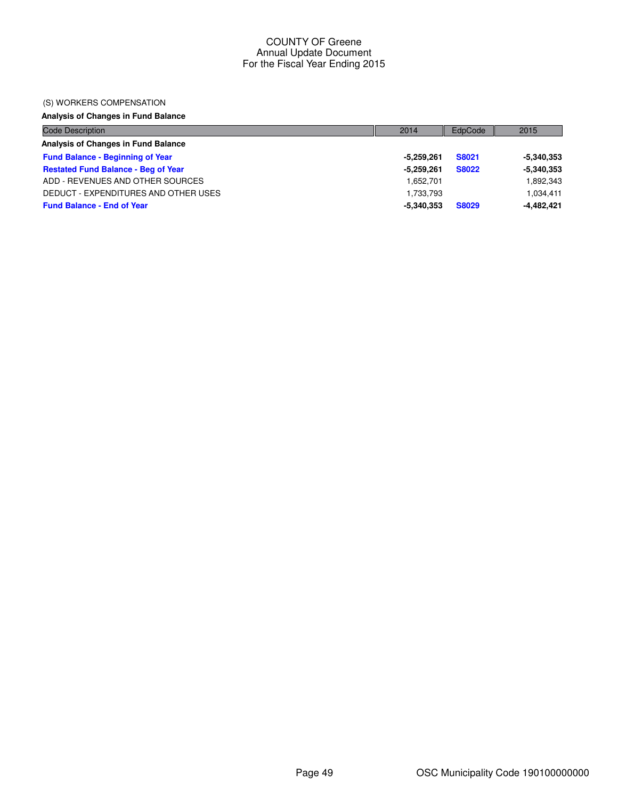#### (S) WORKERS COMPENSATION

## **Analysis of Changes in Fund Balance**

| <b>Code Description</b>                    | 2014         | EdpCode      | 2015         |
|--------------------------------------------|--------------|--------------|--------------|
| Analysis of Changes in Fund Balance        |              |              |              |
| <b>Fund Balance - Beginning of Year</b>    | -5.259.261   | S8021        | $-5,340,353$ |
| <b>Restated Fund Balance - Beg of Year</b> | $-5.259.261$ | <b>S8022</b> | $-5,340,353$ |
| ADD - REVENUES AND OTHER SOURCES           | 1.652.701    |              | 1,892,343    |
| DEDUCT - EXPENDITURES AND OTHER USES       | 1.733.793    |              | 1,034,411    |
| <b>Fund Balance - End of Year</b>          | $-5,340,353$ | <b>S8029</b> | -4,482,421   |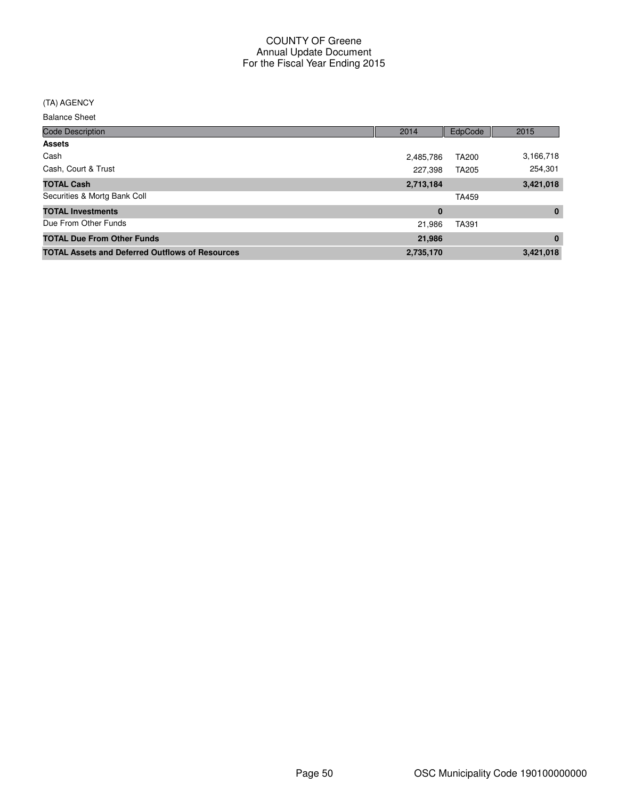#### (TA) AGENCY

Balance Sheet

| <b>Code Description</b>                                | 2014      | EdpCode      | 2015      |
|--------------------------------------------------------|-----------|--------------|-----------|
| <b>Assets</b>                                          |           |              |           |
| Cash                                                   | 2,485,786 | <b>TA200</b> | 3,166,718 |
| Cash, Court & Trust                                    | 227,398   | TA205        | 254,301   |
| <b>TOTAL Cash</b>                                      | 2,713,184 |              | 3,421,018 |
| Securities & Mortg Bank Coll                           |           | TA459        |           |
| <b>TOTAL Investments</b>                               | 0         |              | $\bf{0}$  |
| Due From Other Funds                                   | 21,986    | TA391        |           |
| <b>TOTAL Due From Other Funds</b>                      | 21,986    |              | $\bf{0}$  |
| <b>TOTAL Assets and Deferred Outflows of Resources</b> | 2,735,170 |              | 3,421,018 |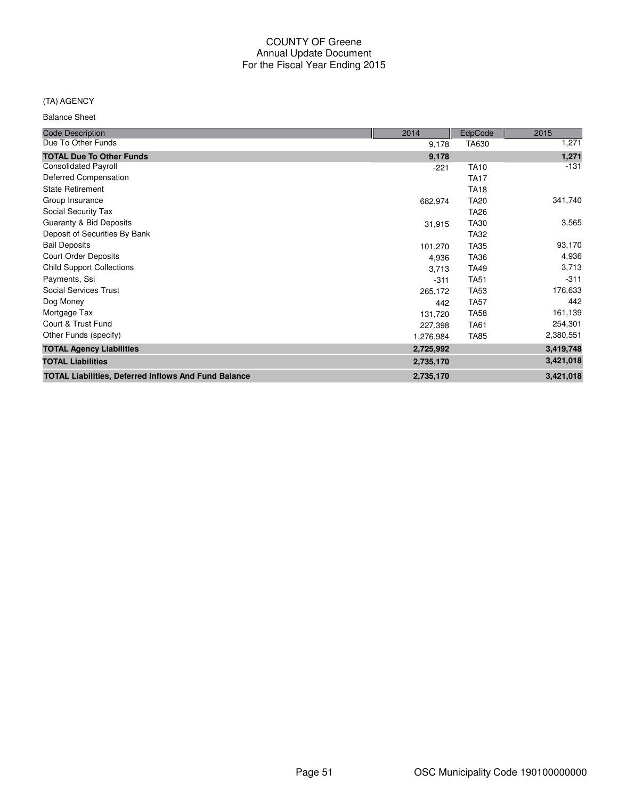### (TA) AGENCY

Balance Sheet

| <b>Code Description</b>                                     | 2014      | EdpCode     | 2015      |
|-------------------------------------------------------------|-----------|-------------|-----------|
| Due To Other Funds                                          | 9,178     | TA630       | 1,271     |
| <b>TOTAL Due To Other Funds</b>                             | 9,178     |             | 1,271     |
| <b>Consolidated Payroll</b>                                 | $-221$    | <b>TA10</b> | $-131$    |
| Deferred Compensation                                       |           | <b>TA17</b> |           |
| <b>State Retirement</b>                                     |           | <b>TA18</b> |           |
| Group Insurance                                             | 682,974   | <b>TA20</b> | 341,740   |
| Social Security Tax                                         |           | TA26        |           |
| Guaranty & Bid Deposits                                     | 31,915    | <b>TA30</b> | 3,565     |
| Deposit of Securities By Bank                               |           | <b>TA32</b> |           |
| <b>Bail Deposits</b>                                        | 101,270   | <b>TA35</b> | 93,170    |
| <b>Court Order Deposits</b>                                 | 4,936     | <b>TA36</b> | 4,936     |
| <b>Child Support Collections</b>                            | 3,713     | <b>TA49</b> | 3,713     |
| Payments, Ssi                                               | $-311$    | <b>TA51</b> | $-311$    |
| <b>Social Services Trust</b>                                | 265,172   | <b>TA53</b> | 176,633   |
| Dog Money                                                   | 442       | <b>TA57</b> | 442       |
| Mortgage Tax                                                | 131,720   | <b>TA58</b> | 161,139   |
| Court & Trust Fund                                          | 227,398   | <b>TA61</b> | 254,301   |
| Other Funds (specify)                                       | 1,276,984 | <b>TA85</b> | 2,380,551 |
| <b>TOTAL Agency Liabilities</b>                             | 2,725,992 |             | 3,419,748 |
| <b>TOTAL Liabilities</b>                                    | 2,735,170 |             | 3,421,018 |
| <b>TOTAL Liabilities, Deferred Inflows And Fund Balance</b> | 2,735,170 |             | 3,421,018 |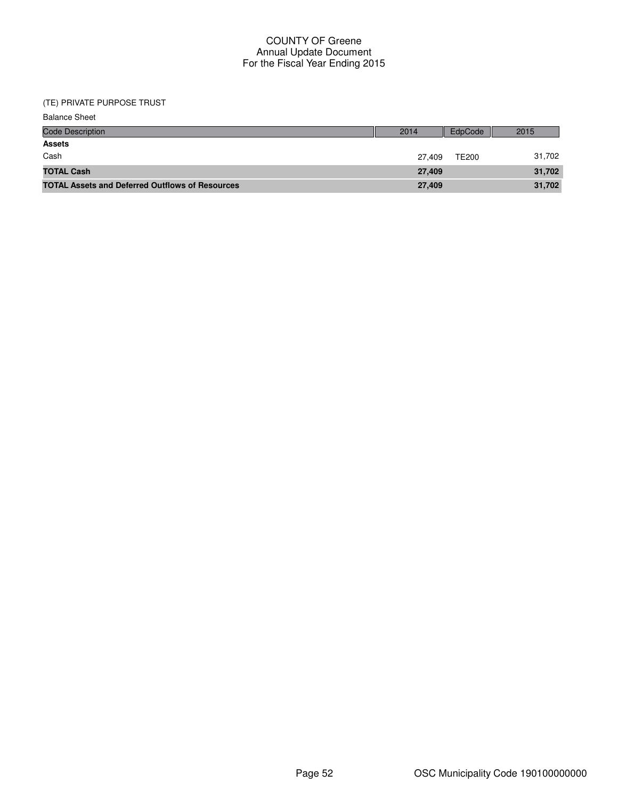| <b>Balance Sheet</b>                                   |        |              |        |
|--------------------------------------------------------|--------|--------------|--------|
| <b>Code Description</b>                                | 2014   | EdpCode      | 2015   |
| <b>Assets</b>                                          |        |              |        |
| Cash                                                   | 27.409 | <b>TE200</b> | 31,702 |
| <b>TOTAL Cash</b>                                      | 27,409 |              | 31,702 |
| <b>TOTAL Assets and Deferred Outflows of Resources</b> | 27,409 |              | 31,702 |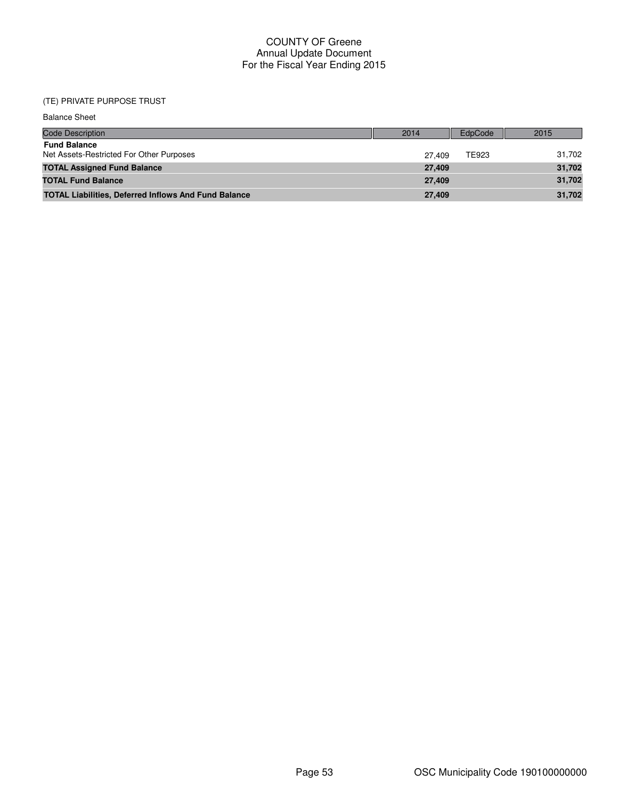| <b>Balance Sheet</b>                                            |        |         |        |
|-----------------------------------------------------------------|--------|---------|--------|
| <b>Code Description</b>                                         | 2014   | EdpCode | 2015   |
| <b>Fund Balance</b><br>Net Assets-Restricted For Other Purposes | 27.409 | TE923   | 31,702 |
| <b>TOTAL Assigned Fund Balance</b>                              | 27,409 |         | 31,702 |
| <b>TOTAL Fund Balance</b>                                       | 27,409 |         | 31,702 |
| <b>TOTAL Liabilities, Deferred Inflows And Fund Balance</b>     | 27,409 |         | 31,702 |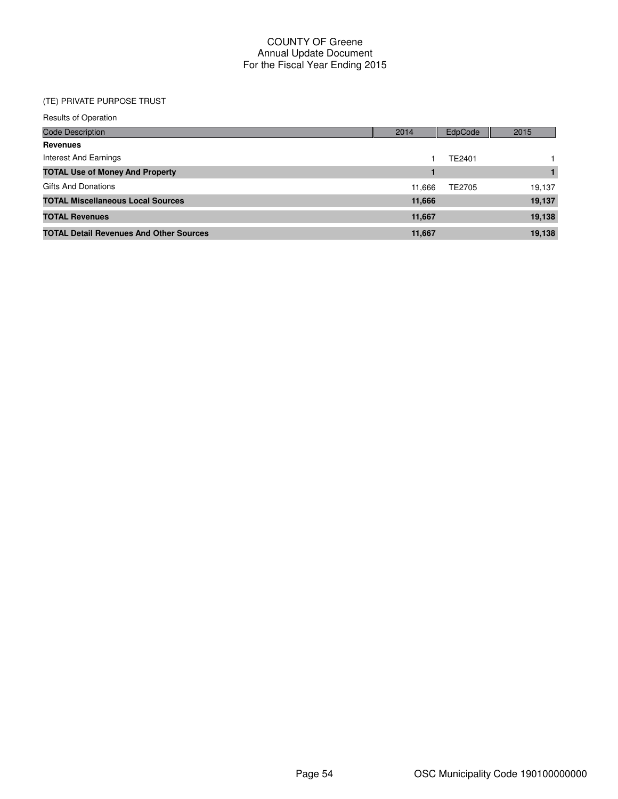| <b>Results of Operation</b>                    |        |         |        |
|------------------------------------------------|--------|---------|--------|
| <b>Code Description</b>                        | 2014   | EdpCode | 2015   |
| <b>Revenues</b>                                |        |         |        |
| <b>Interest And Earnings</b>                   |        | TE2401  |        |
| <b>TOTAL Use of Money And Property</b>         |        |         |        |
| <b>Gifts And Donations</b>                     | 11,666 | TE2705  | 19,137 |
| <b>TOTAL Miscellaneous Local Sources</b>       | 11,666 |         | 19,137 |
| <b>TOTAL Revenues</b>                          | 11,667 |         | 19,138 |
| <b>TOTAL Detail Revenues And Other Sources</b> | 11,667 |         | 19,138 |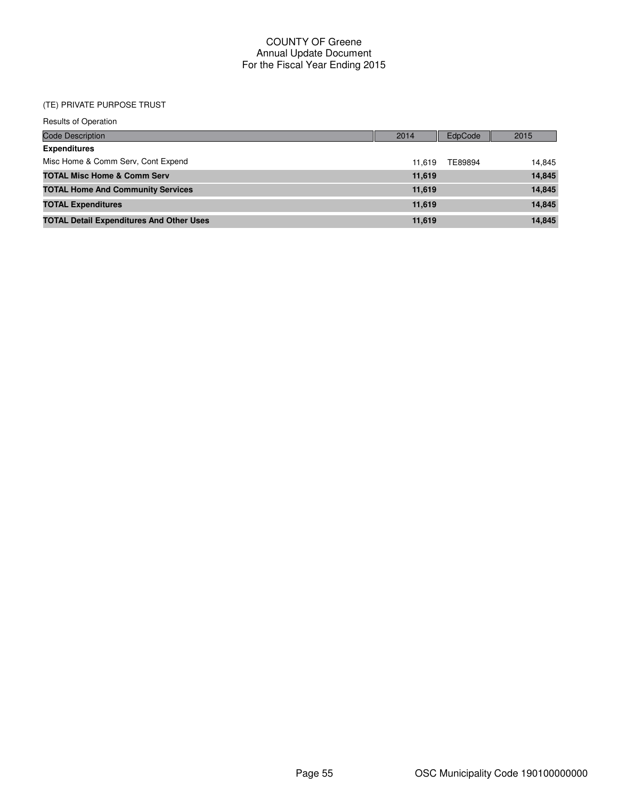| <b>Results of Operation</b>                     |        |         |        |
|-------------------------------------------------|--------|---------|--------|
| <b>Code Description</b>                         | 2014   | EdpCode | 2015   |
| <b>Expenditures</b>                             |        |         |        |
| Misc Home & Comm Serv, Cont Expend              | 11.619 | TE89894 | 14.845 |
| <b>TOTAL Misc Home &amp; Comm Serv</b>          | 11,619 |         | 14,845 |
| <b>TOTAL Home And Community Services</b>        | 11,619 |         | 14,845 |
| <b>TOTAL Expenditures</b>                       | 11,619 |         | 14,845 |
| <b>TOTAL Detail Expenditures And Other Uses</b> | 11,619 |         | 14,845 |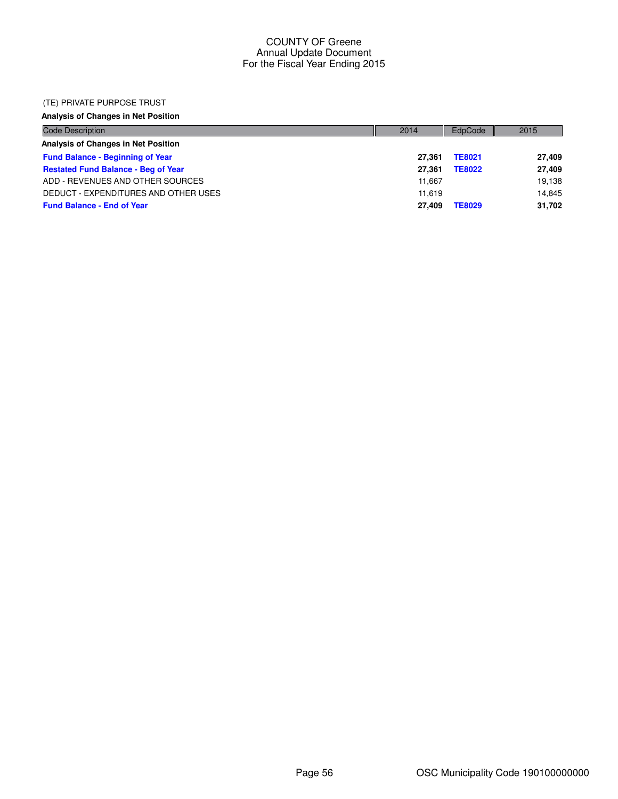#### (TE) PRIVATE PURPOSE TRUST

### **Analysis of Changes in Net Position**

| <b>Code Description</b>                    | 2014   | EdpCode       | 2015   |
|--------------------------------------------|--------|---------------|--------|
| Analysis of Changes in Net Position        |        |               |        |
| <b>Fund Balance - Beginning of Year</b>    | 27.361 | <b>TE8021</b> | 27,409 |
| <b>Restated Fund Balance - Beg of Year</b> | 27.361 | <b>TE8022</b> | 27,409 |
| ADD - REVENUES AND OTHER SOURCES           | 11.667 |               | 19,138 |
| DEDUCT - EXPENDITURES AND OTHER USES       | 11.619 |               | 14.845 |
| <b>Fund Balance - End of Year</b>          | 27.409 | <b>TE8029</b> | 31,702 |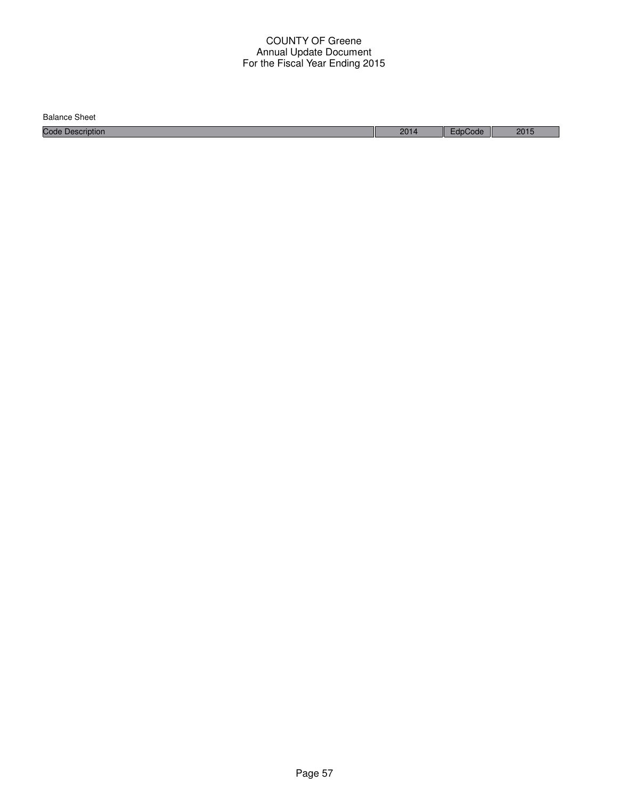Balance Sheet

Code Description 2014 EdpCode 2015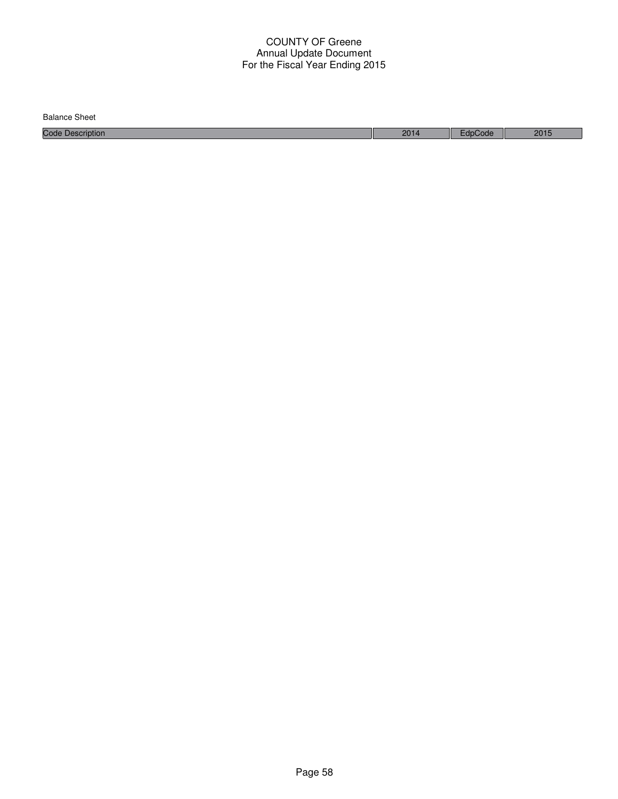| <b>Balance Sheet</b>    |      |      |      |
|-------------------------|------|------|------|
| <b>Code Description</b> | 2014 | Code | 2015 |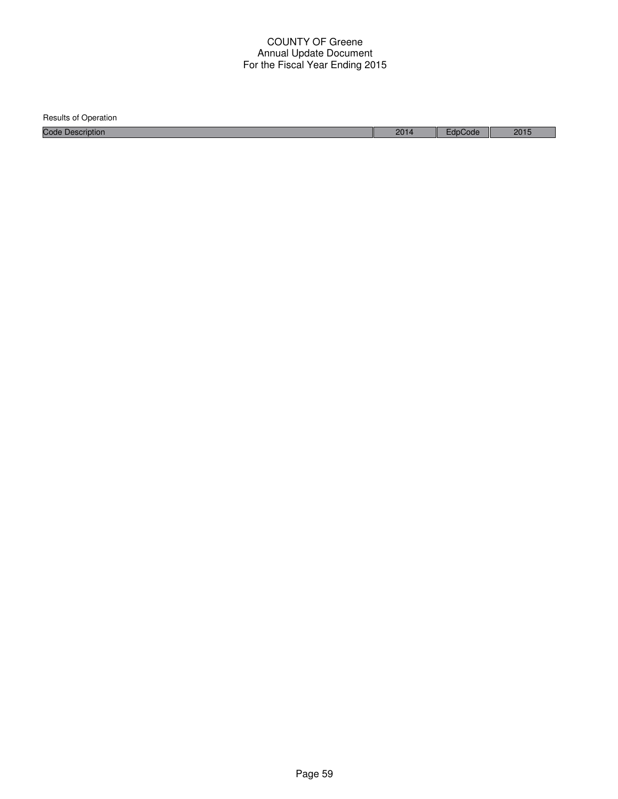| <b>Results of Operation</b> |      |         |      |
|-----------------------------|------|---------|------|
| <b>Code Description</b>     | 2014 | EdpCode | 2015 |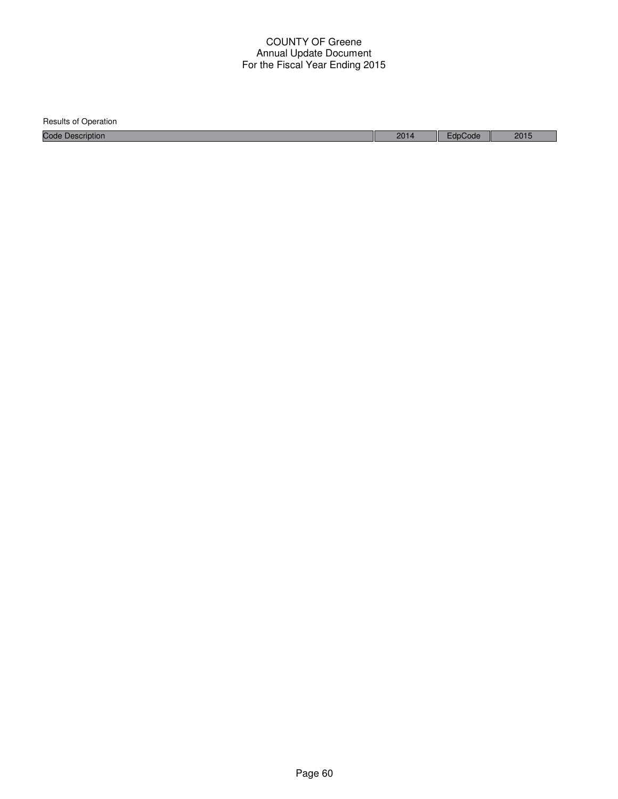| <b>Results of Operation</b> |      |         |      |
|-----------------------------|------|---------|------|
| <b>Code Description</b>     | 2014 | EdpCode | 2015 |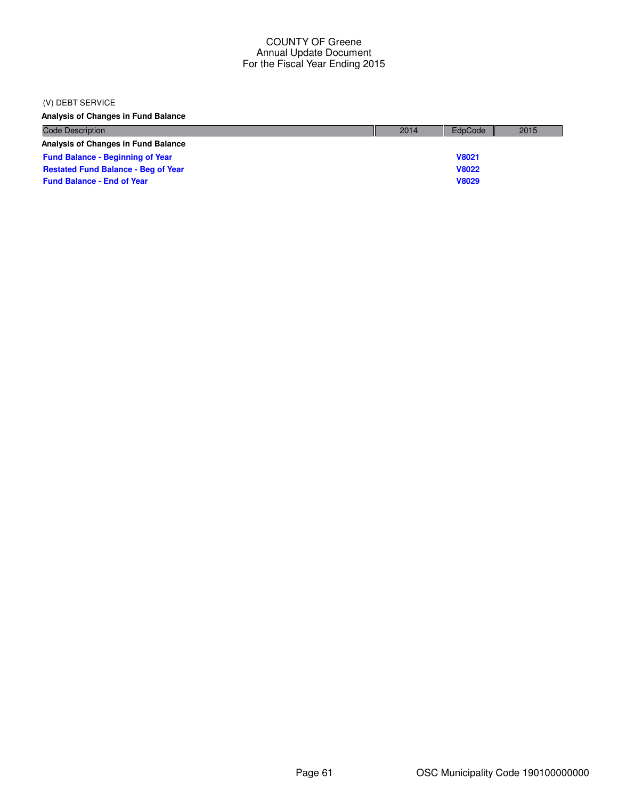#### (V) DEBT SERVICE

**Analysis of Changes in Fund Balance**

| <b>Code Description</b>                    | 2014 | EdpCode      | 2015 |
|--------------------------------------------|------|--------------|------|
| Analysis of Changes in Fund Balance        |      |              |      |
| <b>Fund Balance - Beginning of Year</b>    |      | <b>V8021</b> |      |
| <b>Restated Fund Balance - Beg of Year</b> |      | <b>V8022</b> |      |
| <b>Fund Balance - End of Year</b>          |      | <b>V8029</b> |      |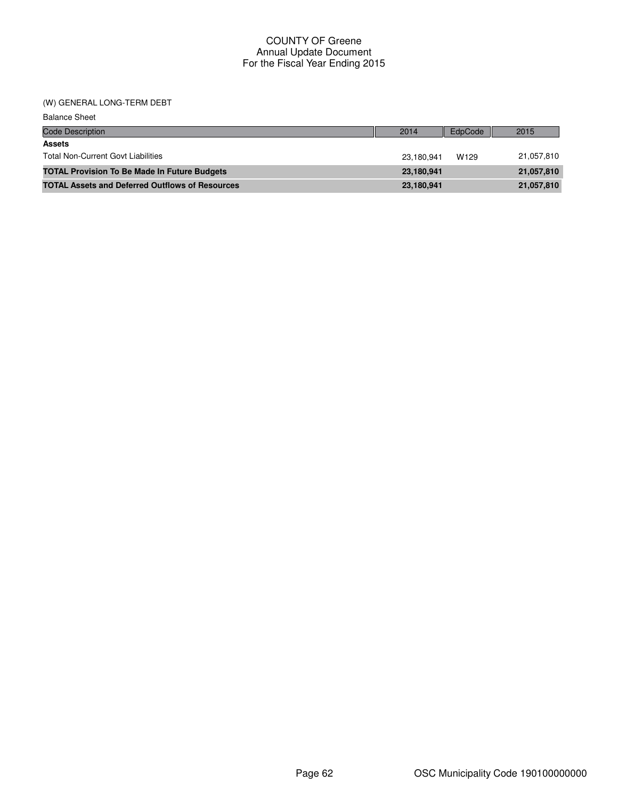### (W) GENERAL LONG-TERM DEBT

| <b>Balance Sheet</b>                                   |            |                  |            |
|--------------------------------------------------------|------------|------------------|------------|
| <b>Code Description</b>                                | 2014       | EdpCode          | 2015       |
| <b>Assets</b>                                          |            |                  |            |
| <b>Total Non-Current Govt Liabilities</b>              | 23,180,941 | W <sub>129</sub> | 21,057,810 |
| <b>TOTAL Provision To Be Made In Future Budgets</b>    | 23,180,941 |                  | 21,057,810 |
| <b>TOTAL Assets and Deferred Outflows of Resources</b> | 23,180,941 |                  | 21,057,810 |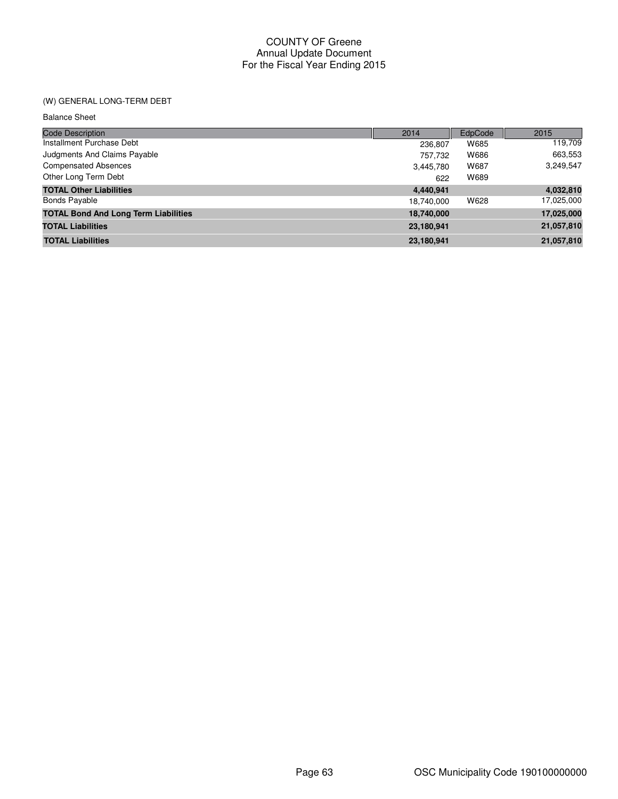## (W) GENERAL LONG-TERM DEBT

Balance Sheet

| <b>Code Description</b>                     | 2014       | EdpCode | 2015       |
|---------------------------------------------|------------|---------|------------|
| Installment Purchase Debt                   | 236,807    | W685    | 119,709    |
| Judgments And Claims Payable                | 757.732    | W686    | 663,553    |
| <b>Compensated Absences</b>                 | 3,445,780  | W687    | 3,249,547  |
| Other Long Term Debt                        | 622        | W689    |            |
| <b>TOTAL Other Liabilities</b>              | 4,440,941  |         | 4,032,810  |
| Bonds Payable                               | 18,740,000 | W628    | 17,025,000 |
| <b>TOTAL Bond And Long Term Liabilities</b> | 18,740,000 |         | 17,025,000 |
| <b>TOTAL Liabilities</b>                    | 23,180,941 |         | 21,057,810 |
| <b>TOTAL Liabilities</b>                    | 23,180,941 |         | 21,057,810 |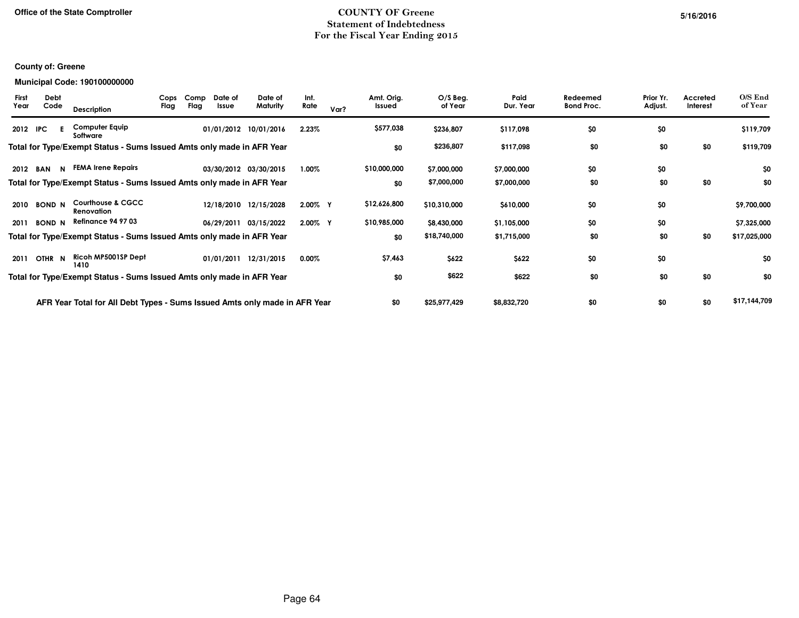### COUNTY OF GreeneStatement of IndebtednessFor the Fiscal Year Ending 2015

#### **County of: Greene**

#### **Municipal Code: 190100000000**

| <b>First</b><br>Year | Debt<br>Code  | Description                                                                | Cops<br>Flag | Comp<br>Flag | Date of<br>Issue | Date of<br>Maturity   | Int.<br>Rate | Var? | Amt. Orig.<br>Issued | $O/S$ Beg.<br>of Year | Paid<br>Dur. Year | Redeemed<br><b>Bond Proc.</b> | Prior Yr.<br>Adjust. | Accreted<br>Interest | $O/S$ End<br>of Year |
|----------------------|---------------|----------------------------------------------------------------------------|--------------|--------------|------------------|-----------------------|--------------|------|----------------------|-----------------------|-------------------|-------------------------------|----------------------|----------------------|----------------------|
| 2012 IPC             |               | <b>Computer Equip</b><br>Software                                          |              |              |                  | 01/01/2012 10/01/2016 | 2.23%        |      | \$577,038            | \$236,807             | \$117,098         | \$0                           | \$0                  |                      | \$119,709            |
|                      |               | Total for Type/Exempt Status - Sums Issued Amts only made in AFR Year      |              |              |                  |                       |              |      | \$0                  | \$236,807             | \$117,098         | \$0                           | \$0                  | \$0                  | \$119,709            |
| 2012 BAN             | N             | <b>FEMA Irene Repairs</b>                                                  |              |              |                  | 03/30/2012 03/30/2015 | 1.00%        |      | \$10,000,000         | \$7,000,000           | \$7,000,000       | \$0                           | \$0                  |                      | \$0                  |
|                      |               | Total for Type/Exempt Status - Sums Issued Amts only made in AFR Year      |              |              |                  |                       |              |      | \$0                  | \$7,000,000           | \$7,000,000       | \$0                           | \$0                  | \$0                  | \$0                  |
| 2010                 | <b>BOND N</b> | Courthouse & CGCC<br>Renovation                                            |              |              |                  | 12/18/2010 12/15/2028 | 2.00% Y      |      | \$12,626,800         | \$10,310,000          | \$610,000         | \$0                           | \$0                  |                      | \$9,700,000          |
| 2011                 | <b>BOND N</b> | <b>Refinance 94 97 03</b>                                                  |              |              | 06/29/2011       | 03/15/2022            | 2.00% Y      |      | \$10,985,000         | \$8,430,000           | \$1,105,000       | \$0                           | \$0                  |                      | \$7,325,000          |
|                      |               | Total for Type/Exempt Status - Sums Issued Amts only made in AFR Year      |              |              |                  |                       |              |      | \$0                  | \$18,740,000          | \$1,715,000       | \$0                           | \$0                  | \$0                  | \$17,025,000         |
| 2011                 | OTHR N        | Ricoh MP5001SP Dept<br>1410                                                |              |              | 01/01/2011       | 12/31/2015            | $0.00\%$     |      | \$7,463              | \$622                 | \$622             | \$0                           | \$0                  |                      | \$0                  |
|                      |               | Total for Type/Exempt Status - Sums Issued Amts only made in AFR Year      |              |              |                  |                       |              |      | \$0                  | \$622                 | \$622             | \$0                           | \$0                  | \$0                  | \$0                  |
|                      |               | AFR Year Total for All Debt Types - Sums Issued Amts only made in AFR Year |              |              |                  |                       |              |      | \$0                  | \$25,977,429          | \$8,832,720       | \$0                           | \$0                  | \$0                  | \$17,144,709         |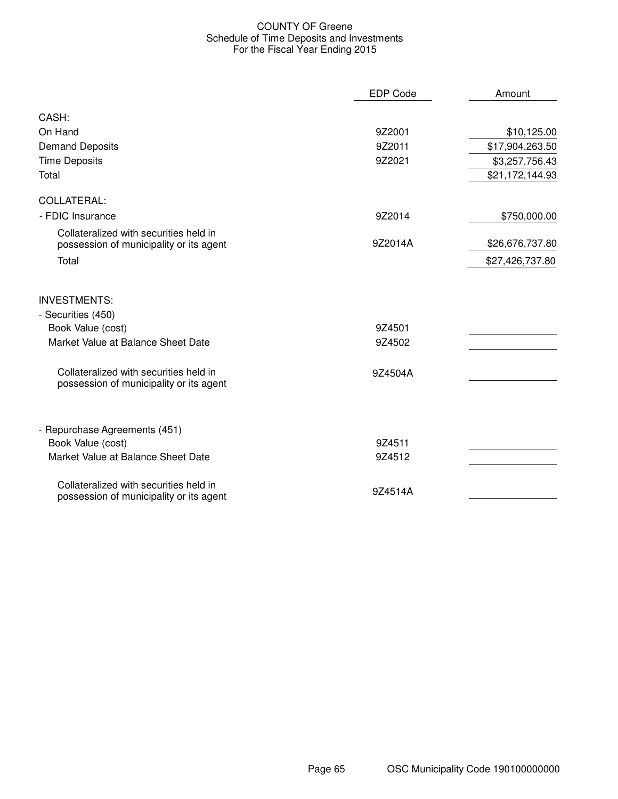### COUNTY OF Greene Schedule of Time Deposits and Investments For the Fiscal Year Ending 2015

|                                                                                   | <b>EDP Code</b> | Amount          |
|-----------------------------------------------------------------------------------|-----------------|-----------------|
| CASH:                                                                             |                 |                 |
| On Hand                                                                           | 9Z2001          | \$10,125.00     |
| <b>Demand Deposits</b>                                                            | 9Z2011          | \$17,904,263.50 |
| <b>Time Deposits</b>                                                              | 9Z2021          | \$3,257,756.43  |
| Total                                                                             |                 | \$21,172,144.93 |
| COLLATERAL:                                                                       |                 |                 |
| - FDIC Insurance                                                                  | 9Z2014          | \$750,000.00    |
| Collateralized with securities held in<br>possession of municipality or its agent | 9Z2014A         | \$26,676,737.80 |
| Total                                                                             |                 | \$27,426,737.80 |
| <b>INVESTMENTS:</b>                                                               |                 |                 |
| - Securities (450)                                                                |                 |                 |
| Book Value (cost)                                                                 | 9Z4501          |                 |
| Market Value at Balance Sheet Date                                                | 9Z4502          |                 |
| Collateralized with securities held in<br>possession of municipality or its agent | 9Z4504A         |                 |
| - Repurchase Agreements (451)                                                     |                 |                 |
| Book Value (cost)                                                                 | 9Z4511          |                 |
| Market Value at Balance Sheet Date                                                | 9Z4512          |                 |
| Collateralized with securities held in<br>possession of municipality or its agent | 9Z4514A         |                 |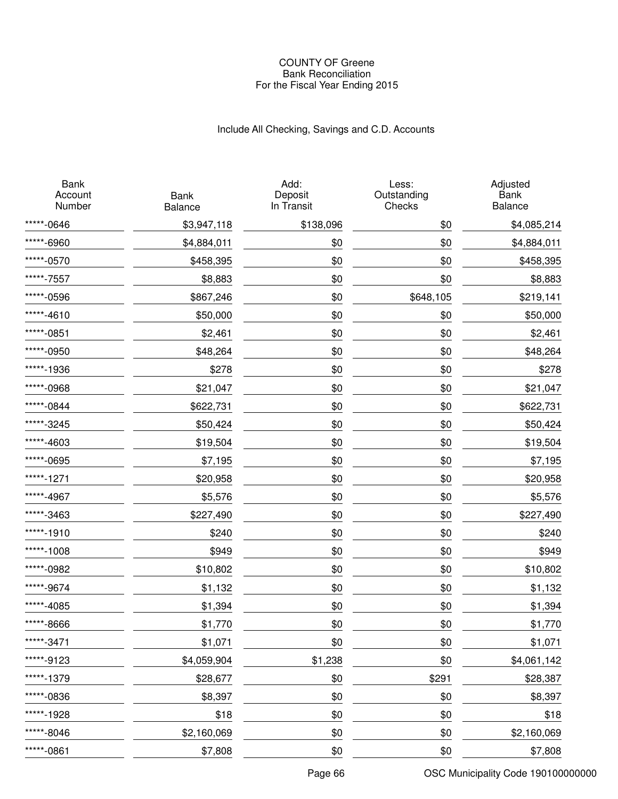### COUNTY OF Greene Bank Reconciliation For the Fiscal Year Ending 2015

# Include All Checking, Savings and C.D. Accounts

| <b>Bank</b><br>Account<br>Number | <b>Bank</b><br>Balance | Add:<br>Deposit<br>In Transit | Less:<br>Outstanding<br>Checks | Adjusted<br>Bank<br>Balance |
|----------------------------------|------------------------|-------------------------------|--------------------------------|-----------------------------|
| *****-0646                       | \$3,947,118            | \$138,096                     | \$0                            | \$4,085,214                 |
| *****-6960                       | \$4,884,011            | \$0                           | \$0                            | \$4,884,011                 |
| *****-0570                       | \$458,395              | \$0                           | \$0                            | \$458,395                   |
| *****-7557                       | \$8,883                | \$0                           | \$0                            | \$8,883                     |
| *****-0596                       | \$867,246              | \$0                           | \$648,105                      | \$219,141                   |
| *****-4610                       | \$50,000               | \$0                           | \$0                            | \$50,000                    |
| *****-0851                       | \$2,461                | \$0                           | \$0                            | \$2,461                     |
| *****-0950                       | \$48,264               | \$0                           | \$0                            | \$48,264                    |
| *****-1936                       | \$278                  | \$0                           | \$0                            | \$278                       |
| *****-0968                       | \$21,047               | \$0                           | \$0                            | \$21,047                    |
| *****-0844                       | \$622,731              | \$0                           | \$0                            | \$622,731                   |
| *****-3245                       | \$50,424               | \$0                           | \$0                            | \$50,424                    |
| *****-4603                       | \$19,504               | \$0                           | \$0                            | \$19,504                    |
| *****-0695                       | \$7,195                | \$0                           | \$0                            | \$7,195                     |
| *****-1271                       | \$20,958               | \$0                           | \$0                            | \$20,958                    |
| *****-4967                       | \$5,576                | \$0                           | \$0                            | \$5,576                     |
| *****-3463                       | \$227,490              | \$0                           | \$0                            | \$227,490                   |
| *****-1910                       | \$240                  | \$0                           | \$0                            | \$240                       |
| *****-1008                       | \$949                  | \$0                           | \$0                            | \$949                       |
| *****-0982                       | \$10,802               | \$0                           | \$0                            | \$10,802                    |
| *****-9674                       | \$1,132                | \$0                           | \$0                            | \$1,132                     |
| *****-4085                       | \$1,394                | \$0                           | \$0                            | \$1,394                     |
| *****-8666                       | \$1,770                | \$0                           | \$0                            | \$1,770                     |
| *****-3471                       | \$1,071                | \$0                           | \$0                            | \$1,071                     |
| *****-9123                       | \$4,059,904            | \$1,238                       | \$0                            | \$4,061,142                 |
| *****-1379                       | \$28,677               | \$0                           | \$291                          | \$28,387                    |
| *****-0836                       | \$8,397                | \$0                           | \$0                            | \$8,397                     |
| *****-1928                       | \$18                   | \$0                           | \$0                            | \$18                        |
| *****-8046                       | \$2,160,069            | \$0                           | \$0                            | \$2,160,069                 |
| *****-0861                       | \$7,808                | \$0                           | \$0                            | \$7,808                     |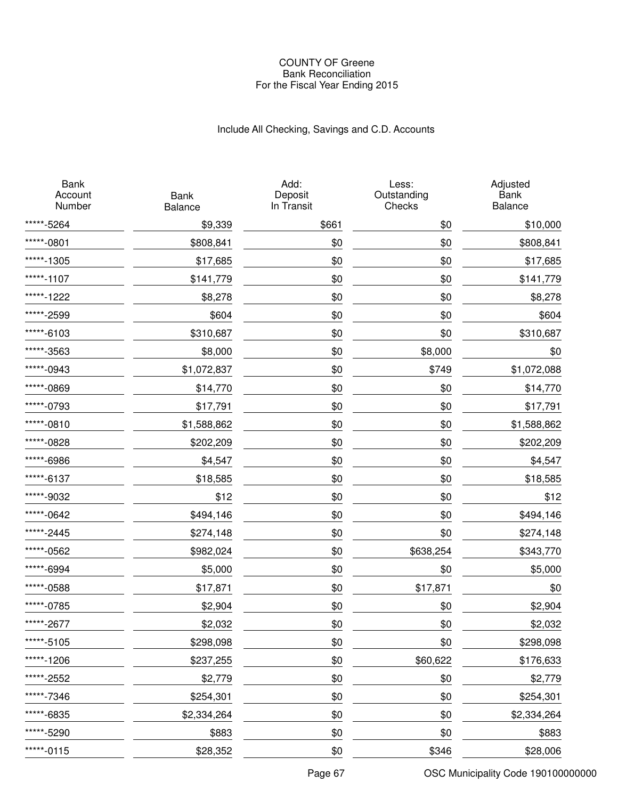### COUNTY OF Greene Bank Reconciliation For the Fiscal Year Ending 2015

# Include All Checking, Savings and C.D. Accounts

| <b>Bank</b><br>Account<br>Number | <b>Bank</b><br>Balance | Add:<br>Deposit<br>In Transit | Less:<br>Outstanding<br>Checks | Adjusted<br><b>Bank</b><br>Balance |
|----------------------------------|------------------------|-------------------------------|--------------------------------|------------------------------------|
| *****-5264                       | \$9,339                | \$661                         | \$0                            | \$10,000                           |
| *****-0801                       | \$808,841              | \$0                           | \$0                            | \$808,841                          |
| *****-1305                       | \$17,685               | \$0                           | \$0                            | \$17,685                           |
| *****-1107                       | \$141,779              | \$0                           | \$0                            | \$141,779                          |
| *****-1222                       | \$8,278                | \$0                           | \$0                            | \$8,278                            |
| *****-2599                       | \$604                  | \$0                           | \$0                            | \$604                              |
| *****-6103                       | \$310,687              | \$0                           | \$0                            | \$310,687                          |
| *****-3563                       | \$8,000                | \$0                           | \$8,000                        | \$0                                |
| *****-0943                       | \$1,072,837            | \$0                           | \$749                          | \$1,072,088                        |
| *****-0869                       | \$14,770               | \$0                           | \$0                            | \$14,770                           |
| *****-0793                       | \$17,791               | \$0                           | \$0                            | \$17,791                           |
| *****-0810                       | \$1,588,862            | \$0                           | \$0                            | \$1,588,862                        |
| *****-0828                       | \$202,209              | \$0                           | \$0                            | \$202,209                          |
| *****-6986                       | \$4,547                | \$0                           | \$0                            | \$4,547                            |
| *****-6137                       | \$18,585               | \$0                           | \$0                            | \$18,585                           |
| *****-9032                       | \$12                   | \$0                           | \$0                            | \$12                               |
| *****-0642                       | \$494,146              | \$0                           | \$0                            | \$494,146                          |
| *****-2445                       | \$274,148              | \$0                           | \$0                            | \$274,148                          |
| *****-0562                       | \$982,024              | \$0                           | \$638,254                      | \$343,770                          |
| *****-6994                       | \$5,000                | \$0                           | \$0                            | \$5,000                            |
| *****-0588                       | \$17,871               | \$0                           | \$17,871                       | \$0                                |
| *****-0785                       | \$2,904                | \$0                           | \$0                            | \$2,904                            |
| *****-2677                       | \$2,032                | \$0                           | \$0                            | \$2,032                            |
| *****-5105                       | \$298,098              | \$0                           | \$0                            | \$298,098                          |
| *****-1206                       | \$237,255              | \$0                           | \$60,622                       | \$176,633                          |
| *****-2552                       | \$2,779                | \$0                           | \$0                            | \$2,779                            |
| *****-7346                       | \$254,301              | \$0                           | \$0                            | \$254,301                          |
| *****-6835                       | \$2,334,264            | \$0                           | \$0                            | \$2,334,264                        |
| *****-5290                       | \$883                  | \$0                           | \$0                            | \$883                              |
| *****-0115                       | \$28,352               | \$0                           | \$346                          | \$28,006                           |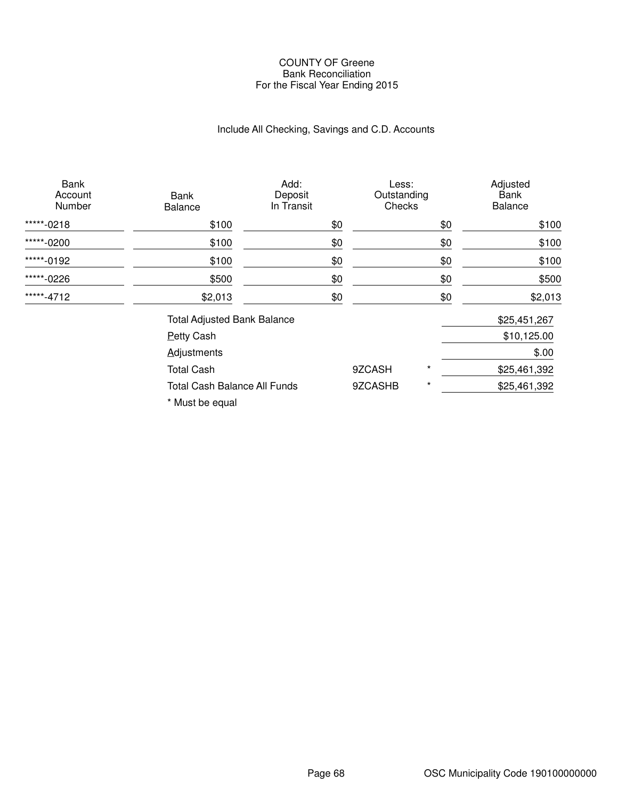### COUNTY OF Greene Bank Reconciliation For the Fiscal Year Ending 2015

# Include All Checking, Savings and C.D. Accounts

| <b>Bank</b><br>Account<br>Number | Bank<br><b>Balance</b>             | Add:<br>Deposit<br>In Transit | Less:<br>Outstanding<br>Checks | Adjusted<br><b>Bank</b><br><b>Balance</b> |
|----------------------------------|------------------------------------|-------------------------------|--------------------------------|-------------------------------------------|
| *****-0218                       | \$100                              | \$0                           |                                | \$0<br>\$100                              |
| *****-0200                       | \$100                              | \$0                           |                                | \$0<br>\$100                              |
| *****-0192                       | \$100                              | \$0                           |                                | \$0<br>\$100                              |
| *****-0226                       | \$500                              | \$0                           |                                | \$0<br>\$500                              |
| *****-4712                       | \$2,013                            | \$0                           |                                | \$2,013<br>\$0                            |
|                                  | <b>Total Adjusted Bank Balance</b> |                               |                                | \$25,451,267                              |
|                                  | <b>Petty Cash</b>                  |                               |                                | \$10,125.00                               |
|                                  | <b>Adjustments</b>                 |                               |                                | \$.00                                     |
|                                  | <b>Total Cash</b>                  |                               | 9ZCASH<br>$^\star$             | \$25,461,392                              |

Total Cash Balance All Funds 9ZCASHB \*

\* Must be equal

\$25,461,392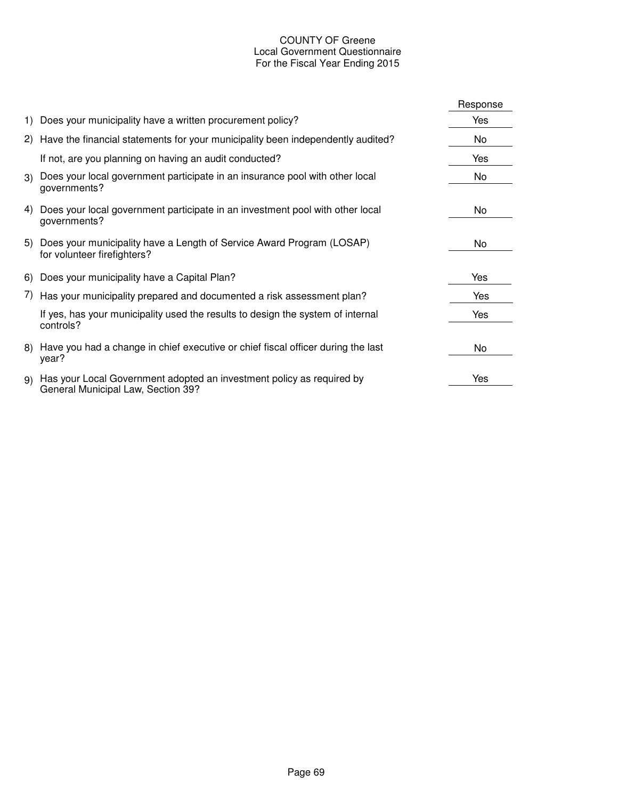### COUNTY OF Greene Local Government Questionnaire For the Fiscal Year Ending 2015

|    |                                                                                                             | Response |
|----|-------------------------------------------------------------------------------------------------------------|----------|
|    | 1) Does your municipality have a written procurement policy?                                                | Yes      |
|    | 2) Have the financial statements for your municipality been independently audited?                          | No       |
|    | If not, are you planning on having an audit conducted?                                                      | Yes      |
| 3) | Does your local government participate in an insurance pool with other local<br>governments?                | No       |
| 4) | Does your local government participate in an investment pool with other local<br>governments?               | No       |
|    | 5) Does your municipality have a Length of Service Award Program (LOSAP)<br>for volunteer firefighters?     | No       |
|    | 6) Does your municipality have a Capital Plan?                                                              | Yes      |
|    | 7) Has your municipality prepared and documented a risk assessment plan?                                    | Yes      |
|    | If yes, has your municipality used the results to design the system of internal<br>controls?                | Yes      |
|    | 8) Have you had a change in chief executive or chief fiscal officer during the last<br>year?                | No       |
| 9) | Has your Local Government adopted an investment policy as required by<br>General Municipal Law, Section 39? | Yes      |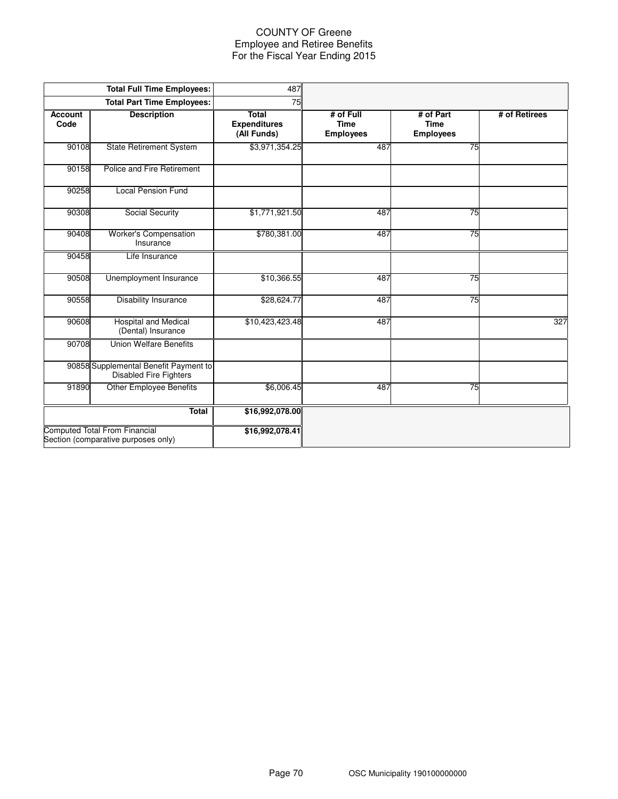### COUNTY OF Greene Employee and Retiree Benefits For the Fiscal Year Ending 2015

|                        | <b>Total Full Time Employees:</b>                                      | 487                                                |                                              |                                              |               |
|------------------------|------------------------------------------------------------------------|----------------------------------------------------|----------------------------------------------|----------------------------------------------|---------------|
|                        | <b>Total Part Time Employees:</b>                                      | 75                                                 |                                              |                                              |               |
| <b>Account</b><br>Code | <b>Description</b>                                                     | <b>Total</b><br><b>Expenditures</b><br>(All Funds) | # of Full<br><b>Time</b><br><b>Employees</b> | # of Part<br><b>Time</b><br><b>Employees</b> | # of Retirees |
| 90108                  | <b>State Retirement System</b>                                         | \$3,971,354.25                                     | 487                                          | 75                                           |               |
| 90158                  | Police and Fire Retirement                                             |                                                    |                                              |                                              |               |
| 90258                  | <b>Local Pension Fund</b>                                              |                                                    |                                              |                                              |               |
| 90308                  | <b>Social Security</b>                                                 | \$1,771,921.50                                     | 487                                          | 75                                           |               |
| 90408                  | Worker's Compensation<br>Insurance                                     | \$780,381.00                                       | 487                                          | 75                                           |               |
| 90458                  | Life Insurance                                                         |                                                    |                                              |                                              |               |
| 90508                  | Unemployment Insurance                                                 | \$10,366.55                                        | 487                                          | 75                                           |               |
| 90558                  | <b>Disability Insurance</b>                                            | \$28,624.77                                        | 487                                          | 75                                           |               |
| 90608                  | <b>Hospital and Medical</b><br>(Dental) Insurance                      | \$10,423,423.48                                    | 487                                          |                                              | 327           |
| 90708                  | <b>Union Welfare Benefits</b>                                          |                                                    |                                              |                                              |               |
|                        | 90858 Supplemental Benefit Payment to<br><b>Disabled Fire Fighters</b> |                                                    |                                              |                                              |               |
| 91890                  | <b>Other Employee Benefits</b>                                         | \$6,006.45                                         | 487                                          | 75                                           |               |
|                        | Total                                                                  | \$16,992,078.00                                    |                                              |                                              |               |
|                        | Computed Total From Financial<br>Section (comparative purposes only)   | \$16,992,078.41                                    |                                              |                                              |               |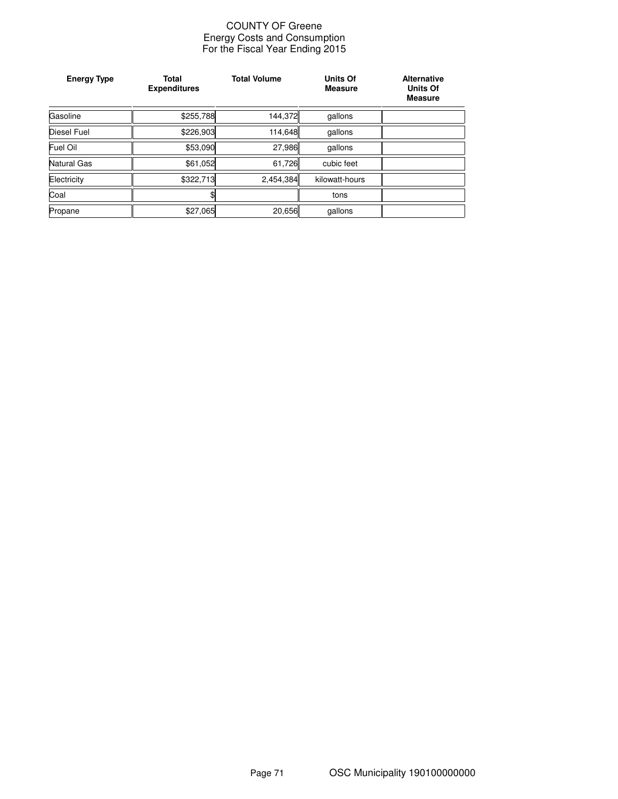### COUNTY OF Greene Energy Costs and Consumption For the Fiscal Year Ending 2015

| <b>Energy Type</b> | <b>Total</b><br><b>Expenditures</b> | <b>Total Volume</b> | <b>Units Of</b><br><b>Measure</b> | <b>Alternative</b><br><b>Units Of</b><br><b>Measure</b> |
|--------------------|-------------------------------------|---------------------|-----------------------------------|---------------------------------------------------------|
| Gasoline           | \$255,788                           | 144,372             | gallons                           |                                                         |
| <b>Diesel Fuel</b> | \$226,903                           | 114,648             | gallons                           |                                                         |
| Fuel Oil           | \$53,090                            | 27,986              | gallons                           |                                                         |
| <b>Natural Gas</b> | \$61,052                            | 61,726              | cubic feet                        |                                                         |
| Electricity        | \$322,713                           | 2,454,384           | kilowatt-hours                    |                                                         |
| Coal               |                                     |                     | tons                              |                                                         |
| Propane            | \$27,065                            | 20,656              | gallons                           |                                                         |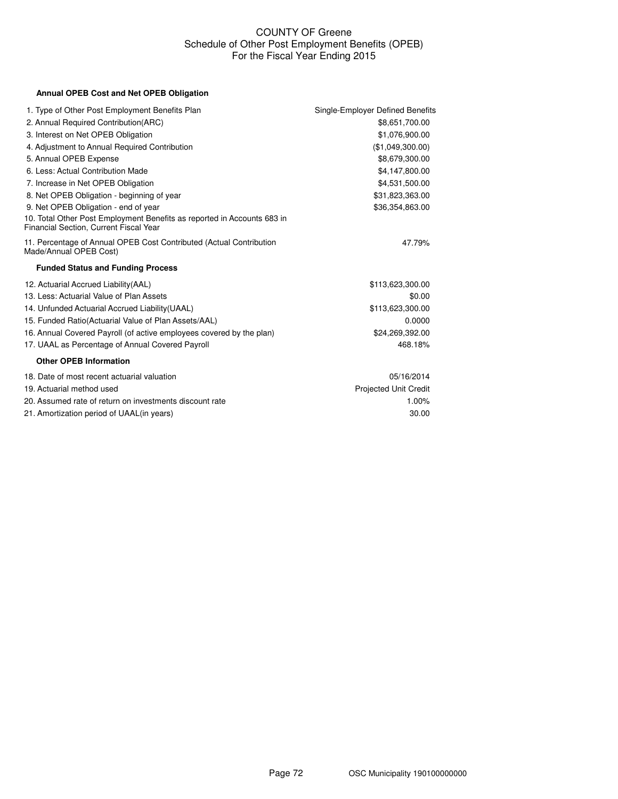### COUNTY OF Greene Schedule of Other Post Employment Benefits (OPEB) For the Fiscal Year Ending 2015

#### **Annual OPEB Cost and Net OPEB Obligation**

| 1. Type of Other Post Employment Benefits Plan                                                                    | Single-Employer Defined Benefits |
|-------------------------------------------------------------------------------------------------------------------|----------------------------------|
| 2. Annual Required Contribution (ARC)                                                                             | \$8,651,700.00                   |
| 3. Interest on Net OPEB Obligation                                                                                | \$1,076,900.00                   |
| 4. Adjustment to Annual Required Contribution                                                                     | (\$1,049,300.00)                 |
| 5. Annual OPEB Expense                                                                                            | \$8,679,300.00                   |
| 6. Less: Actual Contribution Made                                                                                 | \$4,147,800.00                   |
| 7. Increase in Net OPEB Obligation                                                                                | \$4,531,500.00                   |
| 8. Net OPEB Obligation - beginning of year                                                                        | \$31,823,363.00                  |
| 9. Net OPEB Obligation - end of year                                                                              | \$36,354,863.00                  |
| 10. Total Other Post Employment Benefits as reported in Accounts 683 in<br>Financial Section. Current Fiscal Year |                                  |
| 11. Percentage of Annual OPEB Cost Contributed (Actual Contribution<br>Made/Annual OPEB Cost)                     | 47.79%                           |
| <b>Funded Status and Funding Process</b>                                                                          |                                  |
| 12. Actuarial Accrued Liability (AAL)                                                                             | \$113,623,300.00                 |
| 13. Less: Actuarial Value of Plan Assets                                                                          | \$0.00                           |
| 14. Unfunded Actuarial Accrued Liability (UAAL)                                                                   | \$113,623,300.00                 |
| 15. Funded Ratio(Actuarial Value of Plan Assets/AAL)                                                              | 0.0000                           |
| 16. Annual Covered Payroll (of active employees covered by the plan)                                              | \$24,269,392.00                  |
| 17. UAAL as Percentage of Annual Covered Payroll                                                                  | 468.18%                          |
| <b>Other OPEB Information</b>                                                                                     |                                  |
| 18. Date of most recent actuarial valuation                                                                       | 05/16/2014                       |
| 19. Actuarial method used                                                                                         | <b>Projected Unit Credit</b>     |
| 20. Assumed rate of return on investments discount rate                                                           | 1.00%                            |
| 21. Amortization period of UAAL(in years)                                                                         | 30.00                            |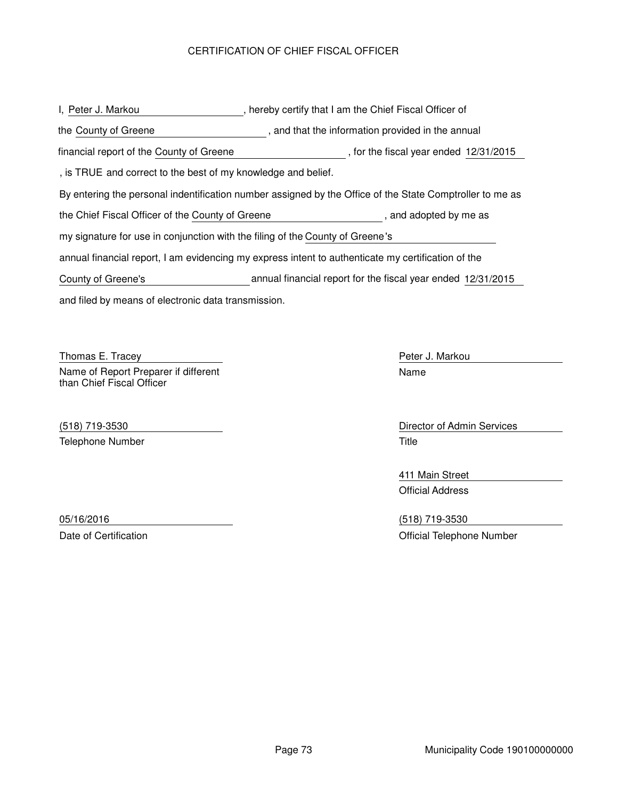## CERTIFICATION OF CHIEF FISCAL OFFICER

and filed by means of electronic data transmission. I, Peter J. Markou **in the Chief Fiscal Officer of** , hereby certify that I am the Chief Fiscal Officer of By entering the personal indentification number assigned by the Office of the State Comptroller to me as the County of Greene **that in the information** provided in the annual the Chief Fiscal Officer of the County of Greene **the Chief Chief Chief Chief Chief Chief** as annual financial report, I am evidencing my express intent to authenticate my certification of the my signature for use in conjunction with the filing of the County of Greene's , is TRUE and correct to the best of my knowledge and belief. financial report of the County of Greene , for the fiscal year ended 12/31/2015 County of Greene's annual financial report for the fiscal year ended 12/31/2015

Thomas E. Tracey **Peter J. Markou** Peter J. Markou Name of Report Preparer if different than Chief Fiscal Officer

Telephone Number Title

Name

(518) 719-3530 Director of Admin Services

411 Main Street Official Address

05/16/2016 (518) 719-3530 Date of Certification **Date of Certification** Certification **Official Telephone Number**